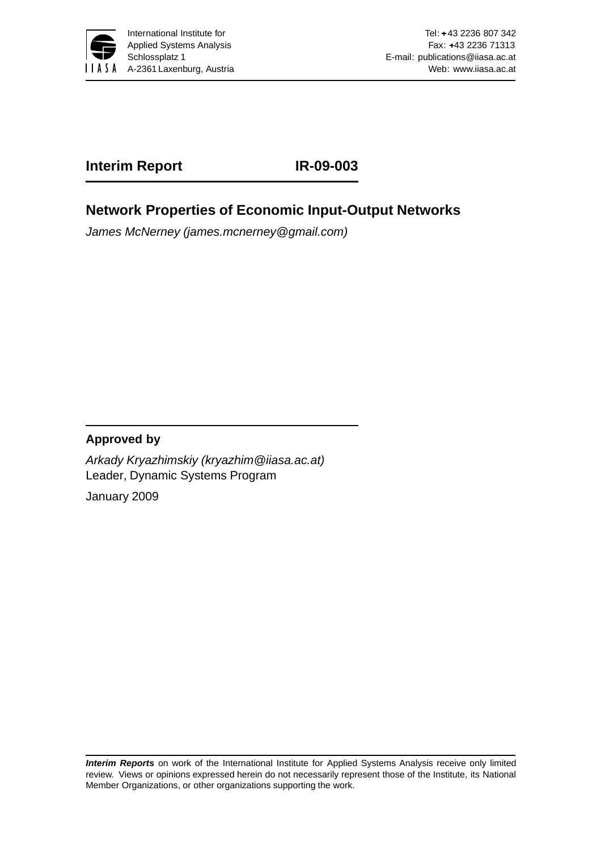

## **Interim Report IR-09-003**

## **Network Properties of Economic Input-Output Networks**

*James McNerney (james.mcnerney@gmail.com)*

### **Approved by**

*Arkady Kryazhimskiy (kryazhim@iiasa.ac.at)* Leader, Dynamic Systems Program January 2009

*Interim Reports* on work of the International Institute for Applied Systems Analysis receive only limited review. Views or opinions expressed herein do not necessarily represent those of the Institute, its National Member Organizations, or other organizations supporting the work.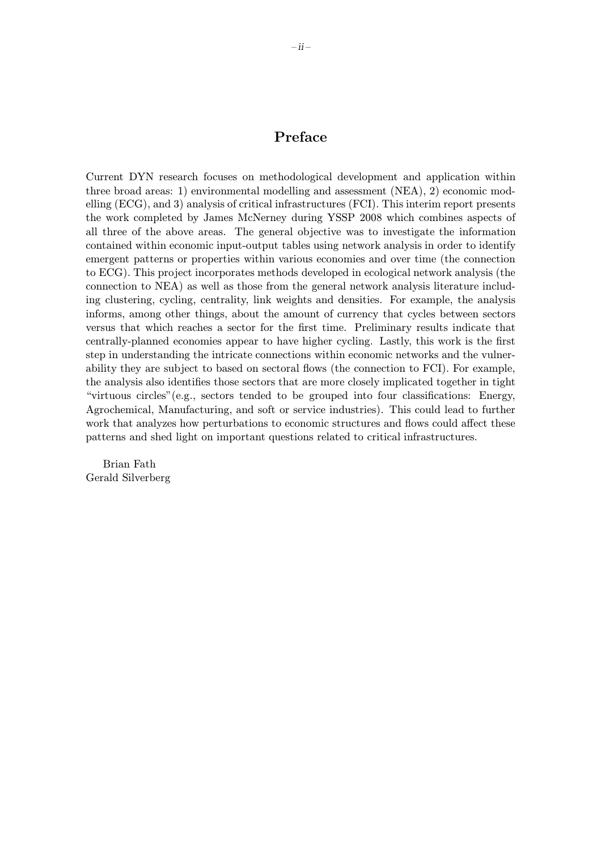### Preface

Current DYN research focuses on methodological development and application within three broad areas: 1) environmental modelling and assessment (NEA), 2) economic modelling (ECG), and 3) analysis of critical infrastructures (FCI). This interim report presents the work completed by James McNerney during YSSP 2008 which combines aspects of all three of the above areas. The general objective was to investigate the information contained within economic input-output tables using network analysis in order to identify emergent patterns or properties within various economies and over time (the connection to ECG). This project incorporates methods developed in ecological network analysis (the connection to NEA) as well as those from the general network analysis literature including clustering, cycling, centrality, link weights and densities. For example, the analysis informs, among other things, about the amount of currency that cycles between sectors versus that which reaches a sector for the first time. Preliminary results indicate that centrally-planned economies appear to have higher cycling. Lastly, this work is the first step in understanding the intricate connections within economic networks and the vulnerability they are subject to based on sectoral flows (the connection to FCI). For example, the analysis also identifies those sectors that are more closely implicated together in tight "virtuous circles"(e.g., sectors tended to be grouped into four classifications: Energy, Agrochemical, Manufacturing, and soft or service industries). This could lead to further work that analyzes how perturbations to economic structures and flows could affect these patterns and shed light on important questions related to critical infrastructures.

Brian Fath Gerald Silverberg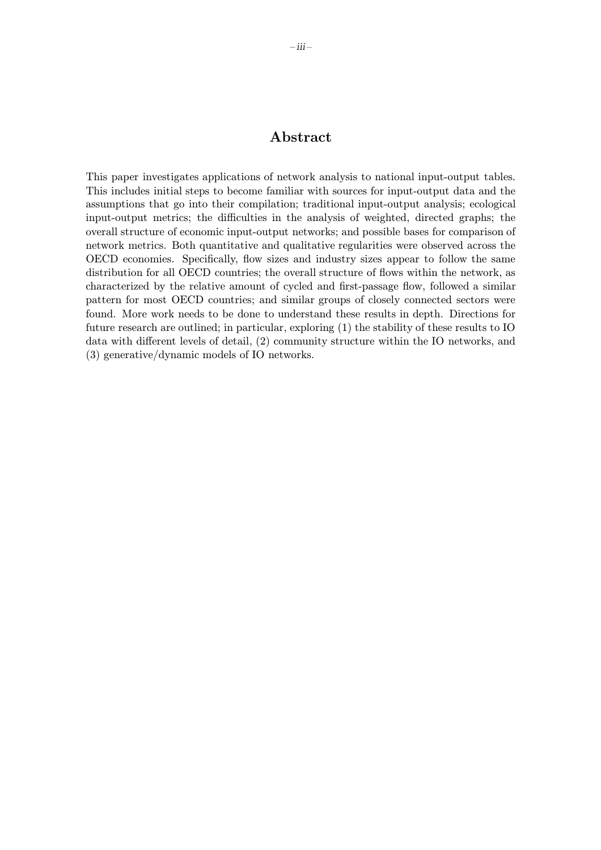### Abstract

This paper investigates applications of network analysis to national input-output tables. This includes initial steps to become familiar with sources for input-output data and the assumptions that go into their compilation; traditional input-output analysis; ecological input-output metrics; the difficulties in the analysis of weighted, directed graphs; the overall structure of economic input-output networks; and possible bases for comparison of network metrics. Both quantitative and qualitative regularities were observed across the OECD economies. Specifically, flow sizes and industry sizes appear to follow the same distribution for all OECD countries; the overall structure of flows within the network, as characterized by the relative amount of cycled and first-passage flow, followed a similar pattern for most OECD countries; and similar groups of closely connected sectors were found. More work needs to be done to understand these results in depth. Directions for future research are outlined; in particular, exploring (1) the stability of these results to IO data with different levels of detail, (2) community structure within the IO networks, and (3) generative/dynamic models of IO networks.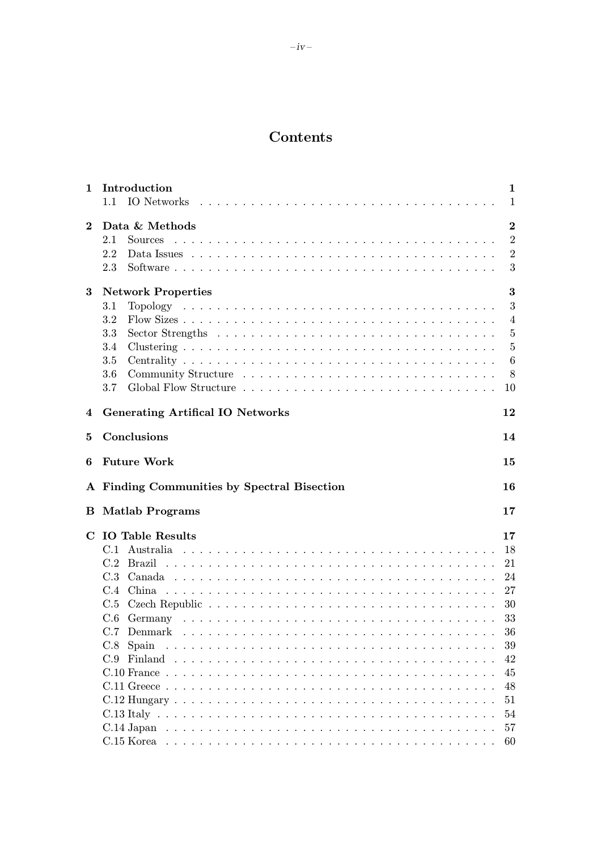## Contents

| 1           | Introduction<br>IO Networks<br>1.1                                                                                                                                                 | 1<br>1                                                                                       |
|-------------|------------------------------------------------------------------------------------------------------------------------------------------------------------------------------------|----------------------------------------------------------------------------------------------|
| $\bf{2}$    | Data & Methods<br><b>Sources</b><br>2.1<br>2.2<br>2.3                                                                                                                              | $\bf{2}$<br>$\overline{2}$<br>$\overline{2}$<br>3                                            |
| 3           | <b>Network Properties</b><br>3.1<br>3.2<br>3.3<br>Sector Strengths $\dots \dots \dots \dots \dots \dots \dots \dots \dots \dots \dots \dots \dots$<br>$3.4\,$<br>3.5<br>3.6<br>3.7 | 3<br>3<br>$\overline{4}$<br>$\overline{5}$<br>$\overline{5}$<br>6<br>8<br>10                 |
| 4           | <b>Generating Artifical IO Networks</b>                                                                                                                                            | 12                                                                                           |
| 5           | Conclusions                                                                                                                                                                        | 14                                                                                           |
| 6           | <b>Future Work</b>                                                                                                                                                                 | 15                                                                                           |
|             | A Finding Communities by Spectral Bisection                                                                                                                                        | 16                                                                                           |
| в           | <b>Matlab Programs</b>                                                                                                                                                             | 17                                                                                           |
| $\mathbf C$ | <b>IO</b> Table Results<br>C.2 Brazil<br>C.4<br>C.5<br>C.6<br>C.7 Denmark<br>C.8<br>Spain<br>C.9                                                                                   | 17<br>18<br>21<br>24<br>27<br>30<br>33<br>36<br>39<br>42<br>45<br>48<br>51<br>54<br>57<br>60 |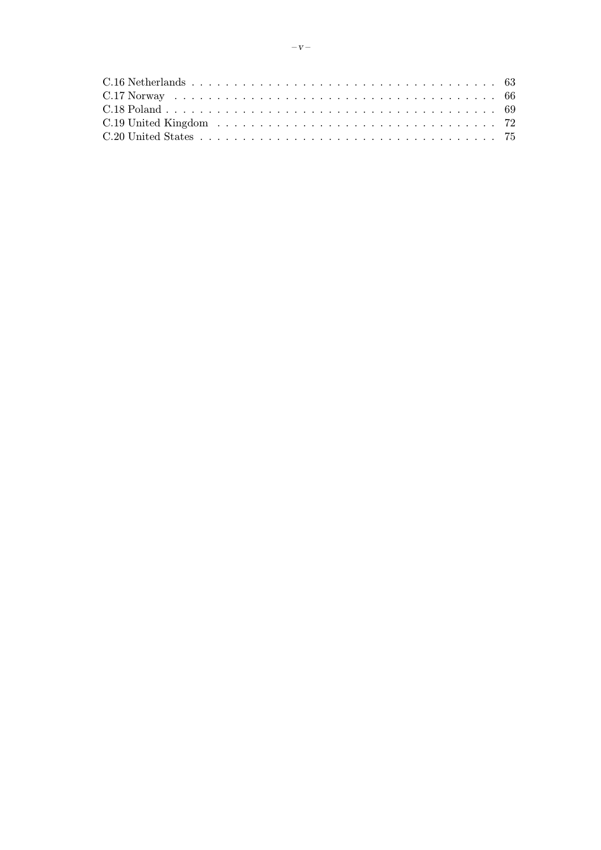| C.20 United States experience in the contract of the contract of the T <sub>5</sub> |  |
|-------------------------------------------------------------------------------------|--|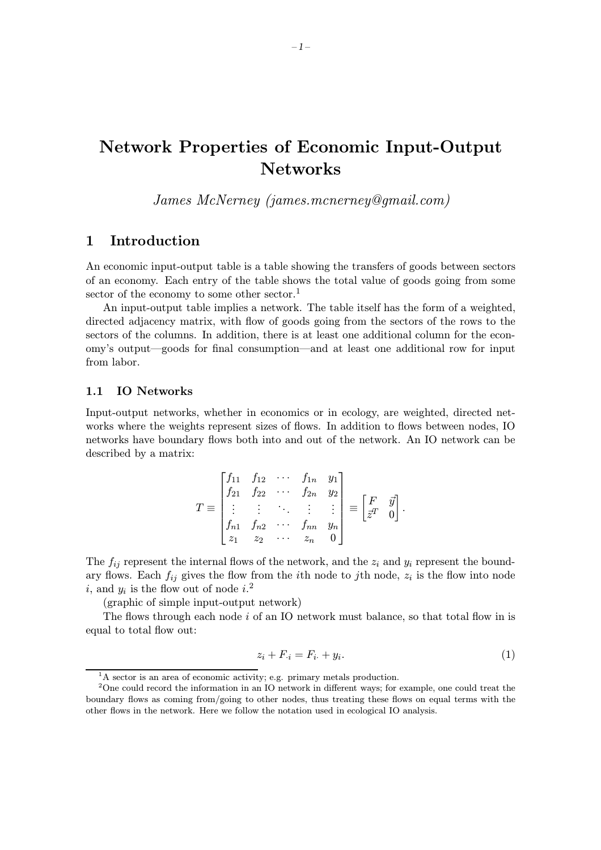# Network Properties of Economic Input-Output **Networks**

James McNerney (james.mcnerney@gmail.com)

### 1 Introduction

An economic input-output table is a table showing the transfers of goods between sectors of an economy. Each entry of the table shows the total value of goods going from some sector of the economy to some other sector.<sup>1</sup>

An input-output table implies a network. The table itself has the form of a weighted, directed adjacency matrix, with flow of goods going from the sectors of the rows to the sectors of the columns. In addition, there is at least one additional column for the economy's output—goods for final consumption—and at least one additional row for input from labor.

#### 1.1 IO Networks

Input-output networks, whether in economics or in ecology, are weighted, directed networks where the weights represent sizes of flows. In addition to flows between nodes, IO networks have boundary flows both into and out of the network. An IO network can be described by a matrix:

$$
T \equiv \begin{bmatrix} f_{11} & f_{12} & \cdots & f_{1n} & y_1 \\ f_{21} & f_{22} & \cdots & f_{2n} & y_2 \\ \vdots & \vdots & \ddots & \vdots & \vdots \\ f_{n1} & f_{n2} & \cdots & f_{nn} & y_n \\ z_1 & z_2 & \cdots & z_n & 0 \end{bmatrix} \equiv \begin{bmatrix} F & \vec{y} \\ \vec{z}^T & 0 \end{bmatrix}
$$

The  $f_{ij}$  represent the internal flows of the network, and the  $z_i$  and  $y_i$  represent the boundary flows. Each  $f_{ij}$  gives the flow from the *i*th node to *j*th node,  $z_i$  is the flow into node i, and  $y_i$  is the flow out of node  $i$ <sup>2</sup>

(graphic of simple input-output network)

The flows through each node  $i$  of an IO network must balance, so that total flow in is equal to total flow out:

$$
z_i + F_{i} = F_{i} + y_i. \tag{1}
$$

.

<sup>&</sup>lt;sup>1</sup>A sector is an area of economic activity; e.g. primary metals production.

<sup>&</sup>lt;sup>2</sup>One could record the information in an IO network in different ways; for example, one could treat the boundary flows as coming from/going to other nodes, thus treating these flows on equal terms with the other flows in the network. Here we follow the notation used in ecological IO analysis.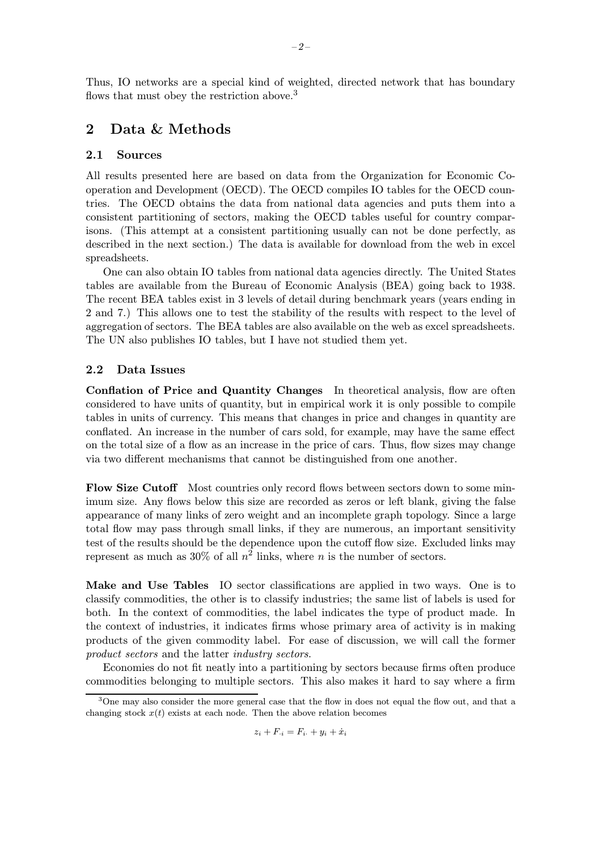Thus, IO networks are a special kind of weighted, directed network that has boundary flows that must obey the restriction above.<sup>3</sup>

### 2 Data & Methods

#### 2.1 Sources

All results presented here are based on data from the Organization for Economic Cooperation and Development (OECD). The OECD compiles IO tables for the OECD countries. The OECD obtains the data from national data agencies and puts them into a consistent partitioning of sectors, making the OECD tables useful for country comparisons. (This attempt at a consistent partitioning usually can not be done perfectly, as described in the next section.) The data is available for download from the web in excel spreadsheets.

One can also obtain IO tables from national data agencies directly. The United States tables are available from the Bureau of Economic Analysis (BEA) going back to 1938. The recent BEA tables exist in 3 levels of detail during benchmark years (years ending in 2 and 7.) This allows one to test the stability of the results with respect to the level of aggregation of sectors. The BEA tables are also available on the web as excel spreadsheets. The UN also publishes IO tables, but I have not studied them yet.

#### 2.2 Data Issues

Conflation of Price and Quantity Changes In theoretical analysis, flow are often considered to have units of quantity, but in empirical work it is only possible to compile tables in units of currency. This means that changes in price and changes in quantity are conflated. An increase in the number of cars sold, for example, may have the same effect on the total size of a flow as an increase in the price of cars. Thus, flow sizes may change via two different mechanisms that cannot be distinguished from one another.

Flow Size Cutoff Most countries only record flows between sectors down to some minimum size. Any flows below this size are recorded as zeros or left blank, giving the false appearance of many links of zero weight and an incomplete graph topology. Since a large total flow may pass through small links, if they are numerous, an important sensitivity test of the results should be the dependence upon the cutoff flow size. Excluded links may represent as much as  $30\%$  of all  $n^2$  links, where n is the number of sectors.

Make and Use Tables IO sector classifications are applied in two ways. One is to classify commodities, the other is to classify industries; the same list of labels is used for both. In the context of commodities, the label indicates the type of product made. In the context of industries, it indicates firms whose primary area of activity is in making products of the given commodity label. For ease of discussion, we will call the former product sectors and the latter industry sectors.

Economies do not fit neatly into a partitioning by sectors because firms often produce commodities belonging to multiple sectors. This also makes it hard to say where a firm

$$
z_i + F_{\cdot i} = F_{i\cdot} + y_i + \dot{x}_i
$$

<sup>&</sup>lt;sup>3</sup>One may also consider the more general case that the flow in does not equal the flow out, and that a changing stock  $x(t)$  exists at each node. Then the above relation becomes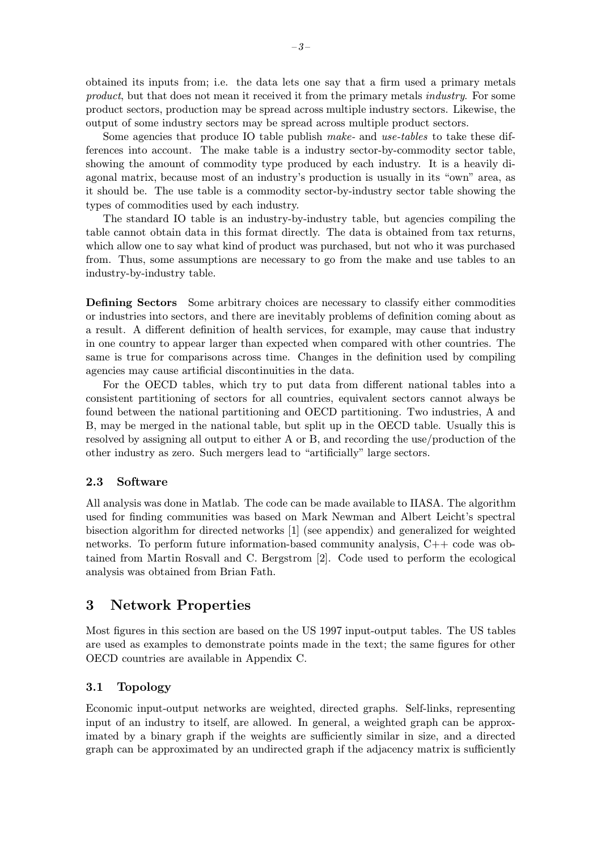obtained its inputs from; i.e. the data lets one say that a firm used a primary metals product, but that does not mean it received it from the primary metals industry. For some product sectors, production may be spread across multiple industry sectors. Likewise, the output of some industry sectors may be spread across multiple product sectors.

Some agencies that produce IO table publish make- and use-tables to take these differences into account. The make table is a industry sector-by-commodity sector table, showing the amount of commodity type produced by each industry. It is a heavily diagonal matrix, because most of an industry's production is usually in its "own" area, as it should be. The use table is a commodity sector-by-industry sector table showing the types of commodities used by each industry.

The standard IO table is an industry-by-industry table, but agencies compiling the table cannot obtain data in this format directly. The data is obtained from tax returns, which allow one to say what kind of product was purchased, but not who it was purchased from. Thus, some assumptions are necessary to go from the make and use tables to an industry-by-industry table.

Defining Sectors Some arbitrary choices are necessary to classify either commodities or industries into sectors, and there are inevitably problems of definition coming about as a result. A different definition of health services, for example, may cause that industry in one country to appear larger than expected when compared with other countries. The same is true for comparisons across time. Changes in the definition used by compiling agencies may cause artificial discontinuities in the data.

For the OECD tables, which try to put data from different national tables into a consistent partitioning of sectors for all countries, equivalent sectors cannot always be found between the national partitioning and OECD partitioning. Two industries, A and B, may be merged in the national table, but split up in the OECD table. Usually this is resolved by assigning all output to either A or B, and recording the use/production of the other industry as zero. Such mergers lead to "artificially" large sectors.

#### 2.3 Software

All analysis was done in Matlab. The code can be made available to IIASA. The algorithm used for finding communities was based on Mark Newman and Albert Leicht's spectral bisection algorithm for directed networks [1] (see appendix) and generalized for weighted networks. To perform future information-based community analysis, C++ code was obtained from Martin Rosvall and C. Bergstrom [2]. Code used to perform the ecological analysis was obtained from Brian Fath.

### 3 Network Properties

Most figures in this section are based on the US 1997 input-output tables. The US tables are used as examples to demonstrate points made in the text; the same figures for other OECD countries are available in Appendix C.

### 3.1 Topology

Economic input-output networks are weighted, directed graphs. Self-links, representing input of an industry to itself, are allowed. In general, a weighted graph can be approximated by a binary graph if the weights are sufficiently similar in size, and a directed graph can be approximated by an undirected graph if the adjacency matrix is sufficiently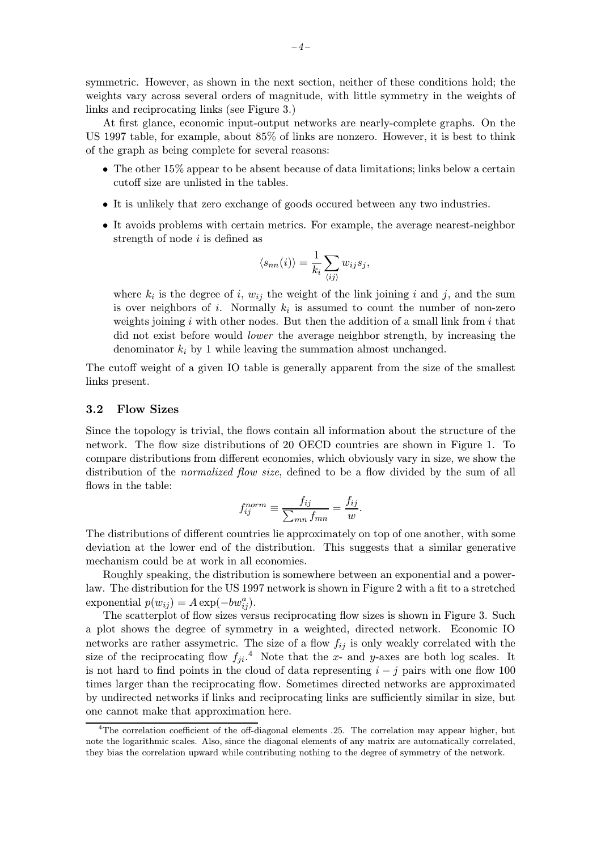symmetric. However, as shown in the next section, neither of these conditions hold; the weights vary across several orders of magnitude, with little symmetry in the weights of links and reciprocating links (see Figure 3.)

At first glance, economic input-output networks are nearly-complete graphs. On the US 1997 table, for example, about 85% of links are nonzero. However, it is best to think of the graph as being complete for several reasons:

- The other 15% appear to be absent because of data limitations; links below a certain cutoff size are unlisted in the tables.
- It is unlikely that zero exchange of goods occured between any two industries.
- It avoids problems with certain metrics. For example, the average nearest-neighbor strength of node  $i$  is defined as

$$
\langle s_{nn}(i) \rangle = \frac{1}{k_i} \sum_{\langle ij \rangle} w_{ij} s_j,
$$

where  $k_i$  is the degree of i,  $w_{ij}$  the weight of the link joining i and j, and the sum is over neighbors of i. Normally  $k_i$  is assumed to count the number of non-zero weights joining  $i$  with other nodes. But then the addition of a small link from  $i$  that did not exist before would lower the average neighbor strength, by increasing the denominator  $k_i$  by 1 while leaving the summation almost unchanged.

The cutoff weight of a given IO table is generally apparent from the size of the smallest links present.

#### 3.2 Flow Sizes

Since the topology is trivial, the flows contain all information about the structure of the network. The flow size distributions of 20 OECD countries are shown in Figure 1. To compare distributions from different economies, which obviously vary in size, we show the distribution of the *normalized flow size*, defined to be a flow divided by the sum of all flows in the table:

$$
f_{ij}^{norm} \equiv \frac{f_{ij}}{\sum_{mn} f_{mn}} = \frac{f_{ij}}{w}.
$$

The distributions of different countries lie approximately on top of one another, with some deviation at the lower end of the distribution. This suggests that a similar generative mechanism could be at work in all economies.

Roughly speaking, the distribution is somewhere between an exponential and a powerlaw. The distribution for the US 1997 network is shown in Figure 2 with a fit to a stretched exponential  $p(w_{ij}) = A \exp(-bw_{ij}^a)$ .

The scatterplot of flow sizes versus reciprocating flow sizes is shown in Figure 3. Such a plot shows the degree of symmetry in a weighted, directed network. Economic IO networks are rather assymetric. The size of a flow  $f_{ij}$  is only weakly correlated with the size of the reciprocating flow  $f_{ji}$ <sup>4</sup>. Note that the x- and y-axes are both log scales. It is not hard to find points in the cloud of data representing  $i - j$  pairs with one flow 100 times larger than the reciprocating flow. Sometimes directed networks are approximated by undirected networks if links and reciprocating links are sufficiently similar in size, but one cannot make that approximation here.

<sup>4</sup>The correlation coefficient of the off-diagonal elements .25. The correlation may appear higher, but note the logarithmic scales. Also, since the diagonal elements of any matrix are automatically correlated, they bias the correlation upward while contributing nothing to the degree of symmetry of the network.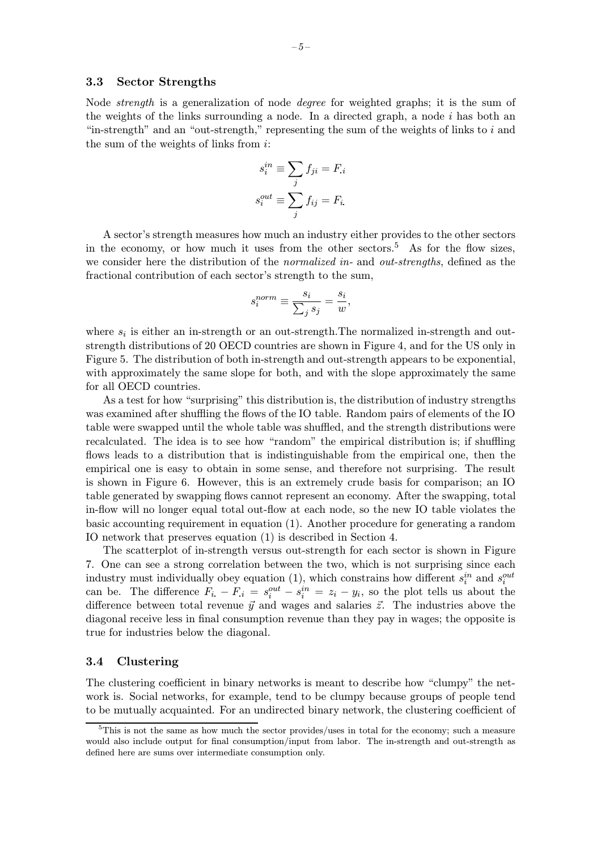Node strength is a generalization of node degree for weighted graphs; it is the sum of the weights of the links surrounding a node. In a directed graph, a node  $i$  has both an "in-strength" and an "out-strength," representing the sum of the weights of links to  $i$  and the sum of the weights of links from  $i$ :

$$
s_i^{in} \equiv \sum_j f_{ji} = F_i
$$

$$
s_i^{out} \equiv \sum_j f_{ij} = F_i.
$$

A sector's strength measures how much an industry either provides to the other sectors in the economy, or how much it uses from the other sectors.<sup>5</sup> As for the flow sizes, we consider here the distribution of the *normalized in*- and *out-strengths*, defined as the fractional contribution of each sector's strength to the sum,

$$
s_i^{norm} \equiv \frac{s_i}{\sum_j s_j} = \frac{s_i}{w},
$$

where  $s_i$  is either an in-strength or an out-strength. The normalized in-strength and outstrength distributions of 20 OECD countries are shown in Figure 4, and for the US only in Figure 5. The distribution of both in-strength and out-strength appears to be exponential, with approximately the same slope for both, and with the slope approximately the same for all OECD countries.

As a test for how "surprising" this distribution is, the distribution of industry strengths was examined after shuffling the flows of the IO table. Random pairs of elements of the IO table were swapped until the whole table was shuffled, and the strength distributions were recalculated. The idea is to see how "random" the empirical distribution is; if shuffling flows leads to a distribution that is indistinguishable from the empirical one, then the empirical one is easy to obtain in some sense, and therefore not surprising. The result is shown in Figure 6. However, this is an extremely crude basis for comparison; an IO table generated by swapping flows cannot represent an economy. After the swapping, total in-flow will no longer equal total out-flow at each node, so the new IO table violates the basic accounting requirement in equation (1). Another procedure for generating a random IO network that preserves equation (1) is described in Section 4.

The scatterplot of in-strength versus out-strength for each sector is shown in Figure 7. One can see a strong correlation between the two, which is not surprising since each industry must individually obey equation (1), which constrains how different  $s_i^{in}$  and  $s_i^{out}$ can be. The difference  $F_i - F_i = s_i^{out} - s_i^{in} = z_i - y_i$ , so the plot tells us about the difference between total revenue  $\vec{y}$  and wages and salaries  $\vec{z}$ . The industries above the diagonal receive less in final consumption revenue than they pay in wages; the opposite is true for industries below the diagonal.

#### 3.4 Clustering

The clustering coefficient in binary networks is meant to describe how "clumpy" the network is. Social networks, for example, tend to be clumpy because groups of people tend to be mutually acquainted. For an undirected binary network, the clustering coefficient of

<sup>5</sup>This is not the same as how much the sector provides/uses in total for the economy; such a measure would also include output for final consumption/input from labor. The in-strength and out-strength as defined here are sums over intermediate consumption only.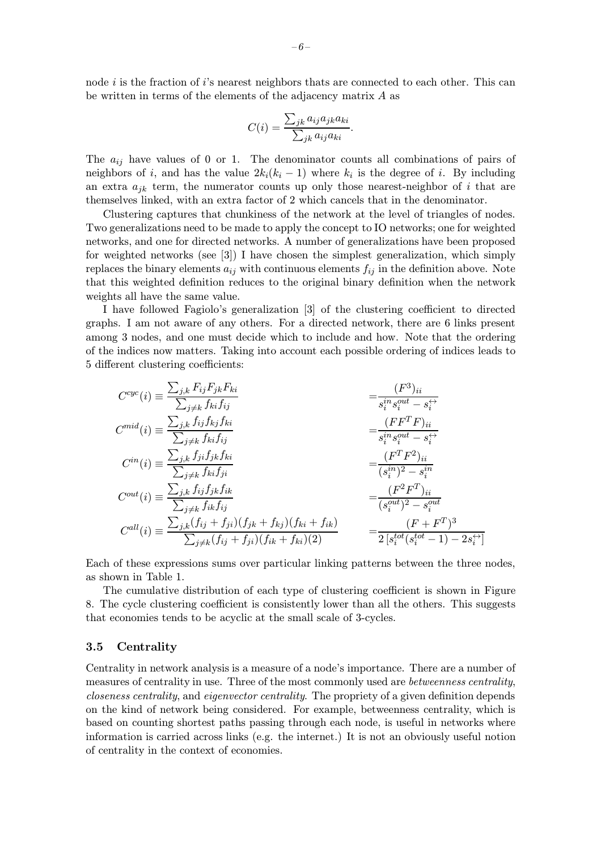node  $i$  is the fraction of  $i$ 's nearest neighbors thats are connected to each other. This can be written in terms of the elements of the adjacency matrix A as

$$
C(i) = \frac{\sum_{jk} a_{ij} a_{jk} a_{ki}}{\sum_{jk} a_{ij} a_{ki}}.
$$

The  $a_{ij}$  have values of 0 or 1. The denominator counts all combinations of pairs of neighbors of i, and has the value  $2k_i(k_i - 1)$  where  $k_i$  is the degree of i. By including an extra  $a_{ik}$  term, the numerator counts up only those nearest-neighbor of i that are themselves linked, with an extra factor of 2 which cancels that in the denominator.

Clustering captures that chunkiness of the network at the level of triangles of nodes. Two generalizations need to be made to apply the concept to IO networks; one for weighted networks, and one for directed networks. A number of generalizations have been proposed for weighted networks (see [3]) I have chosen the simplest generalization, which simply replaces the binary elements  $a_{ij}$  with continuous elements  $f_{ij}$  in the definition above. Note that this weighted definition reduces to the original binary definition when the network weights all have the same value.

I have followed Fagiolo's generalization [3] of the clustering coefficient to directed graphs. I am not aware of any others. For a directed network, there are 6 links present among 3 nodes, and one must decide which to include and how. Note that the ordering of the indices now matters. Taking into account each possible ordering of indices leads to 5 different clustering coefficients:

$$
C^{cyc}(i) \equiv \frac{\sum_{j,k} F_{ij} F_{jk} F_{ki}}{\sum_{j \neq k} f_{ki} f_{ij}} = \frac{(F^3)_{ii}}{s_i^{in} s_i^{out} - s_i^{\leftrightarrow}}
$$
  
\n
$$
C^{mid}(i) \equiv \frac{\sum_{j,k} f_{ij} f_{kj} f_{ki}}{\sum_{j \neq k} f_{ki} f_{ij}} = \frac{(F F^T F)_{ii}}{s_i^{in} s_i^{out} - s_i^{\leftrightarrow}}
$$
  
\n
$$
C^{in}(i) \equiv \frac{\sum_{j,k} f_{ij} f_{jk} f_{ki}}{\sum_{j \neq k} f_{ki} f_{ji}} = \frac{(F^T F^2)_{ii}}{(s_i^{in})^2 - s_i^{in}}
$$
  
\n
$$
C^{out}(i) \equiv \frac{\sum_{j,k} f_{ij} f_{jk} f_{ik}}{\sum_{j \neq k} f_{ik} f_{ij}} = \frac{(F^2 F^T)_{ii}}{(s_i^{out})^2 - s_i^{out}}
$$
  
\n
$$
C^{all}(i) \equiv \frac{\sum_{j,k} (f_{ij} + f_{ji})(f_{jk} + f_{kj})(f_{ki} + f_{ik})}{\sum_{j \neq k} (f_{ij} + f_{ji})(f_{ik} + f_{ki})(2)} = \frac{(F + F^T)^3}{2 [s_i^{tot}(s_i^{tot} - 1) - 2s_i^{\leftrightarrow}]}
$$

Each of these expressions sums over particular linking patterns between the three nodes, as shown in Table 1.

The cumulative distribution of each type of clustering coefficient is shown in Figure 8. The cycle clustering coefficient is consistently lower than all the others. This suggests that economies tends to be acyclic at the small scale of 3-cycles.

#### 3.5 Centrality

Centrality in network analysis is a measure of a node's importance. There are a number of measures of centrality in use. Three of the most commonly used are *betweenness centrality*, closeness centrality, and eigenvector centrality. The propriety of a given definition depends on the kind of network being considered. For example, betweenness centrality, which is based on counting shortest paths passing through each node, is useful in networks where information is carried across links (e.g. the internet.) It is not an obviously useful notion of centrality in the context of economies.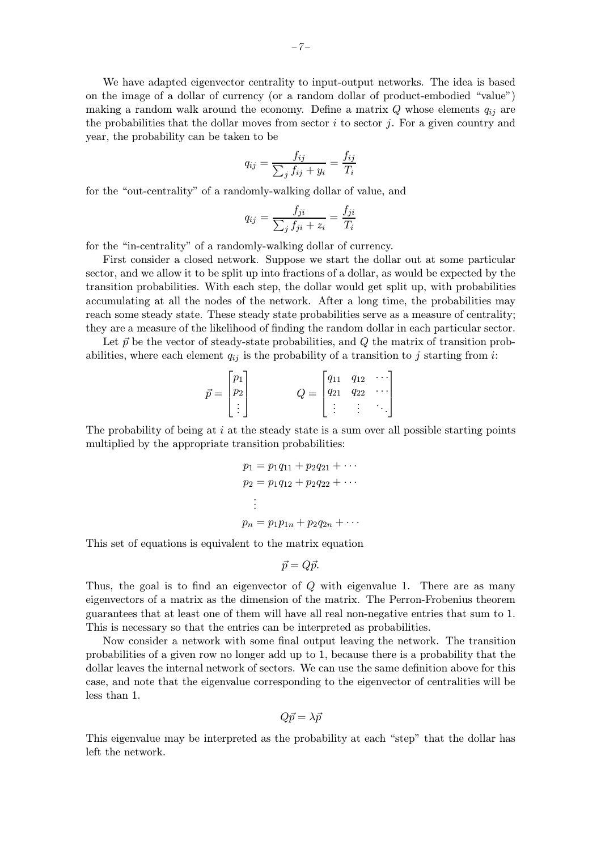We have adapted eigenvector centrality to input-output networks. The idea is based on the image of a dollar of currency (or a random dollar of product-embodied "value") making a random walk around the economy. Define a matrix  $Q$  whose elements  $q_{ij}$  are the probabilities that the dollar moves from sector  $i$  to sector  $j$ . For a given country and year, the probability can be taken to be

$$
q_{ij} = \frac{f_{ij}}{\sum_j f_{ij} + y_i} = \frac{f_{ij}}{T_i}
$$

for the "out-centrality" of a randomly-walking dollar of value, and

$$
q_{ij} = \frac{f_{ji}}{\sum_j f_{ji} + z_i} = \frac{f_{ji}}{T_i}
$$

for the "in-centrality" of a randomly-walking dollar of currency.

First consider a closed network. Suppose we start the dollar out at some particular sector, and we allow it to be split up into fractions of a dollar, as would be expected by the transition probabilities. With each step, the dollar would get split up, with probabilities accumulating at all the nodes of the network. After a long time, the probabilities may reach some steady state. These steady state probabilities serve as a measure of centrality; they are a measure of the likelihood of finding the random dollar in each particular sector.

Let  $\vec{p}$  be the vector of steady-state probabilities, and  $Q$  the matrix of transition probabilities, where each element  $q_{ij}$  is the probability of a transition to j starting from i:

$$
\vec{p} = \begin{bmatrix} p_1 \\ p_2 \\ \vdots \end{bmatrix} \qquad Q = \begin{bmatrix} q_{11} & q_{12} & \cdots \\ q_{21} & q_{22} & \cdots \\ \vdots & \vdots & \ddots \end{bmatrix}
$$

The probability of being at i at the steady state is a sum over all possible starting points multiplied by the appropriate transition probabilities:

$$
p_1 = p_1q_{11} + p_2q_{21} + \cdots
$$
  
\n
$$
p_2 = p_1q_{12} + p_2q_{22} + \cdots
$$
  
\n:  
\n:  
\n
$$
p_n = p_1p_{1n} + p_2q_{2n} + \cdots
$$

This set of equations is equivalent to the matrix equation

$$
\vec{p} = Q\vec{p}.
$$

Thus, the goal is to find an eigenvector of Q with eigenvalue 1. There are as many eigenvectors of a matrix as the dimension of the matrix. The Perron-Frobenius theorem guarantees that at least one of them will have all real non-negative entries that sum to 1. This is necessary so that the entries can be interpreted as probabilities.

Now consider a network with some final output leaving the network. The transition probabilities of a given row no longer add up to 1, because there is a probability that the dollar leaves the internal network of sectors. We can use the same definition above for this case, and note that the eigenvalue corresponding to the eigenvector of centralities will be less than 1.

$$
Q\vec{p} = \lambda \vec{p}
$$

This eigenvalue may be interpreted as the probability at each "step" that the dollar has left the network.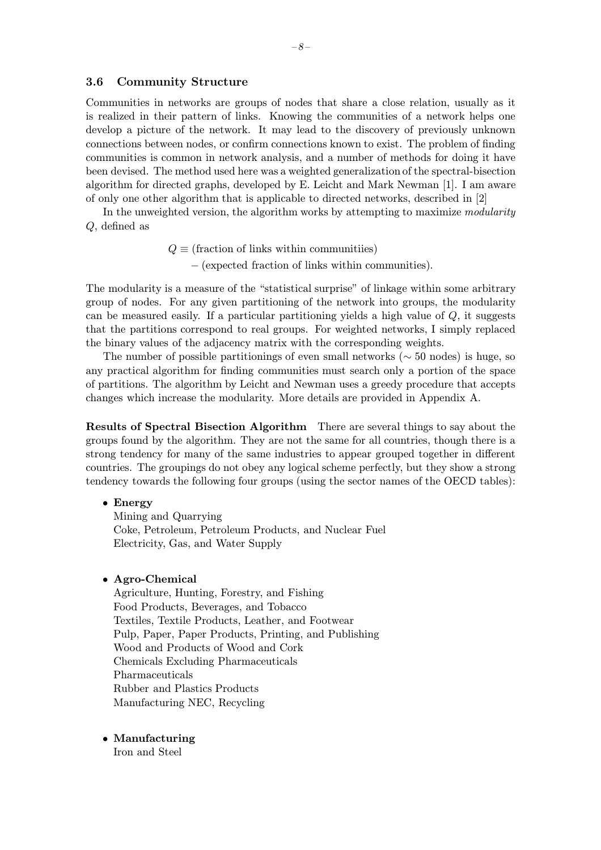#### 3.6 Community Structure

Communities in networks are groups of nodes that share a close relation, usually as it is realized in their pattern of links. Knowing the communities of a network helps one develop a picture of the network. It may lead to the discovery of previously unknown connections between nodes, or confirm connections known to exist. The problem of finding communities is common in network analysis, and a number of methods for doing it have been devised. The method used here was a weighted generalization of the spectral-bisection algorithm for directed graphs, developed by E. Leicht and Mark Newman [1]. I am aware of only one other algorithm that is applicable to directed networks, described in [2]

In the unweighted version, the algorithm works by attempting to maximize modularity Q, defined as

> $Q \equiv$  (fraction of links within communitiies) − (expected fraction of links within communities).

The modularity is a measure of the "statistical surprise" of linkage within some arbitrary group of nodes. For any given partitioning of the network into groups, the modularity can be measured easily. If a particular partitioning yields a high value of  $Q$ , it suggests that the partitions correspond to real groups. For weighted networks, I simply replaced the binary values of the adjacency matrix with the corresponding weights.

The number of possible partitionings of even small networks ( $\sim$  50 nodes) is huge, so any practical algorithm for finding communities must search only a portion of the space of partitions. The algorithm by Leicht and Newman uses a greedy procedure that accepts changes which increase the modularity. More details are provided in Appendix A.

Results of Spectral Bisection Algorithm There are several things to say about the groups found by the algorithm. They are not the same for all countries, though there is a strong tendency for many of the same industries to appear grouped together in different countries. The groupings do not obey any logical scheme perfectly, but they show a strong tendency towards the following four groups (using the sector names of the OECD tables):

#### • Energy

Mining and Quarrying Coke, Petroleum, Petroleum Products, and Nuclear Fuel Electricity, Gas, and Water Supply

#### • Agro-Chemical

Agriculture, Hunting, Forestry, and Fishing Food Products, Beverages, and Tobacco Textiles, Textile Products, Leather, and Footwear Pulp, Paper, Paper Products, Printing, and Publishing Wood and Products of Wood and Cork Chemicals Excluding Pharmaceuticals Pharmaceuticals Rubber and Plastics Products Manufacturing NEC, Recycling

#### • Manufacturing

Iron and Steel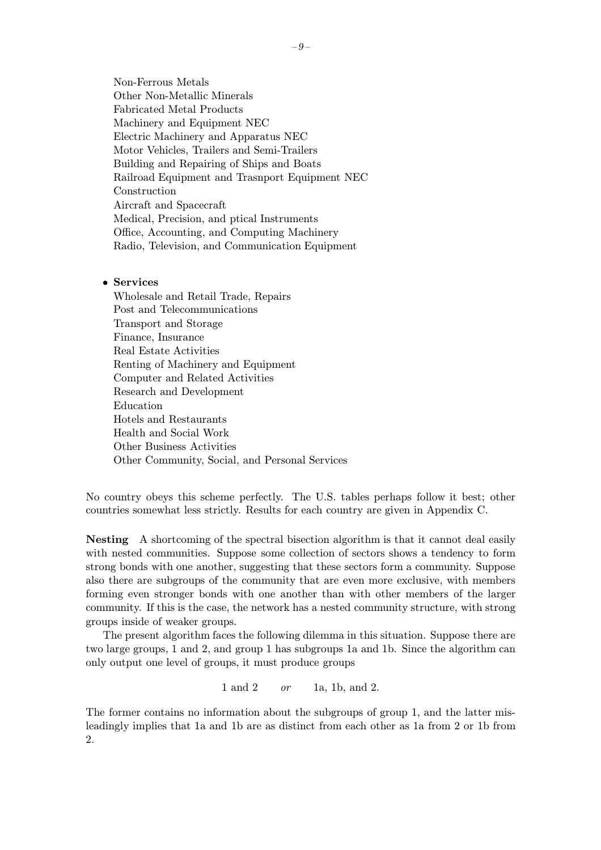Non-Ferrous Metals Other Non-Metallic Minerals Fabricated Metal Products Machinery and Equipment NEC Electric Machinery and Apparatus NEC Motor Vehicles, Trailers and Semi-Trailers Building and Repairing of Ships and Boats Railroad Equipment and Trasnport Equipment NEC Construction Aircraft and Spacecraft Medical, Precision, and ptical Instruments Office, Accounting, and Computing Machinery Radio, Television, and Communication Equipment

#### • Services

Wholesale and Retail Trade, Repairs Post and Telecommunications Transport and Storage Finance, Insurance Real Estate Activities Renting of Machinery and Equipment Computer and Related Activities Research and Development Education Hotels and Restaurants Health and Social Work Other Business Activities Other Community, Social, and Personal Services

No country obeys this scheme perfectly. The U.S. tables perhaps follow it best; other countries somewhat less strictly. Results for each country are given in Appendix C.

Nesting A shortcoming of the spectral bisection algorithm is that it cannot deal easily with nested communities. Suppose some collection of sectors shows a tendency to form strong bonds with one another, suggesting that these sectors form a community. Suppose also there are subgroups of the community that are even more exclusive, with members forming even stronger bonds with one another than with other members of the larger community. If this is the case, the network has a nested community structure, with strong groups inside of weaker groups.

The present algorithm faces the following dilemma in this situation. Suppose there are two large groups, 1 and 2, and group 1 has subgroups 1a and 1b. Since the algorithm can only output one level of groups, it must produce groups

1 and 2 *or* 1a, 1b, and 2.

The former contains no information about the subgroups of group 1, and the latter misleadingly implies that 1a and 1b are as distinct from each other as 1a from 2 or 1b from 2.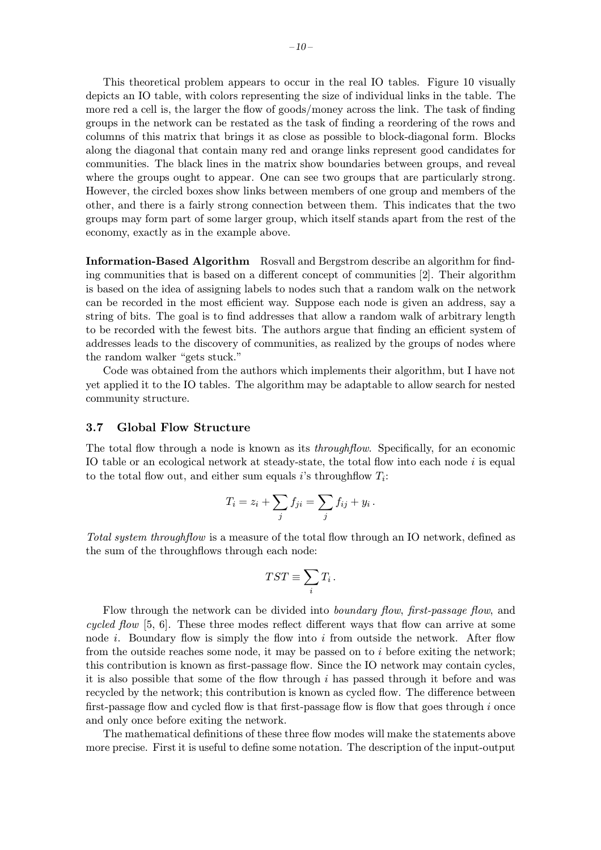This theoretical problem appears to occur in the real IO tables. Figure 10 visually depicts an IO table, with colors representing the size of individual links in the table. The more red a cell is, the larger the flow of goods/money across the link. The task of finding groups in the network can be restated as the task of finding a reordering of the rows and columns of this matrix that brings it as close as possible to block-diagonal form. Blocks along the diagonal that contain many red and orange links represent good candidates for communities. The black lines in the matrix show boundaries between groups, and reveal where the groups ought to appear. One can see two groups that are particularly strong. However, the circled boxes show links between members of one group and members of the other, and there is a fairly strong connection between them. This indicates that the two groups may form part of some larger group, which itself stands apart from the rest of the economy, exactly as in the example above.

Information-Based Algorithm Rosvall and Bergstrom describe an algorithm for finding communities that is based on a different concept of communities [2]. Their algorithm is based on the idea of assigning labels to nodes such that a random walk on the network can be recorded in the most efficient way. Suppose each node is given an address, say a string of bits. The goal is to find addresses that allow a random walk of arbitrary length to be recorded with the fewest bits. The authors argue that finding an efficient system of addresses leads to the discovery of communities, as realized by the groups of nodes where the random walker "gets stuck."

Code was obtained from the authors which implements their algorithm, but I have not yet applied it to the IO tables. The algorithm may be adaptable to allow search for nested community structure.

#### 3.7 Global Flow Structure

The total flow through a node is known as its *throughflow*. Specifically, for an economic IO table or an ecological network at steady-state, the total flow into each node i is equal to the total flow out, and either sum equals i's throughflow  $T_i$ :

$$
T_i = z_i + \sum_j f_{ji} = \sum_j f_{ij} + y_i.
$$

Total system throughflow is a measure of the total flow through an IO network, defined as the sum of the throughflows through each node:

$$
TST \equiv \sum_i T_i \, .
$$

Flow through the network can be divided into *boundary flow, first-passage flow*, and cycled flow [5, 6]. These three modes reflect different ways that flow can arrive at some node  $i$ . Boundary flow is simply the flow into  $i$  from outside the network. After flow from the outside reaches some node, it may be passed on to  $i$  before exiting the network; this contribution is known as first-passage flow. Since the IO network may contain cycles, it is also possible that some of the flow through i has passed through it before and was recycled by the network; this contribution is known as cycled flow. The difference between first-passage flow and cycled flow is that first-passage flow is flow that goes through  $i$  once and only once before exiting the network.

The mathematical definitions of these three flow modes will make the statements above more precise. First it is useful to define some notation. The description of the input-output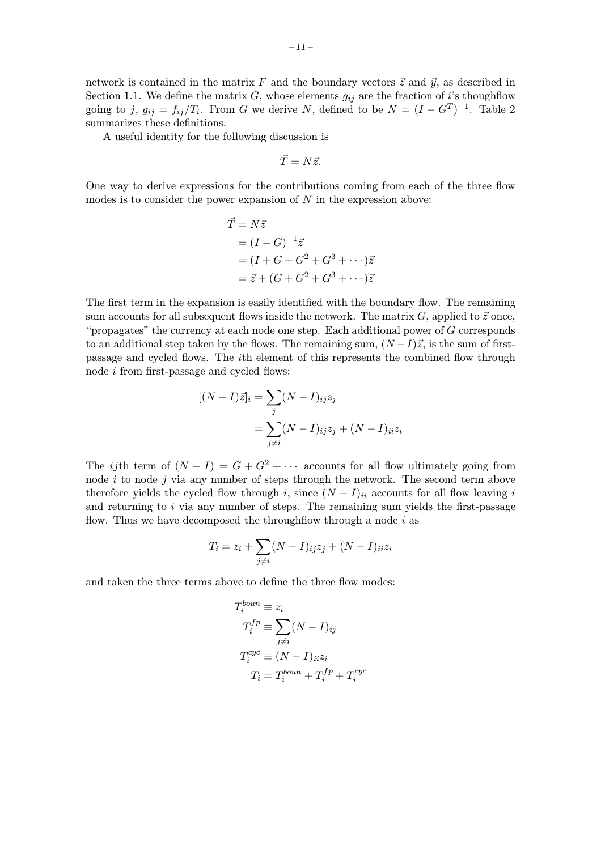network is contained in the matrix F and the boundary vectors  $\vec{z}$  and  $\vec{y}$ , as described in Section 1.1. We define the matrix  $G$ , whose elements  $g_{ij}$  are the fraction of i's thoughflow going to j,  $g_{ij} = f_{ij}/T_i$ . From G we derive N, defined to be  $N = (I - G^T)^{-1}$ . Table 2 summarizes these definitions.

A useful identity for the following discussion is

$$
\vec{T}=N\vec{z}.
$$

One way to derive expressions for the contributions coming from each of the three flow modes is to consider the power expansion of  $N$  in the expression above:

$$
\vec{T} = N\vec{z}
$$
  
=  $(I - G)^{-1}\vec{z}$   
=  $(I + G + G^2 + G^3 + \cdots)\vec{z}$   
=  $\vec{z} + (G + G^2 + G^3 + \cdots)\vec{z}$ 

The first term in the expansion is easily identified with the boundary flow. The remaining sum accounts for all subsequent flows inside the network. The matrix  $G$ , applied to  $\vec{z}$  once, "propagates" the currency at each node one step. Each additional power of G corresponds to an additional step taken by the flows. The remaining sum,  $(N-I)\vec{z}$ , is the sum of firstpassage and cycled flows. The ith element of this represents the combined flow through node i from first-passage and cycled flows:

$$
[(N-I)\vec{z}]_i = \sum_j (N-I)_{ij} z_j
$$
  
= 
$$
\sum_{j \neq i} (N-I)_{ij} z_j + (N-I)_{ii} z_i
$$

The *ij*th term of  $(N - I) = G + G^2 + \cdots$  accounts for all flow ultimately going from node  $i$  to node  $j$  via any number of steps through the network. The second term above therefore yields the cycled flow through i, since  $(N - I)_{ii}$  accounts for all flow leaving i and returning to  $i$  via any number of steps. The remaining sum yields the first-passage flow. Thus we have decomposed the throughflow through a node  $i$  as

$$
T_i = z_i + \sum_{j \neq i} (N - I)_{ij} z_j + (N - I)_{ii} z_i
$$

and taken the three terms above to define the three flow modes:

$$
T_i^{boun} \equiv z_i
$$
  
\n
$$
T_i^{fp} \equiv \sum_{j \neq i} (N - I)_{ij}
$$
  
\n
$$
T_i^{cyc} \equiv (N - I)_{ii} z_i
$$
  
\n
$$
T_i = T_i^{boun} + T_i^{fp} + T_i^{cyc}
$$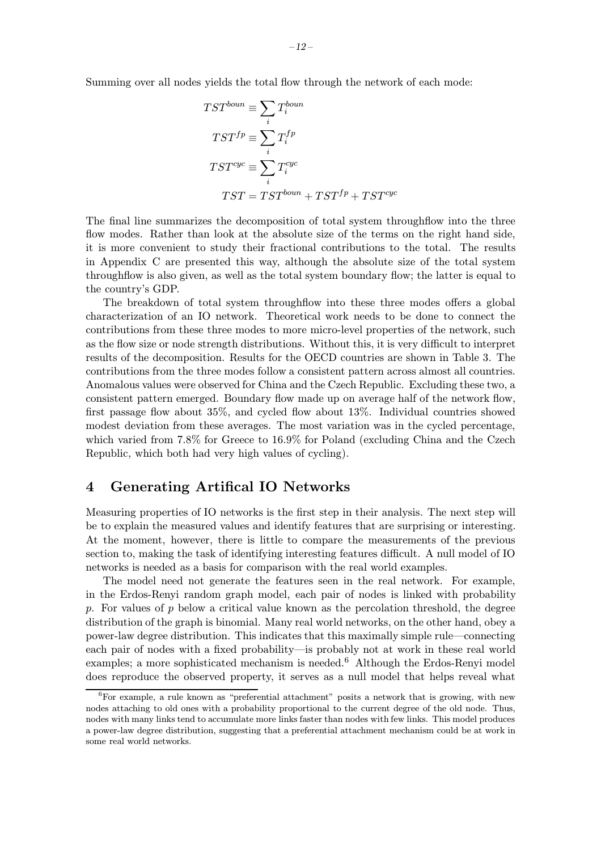Summing over all nodes yields the total flow through the network of each mode:

$$
TST^{bound} \equiv \sum_{i} T_i^{bound}
$$
  
\n
$$
TST^{fp} \equiv \sum_{i} T_i^{fp}
$$
  
\n
$$
TST^{cyc} \equiv \sum_{i} T_i^{cyc}
$$
  
\n
$$
TST = TST^{bound} + TST^{fp} + TST^{cyc}
$$

The final line summarizes the decomposition of total system throughflow into the three flow modes. Rather than look at the absolute size of the terms on the right hand side, it is more convenient to study their fractional contributions to the total. The results in Appendix C are presented this way, although the absolute size of the total system throughflow is also given, as well as the total system boundary flow; the latter is equal to the country's GDP.

The breakdown of total system throughflow into these three modes offers a global characterization of an IO network. Theoretical work needs to be done to connect the contributions from these three modes to more micro-level properties of the network, such as the flow size or node strength distributions. Without this, it is very difficult to interpret results of the decomposition. Results for the OECD countries are shown in Table 3. The contributions from the three modes follow a consistent pattern across almost all countries. Anomalous values were observed for China and the Czech Republic. Excluding these two, a consistent pattern emerged. Boundary flow made up on average half of the network flow, first passage flow about 35%, and cycled flow about 13%. Individual countries showed modest deviation from these averages. The most variation was in the cycled percentage, which varied from 7.8% for Greece to 16.9% for Poland (excluding China and the Czech Republic, which both had very high values of cycling).

### 4 Generating Artifical IO Networks

Measuring properties of IO networks is the first step in their analysis. The next step will be to explain the measured values and identify features that are surprising or interesting. At the moment, however, there is little to compare the measurements of the previous section to, making the task of identifying interesting features difficult. A null model of IO networks is needed as a basis for comparison with the real world examples.

The model need not generate the features seen in the real network. For example, in the Erdos-Renyi random graph model, each pair of nodes is linked with probability p. For values of p below a critical value known as the percolation threshold, the degree distribution of the graph is binomial. Many real world networks, on the other hand, obey a power-law degree distribution. This indicates that this maximally simple rule—connecting each pair of nodes with a fixed probability—is probably not at work in these real world examples; a more sophisticated mechanism is needed.<sup>6</sup> Although the Erdos-Renyi model does reproduce the observed property, it serves as a null model that helps reveal what

 ${}^{6}$ For example, a rule known as "preferential attachment" posits a network that is growing, with new nodes attaching to old ones with a probability proportional to the current degree of the old node. Thus, nodes with many links tend to accumulate more links faster than nodes with few links. This model produces a power-law degree distribution, suggesting that a preferential attachment mechanism could be at work in some real world networks.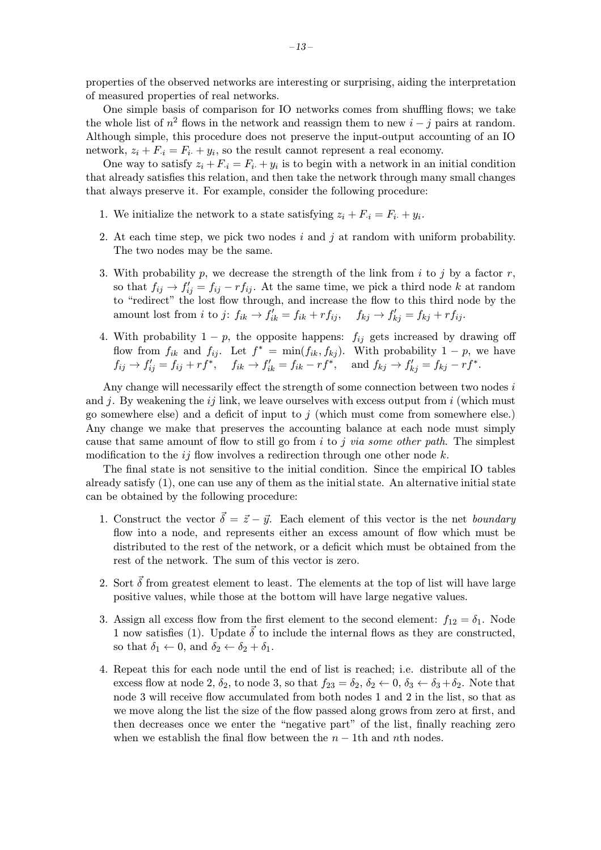properties of the observed networks are interesting or surprising, aiding the interpretation of measured properties of real networks.

One simple basis of comparison for IO networks comes from shuffling flows; we take the whole list of  $n^2$  flows in the network and reassign them to new  $i - j$  pairs at random. Although simple, this procedure does not preserve the input-output accounting of an IO network,  $z_i + F_i = F_i + y_i$ , so the result cannot represent a real economy.

One way to satisfy  $z_i + F_{i} = F_i + y_i$  is to begin with a network in an initial condition that already satisfies this relation, and then take the network through many small changes that always preserve it. For example, consider the following procedure:

- 1. We initialize the network to a state satisfying  $z_i + F_{i} = F_{i} + y_i$ .
- 2. At each time step, we pick two nodes  $i$  and  $j$  at random with uniform probability. The two nodes may be the same.
- 3. With probability p, we decrease the strength of the link from i to j by a factor r, so that  $f_{ij} \rightarrow f'_{ij} = f_{ij} - rf_{ij}$ . At the same time, we pick a third node k at random to "redirect" the lost flow through, and increase the flow to this third node by the amount lost from *i* to *j*:  $f_{ik} \rightarrow f'_{ik} = f_{ik} + rf_{ij}$ ,  $f_{kj} \rightarrow f'_{kj} = f_{kj} + rf_{ij}$ .
- 4. With probability  $1 p$ , the opposite happens:  $f_{ij}$  gets increased by drawing off flow from  $f_{ik}$  and  $f_{ij}$ . Let  $f^* = \min(f_{ik}, f_{kj})$ . With probability  $1 - p$ , we have  $f_{ij} \to f'_{ij} = f_{ij} + rf^*, \quad f_{ik} \to f'_{ik} = f_{ik} - rf^*, \quad \text{and } f_{kj} \to f'_{kj} = f_{kj} - rf^*.$

Any change will necessarily effect the strength of some connection between two nodes  $i$ and j. By weakening the  $ij$  link, we leave ourselves with excess output from i (which must go somewhere else) and a deficit of input to  $j$  (which must come from somewhere else.) Any change we make that preserves the accounting balance at each node must simply cause that same amount of flow to still go from  $i$  to  $j$  via some other path. The simplest modification to the  $ij$  flow involves a redirection through one other node k.

The final state is not sensitive to the initial condition. Since the empirical IO tables already satisfy  $(1)$ , one can use any of them as the initial state. An alternative initial state can be obtained by the following procedure:

- 1. Construct the vector  $\vec{\delta} = \vec{z} \vec{y}$ . Each element of this vector is the net boundary flow into a node, and represents either an excess amount of flow which must be distributed to the rest of the network, or a deficit which must be obtained from the rest of the network. The sum of this vector is zero.
- 2. Sort  $\vec{\delta}$  from greatest element to least. The elements at the top of list will have large positive values, while those at the bottom will have large negative values.
- 3. Assign all excess flow from the first element to the second element:  $f_{12} = \delta_1$ . Node 1 now satisfies (1). Update  $\vec{\delta}$  to include the internal flows as they are constructed, so that  $\delta_1 \leftarrow 0$ , and  $\delta_2 \leftarrow \delta_2 + \delta_1$ .
- 4. Repeat this for each node until the end of list is reached; i.e. distribute all of the excess flow at node 2,  $\delta_2$ , to node 3, so that  $f_{23} = \delta_2$ ,  $\delta_2 \leftarrow 0$ ,  $\delta_3 \leftarrow \delta_3 + \delta_2$ . Note that node 3 will receive flow accumulated from both nodes 1 and 2 in the list, so that as we move along the list the size of the flow passed along grows from zero at first, and then decreases once we enter the "negative part" of the list, finally reaching zero when we establish the final flow between the  $n - 1$ th and nth nodes.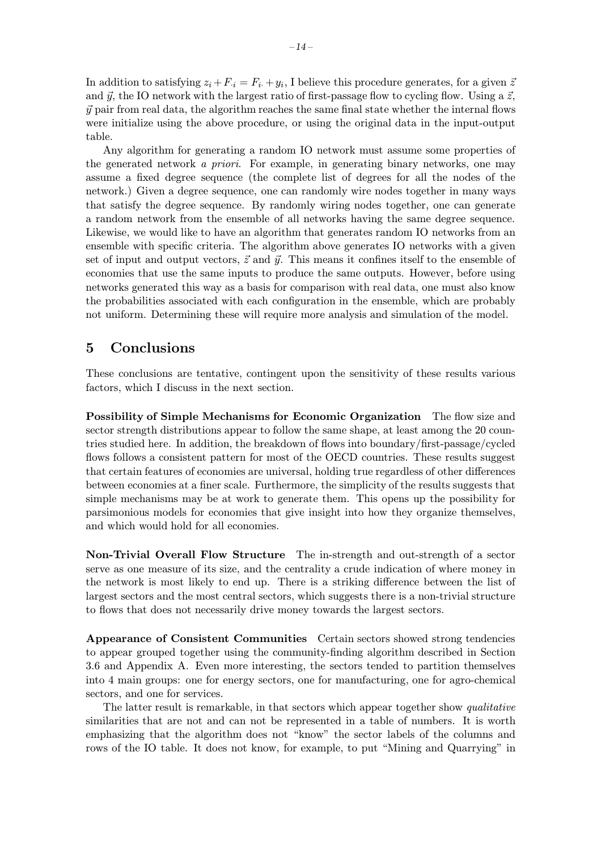In addition to satisfying  $z_i + F_{i} = F_i + y_i$ , I believe this procedure generates, for a given  $\bar{z}$ and  $\vec{y}$ , the IO network with the largest ratio of first-passage flow to cycling flow. Using a  $\vec{z}$ ,  $\vec{y}$  pair from real data, the algorithm reaches the same final state whether the internal flows were initialize using the above procedure, or using the original data in the input-output table.

Any algorithm for generating a random IO network must assume some properties of the generated network a priori. For example, in generating binary networks, one may assume a fixed degree sequence (the complete list of degrees for all the nodes of the network.) Given a degree sequence, one can randomly wire nodes together in many ways that satisfy the degree sequence. By randomly wiring nodes together, one can generate a random network from the ensemble of all networks having the same degree sequence. Likewise, we would like to have an algorithm that generates random IO networks from an ensemble with specific criteria. The algorithm above generates IO networks with a given set of input and output vectors,  $\vec{z}$  and  $\vec{y}$ . This means it confines itself to the ensemble of economies that use the same inputs to produce the same outputs. However, before using networks generated this way as a basis for comparison with real data, one must also know the probabilities associated with each configuration in the ensemble, which are probably not uniform. Determining these will require more analysis and simulation of the model.

### 5 Conclusions

These conclusions are tentative, contingent upon the sensitivity of these results various factors, which I discuss in the next section.

Possibility of Simple Mechanisms for Economic Organization The flow size and sector strength distributions appear to follow the same shape, at least among the 20 countries studied here. In addition, the breakdown of flows into boundary/first-passage/cycled flows follows a consistent pattern for most of the OECD countries. These results suggest that certain features of economies are universal, holding true regardless of other differences between economies at a finer scale. Furthermore, the simplicity of the results suggests that simple mechanisms may be at work to generate them. This opens up the possibility for parsimonious models for economies that give insight into how they organize themselves, and which would hold for all economies.

Non-Trivial Overall Flow Structure The in-strength and out-strength of a sector serve as one measure of its size, and the centrality a crude indication of where money in the network is most likely to end up. There is a striking difference between the list of largest sectors and the most central sectors, which suggests there is a non-trivial structure to flows that does not necessarily drive money towards the largest sectors.

Appearance of Consistent Communities Certain sectors showed strong tendencies to appear grouped together using the community-finding algorithm described in Section 3.6 and Appendix A. Even more interesting, the sectors tended to partition themselves into 4 main groups: one for energy sectors, one for manufacturing, one for agro-chemical sectors, and one for services.

The latter result is remarkable, in that sectors which appear together show qualitative similarities that are not and can not be represented in a table of numbers. It is worth emphasizing that the algorithm does not "know" the sector labels of the columns and rows of the IO table. It does not know, for example, to put "Mining and Quarrying" in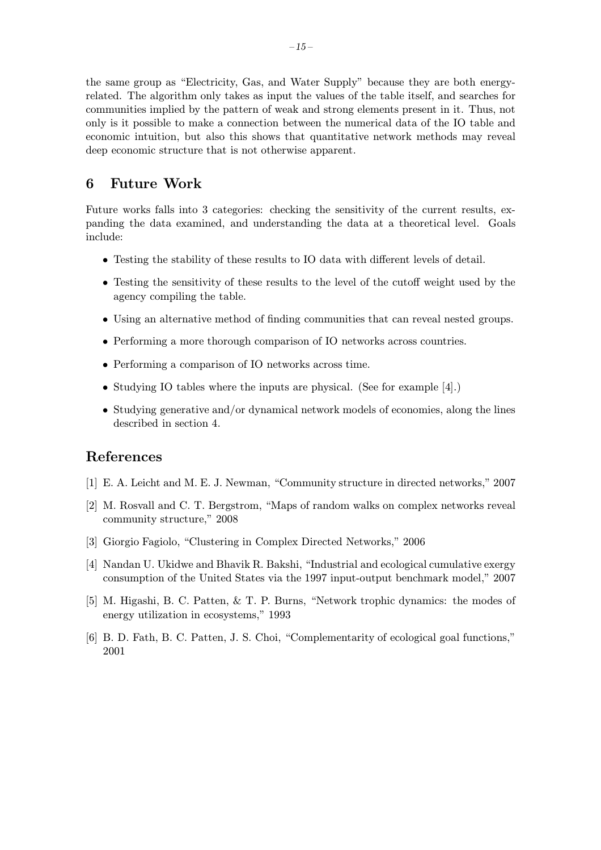the same group as "Electricity, Gas, and Water Supply" because they are both energyrelated. The algorithm only takes as input the values of the table itself, and searches for communities implied by the pattern of weak and strong elements present in it. Thus, not only is it possible to make a connection between the numerical data of the IO table and economic intuition, but also this shows that quantitative network methods may reveal deep economic structure that is not otherwise apparent.

### 6 Future Work

Future works falls into 3 categories: checking the sensitivity of the current results, expanding the data examined, and understanding the data at a theoretical level. Goals include:

- Testing the stability of these results to IO data with different levels of detail.
- Testing the sensitivity of these results to the level of the cutoff weight used by the agency compiling the table.
- Using an alternative method of finding communities that can reveal nested groups.
- Performing a more thorough comparison of IO networks across countries.
- Performing a comparison of IO networks across time.
- Studying IO tables where the inputs are physical. (See for example [4].)
- Studying generative and/or dynamical network models of economies, along the lines described in section 4.

### References

- [1] E. A. Leicht and M. E. J. Newman, "Community structure in directed networks," 2007
- [2] M. Rosvall and C. T. Bergstrom, "Maps of random walks on complex networks reveal community structure," 2008
- [3] Giorgio Fagiolo, "Clustering in Complex Directed Networks," 2006
- [4] Nandan U. Ukidwe and Bhavik R. Bakshi, "Industrial and ecological cumulative exergy consumption of the United States via the 1997 input-output benchmark model," 2007
- [5] M. Higashi, B. C. Patten, & T. P. Burns, "Network trophic dynamics: the modes of energy utilization in ecosystems," 1993
- [6] B. D. Fath, B. C. Patten, J. S. Choi, "Complementarity of ecological goal functions," 2001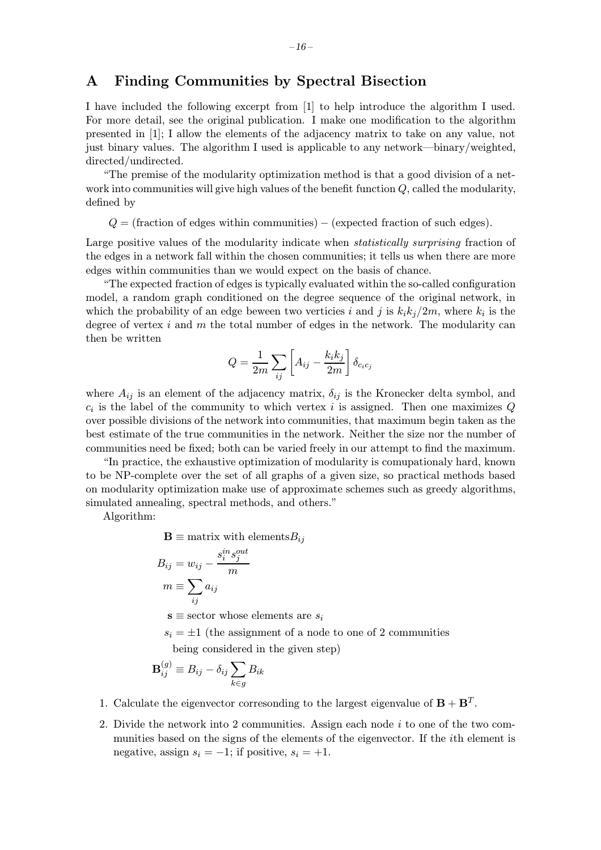### A Finding Communities by Spectral Bisection

I have included the following excerpt from [1] to help introduce the algorithm I used. For more detail, see the original publication. I make one modification to the algorithm presented in [1]; I allow the elements of the adjacency matrix to take on any value, not just binary values. The algorithm I used is applicable to any network—binary/weighted, directed/undirected.

"The premise of the modularity optimization method is that a good division of a network into communities will give high values of the benefit function  $Q$ , called the modularity, defined by

 $Q =$  (fraction of edges within communities) – (expected fraction of such edges).

Large positive values of the modularity indicate when *statistically surprising* fraction of the edges in a network fall within the chosen communities; it tells us when there are more edges within communities than we would expect on the basis of chance.

"The expected fraction of edges is typically evaluated within the so-called configuration model, a random graph conditioned on the degree sequence of the original network, in which the probability of an edge beween two verticies i and j is  $k_i k_j/2m$ , where  $k_i$  is the degree of vertex  $i$  and  $m$  the total number of edges in the network. The modularity can then be written

$$
Q = \frac{1}{2m} \sum_{ij} \left[ A_{ij} - \frac{k_i k_j}{2m} \right] \delta_{c_i c_j}
$$

where  $A_{ij}$  is an element of the adjacency matrix,  $\delta_{ij}$  is the Kronecker delta symbol, and  $c_i$  is the label of the community to which vertex i is assigned. Then one maximizes  $Q$ over possible divisions of the network into communities, that maximum begin taken as the best estimate of the true communities in the network. Neither the size nor the number of communities need be fixed; both can be varied freely in our attempt to find the maximum.

"In practice, the exhaustive optimization of modularity is comupationaly hard, known to be NP-complete over the set of all graphs of a given size, so practical methods based on modularity optimization make use of approximate schemes such as greedy algorithms, simulated annealing, spectral methods, and others."

Algorithm:

 $\mathbf{B} \equiv$  matrix with elements $B_{ij}$ 

$$
B_{ij} = w_{ij} - \frac{s_i^{in} s_j^{out}}{m}
$$
  

$$
m \equiv \sum_{ij} a_{ij}
$$
  

$$
\mathbf{s} \equiv \text{sector whose elements are } s_i
$$

 $s_i = \pm 1$  (the assignment of a node to one of 2 communities

being considered in the given step)

$$
\mathbf{B}_{ij}^{(g)} \equiv B_{ij} - \delta_{ij} \sum_{k \in g} B_{ik}
$$

- 1. Calculate the eigenvector corresonding to the largest eigenvalue of  $\mathbf{B} + \mathbf{B}^{T}$ .
- 2. Divide the network into 2 communities. Assign each node i to one of the two communities based on the signs of the elements of the eigenvector. If the ith element is negative, assign  $s_i = -1$ ; if positive,  $s_i = +1$ .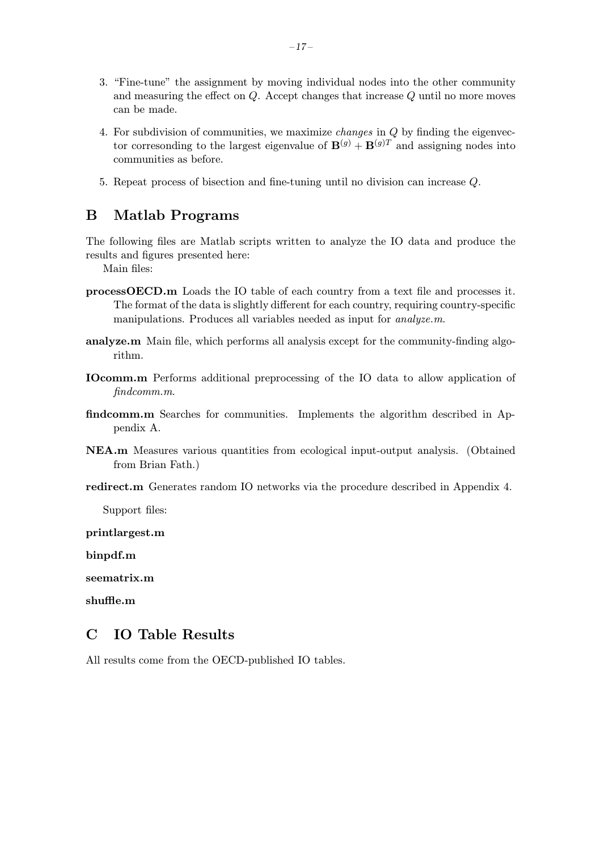- 3. "Fine-tune" the assignment by moving individual nodes into the other community and measuring the effect on Q. Accept changes that increase Q until no more moves can be made.
- 4. For subdivision of communities, we maximize changes in Q by finding the eigenvector corresonding to the largest eigenvalue of  $\mathbf{B}^{(g)} + \mathbf{B}^{(g)T}$  and assigning nodes into communities as before.
- 5. Repeat process of bisection and fine-tuning until no division can increase Q.

### B Matlab Programs

The following files are Matlab scripts written to analyze the IO data and produce the results and figures presented here:

Main files:

- processOECD.m Loads the IO table of each country from a text file and processes it. The format of the data is slightly different for each country, requiring country-specific manipulations. Produces all variables needed as input for analyze.m.
- analyze.m Main file, which performs all analysis except for the community-finding algorithm.
- IOcomm.m Performs additional preprocessing of the IO data to allow application of findcomm.m.
- findcomm.m Searches for communities. Implements the algorithm described in Appendix A.
- NEA.m Measures various quantities from ecological input-output analysis. (Obtained from Brian Fath.)
- redirect.m Generates random IO networks via the procedure described in Appendix 4.

Support files:

printlargest.m

binpdf.m

seematrix.m

shuffle.m

### C IO Table Results

All results come from the OECD-published IO tables.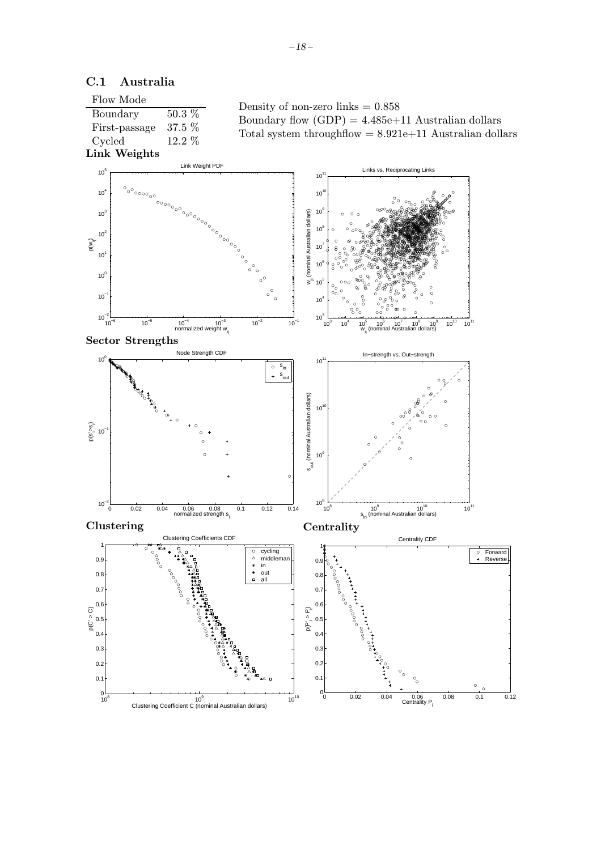

### C.1 Australia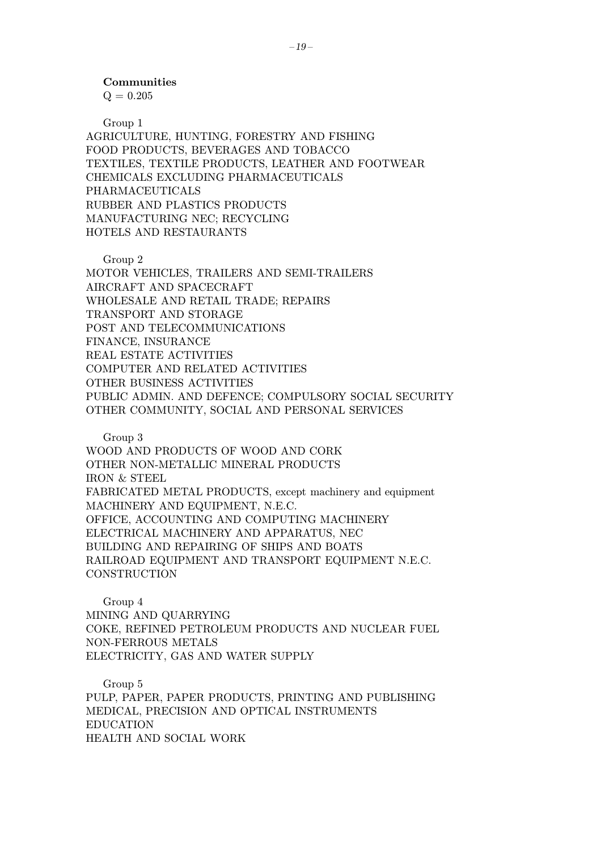Communities

 $Q = 0.205$ 

Group 1

AGRICULTURE, HUNTING, FORESTRY AND FISHING FOOD PRODUCTS, BEVERAGES AND TOBACCO TEXTILES, TEXTILE PRODUCTS, LEATHER AND FOOTWEAR CHEMICALS EXCLUDING PHARMACEUTICALS PHARMACEUTICALS RUBBER AND PLASTICS PRODUCTS MANUFACTURING NEC; RECYCLING HOTELS AND RESTAURANTS

Group 2

MOTOR VEHICLES, TRAILERS AND SEMI-TRAILERS AIRCRAFT AND SPACECRAFT WHOLESALE AND RETAIL TRADE; REPAIRS TRANSPORT AND STORAGE POST AND TELECOMMUNICATIONS FINANCE, INSURANCE REAL ESTATE ACTIVITIES COMPUTER AND RELATED ACTIVITIES OTHER BUSINESS ACTIVITIES PUBLIC ADMIN. AND DEFENCE; COMPULSORY SOCIAL SECURITY OTHER COMMUNITY, SOCIAL AND PERSONAL SERVICES

Group 3

WOOD AND PRODUCTS OF WOOD AND CORK OTHER NON-METALLIC MINERAL PRODUCTS IRON & STEEL FABRICATED METAL PRODUCTS, except machinery and equipment MACHINERY AND EQUIPMENT, N.E.C. OFFICE, ACCOUNTING AND COMPUTING MACHINERY ELECTRICAL MACHINERY AND APPARATUS, NEC BUILDING AND REPAIRING OF SHIPS AND BOATS RAILROAD EQUIPMENT AND TRANSPORT EQUIPMENT N.E.C. **CONSTRUCTION** 

Group 4 MINING AND QUARRYING COKE, REFINED PETROLEUM PRODUCTS AND NUCLEAR FUEL NON-FERROUS METALS ELECTRICITY, GAS AND WATER SUPPLY

Group 5 PULP, PAPER, PAPER PRODUCTS, PRINTING AND PUBLISHING MEDICAL, PRECISION AND OPTICAL INSTRUMENTS EDUCATION HEALTH AND SOCIAL WORK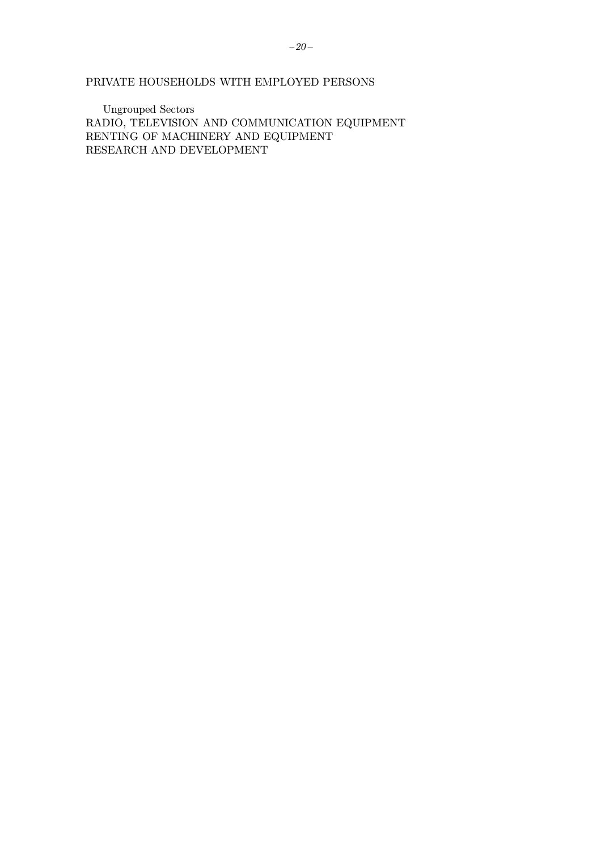PRIVATE HOUSEHOLDS WITH EMPLOYED PERSONS

Ungrouped Sectors RADIO, TELEVISION AND COMMUNICATION EQUIPMENT RENTING OF MACHINERY AND EQUIPMENT RESEARCH AND DEVELOPMENT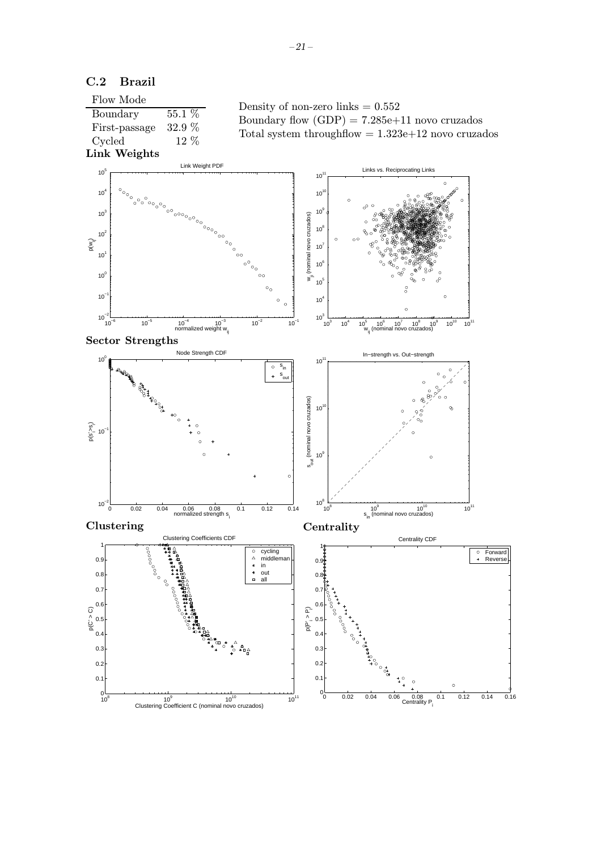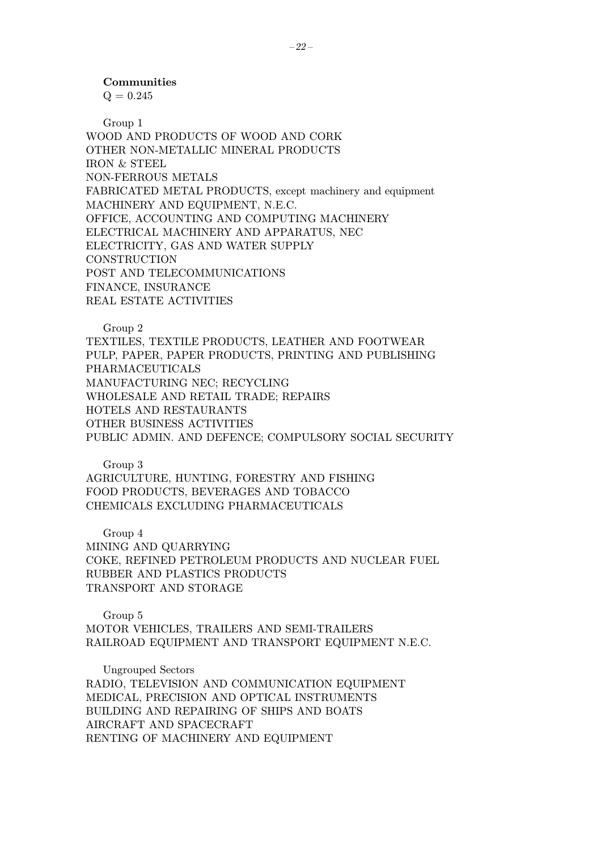#### Communities

 $Q = 0.245$ 

Group 1 WOOD AND PRODUCTS OF WOOD AND CORK OTHER NON-METALLIC MINERAL PRODUCTS IRON & STEEL NON-FERROUS METALS FABRICATED METAL PRODUCTS, except machinery and equipment MACHINERY AND EQUIPMENT, N.E.C. OFFICE, ACCOUNTING AND COMPUTING MACHINERY ELECTRICAL MACHINERY AND APPARATUS, NEC ELECTRICITY, GAS AND WATER SUPPLY **CONSTRUCTION** POST AND TELECOMMUNICATIONS FINANCE, INSURANCE REAL ESTATE ACTIVITIES

Group 2

TEXTILES, TEXTILE PRODUCTS, LEATHER AND FOOTWEAR PULP, PAPER, PAPER PRODUCTS, PRINTING AND PUBLISHING PHARMACEUTICALS MANUFACTURING NEC; RECYCLING WHOLESALE AND RETAIL TRADE; REPAIRS HOTELS AND RESTAURANTS OTHER BUSINESS ACTIVITIES PUBLIC ADMIN. AND DEFENCE; COMPULSORY SOCIAL SECURITY

#### Group 3

AGRICULTURE, HUNTING, FORESTRY AND FISHING FOOD PRODUCTS, BEVERAGES AND TOBACCO CHEMICALS EXCLUDING PHARMACEUTICALS

Group 4

MINING AND QUARRYING COKE, REFINED PETROLEUM PRODUCTS AND NUCLEAR FUEL RUBBER AND PLASTICS PRODUCTS TRANSPORT AND STORAGE

Group 5 MOTOR VEHICLES, TRAILERS AND SEMI-TRAILERS RAILROAD EQUIPMENT AND TRANSPORT EQUIPMENT N.E.C.

Ungrouped Sectors RADIO, TELEVISION AND COMMUNICATION EQUIPMENT MEDICAL, PRECISION AND OPTICAL INSTRUMENTS BUILDING AND REPAIRING OF SHIPS AND BOATS AIRCRAFT AND SPACECRAFT RENTING OF MACHINERY AND EQUIPMENT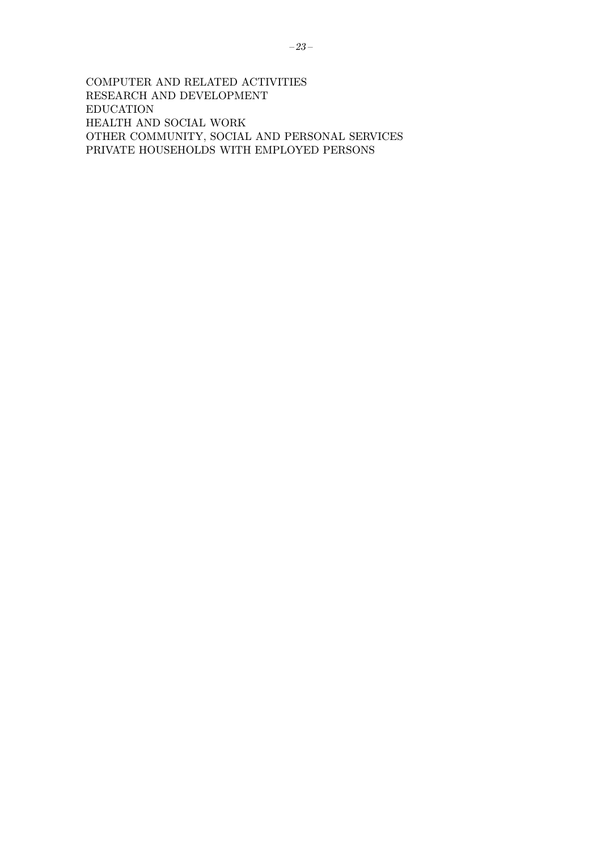COMPUTER AND RELATED ACTIVITIES RESEARCH AND DEVELOPMENT EDUCATION HEALTH AND SOCIAL WORK OTHER COMMUNITY, SOCIAL AND PERSONAL SERVICES PRIVATE HOUSEHOLDS WITH EMPLOYED PERSONS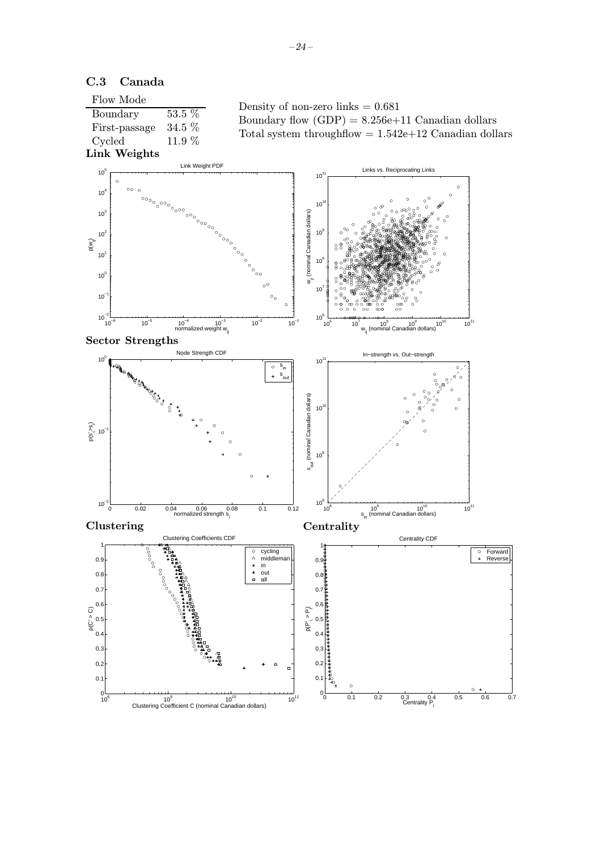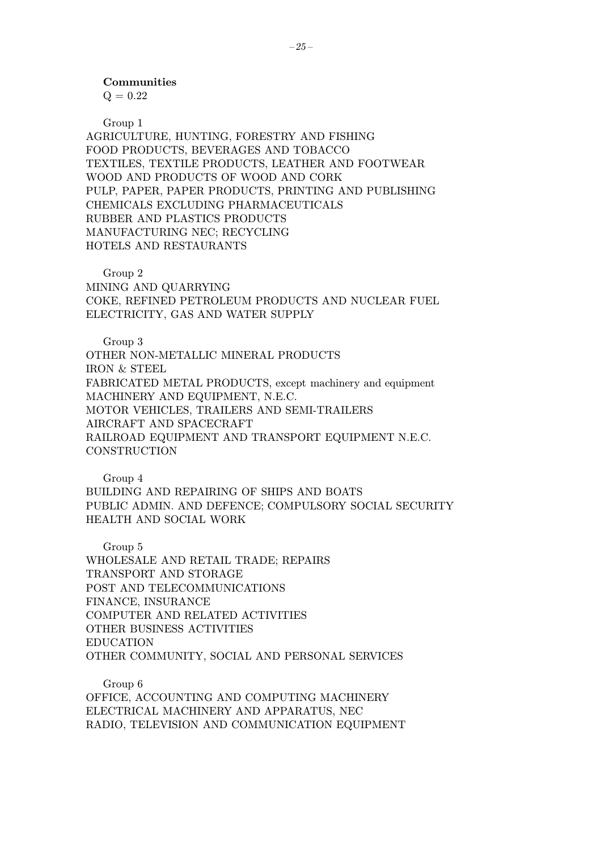Communities

 $Q = 0.22$ 

Group 1

AGRICULTURE, HUNTING, FORESTRY AND FISHING FOOD PRODUCTS, BEVERAGES AND TOBACCO TEXTILES, TEXTILE PRODUCTS, LEATHER AND FOOTWEAR WOOD AND PRODUCTS OF WOOD AND CORK PULP, PAPER, PAPER PRODUCTS, PRINTING AND PUBLISHING CHEMICALS EXCLUDING PHARMACEUTICALS RUBBER AND PLASTICS PRODUCTS MANUFACTURING NEC; RECYCLING HOTELS AND RESTAURANTS

Group 2 MINING AND QUARRYING COKE, REFINED PETROLEUM PRODUCTS AND NUCLEAR FUEL ELECTRICITY, GAS AND WATER SUPPLY

Group 3 OTHER NON-METALLIC MINERAL PRODUCTS IRON & STEEL FABRICATED METAL PRODUCTS, except machinery and equipment MACHINERY AND EQUIPMENT, N.E.C. MOTOR VEHICLES, TRAILERS AND SEMI-TRAILERS AIRCRAFT AND SPACECRAFT RAILROAD EQUIPMENT AND TRANSPORT EQUIPMENT N.E.C. **CONSTRUCTION** 

Group 4

BUILDING AND REPAIRING OF SHIPS AND BOATS PUBLIC ADMIN. AND DEFENCE; COMPULSORY SOCIAL SECURITY HEALTH AND SOCIAL WORK

Group 5 WHOLESALE AND RETAIL TRADE; REPAIRS TRANSPORT AND STORAGE POST AND TELECOMMUNICATIONS FINANCE, INSURANCE COMPUTER AND RELATED ACTIVITIES OTHER BUSINESS ACTIVITIES EDUCATION OTHER COMMUNITY, SOCIAL AND PERSONAL SERVICES

Group 6 OFFICE, ACCOUNTING AND COMPUTING MACHINERY ELECTRICAL MACHINERY AND APPARATUS, NEC RADIO, TELEVISION AND COMMUNICATION EQUIPMENT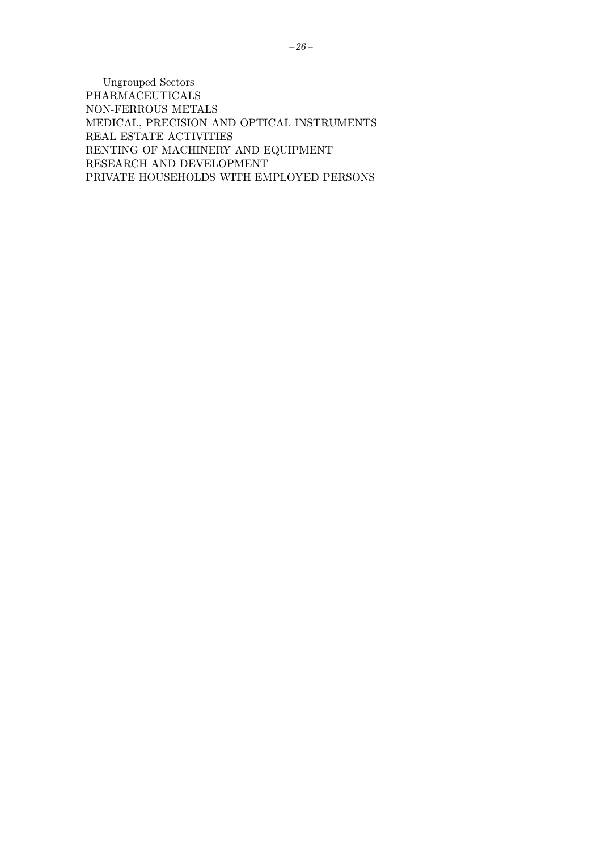Ungrouped Sectors PHARMACEUTICALS NON-FERROUS METALS MEDICAL, PRECISION AND OPTICAL INSTRUMENTS REAL ESTATE ACTIVITIES RENTING OF MACHINERY AND EQUIPMENT RESEARCH AND DEVELOPMENT PRIVATE HOUSEHOLDS WITH EMPLOYED PERSONS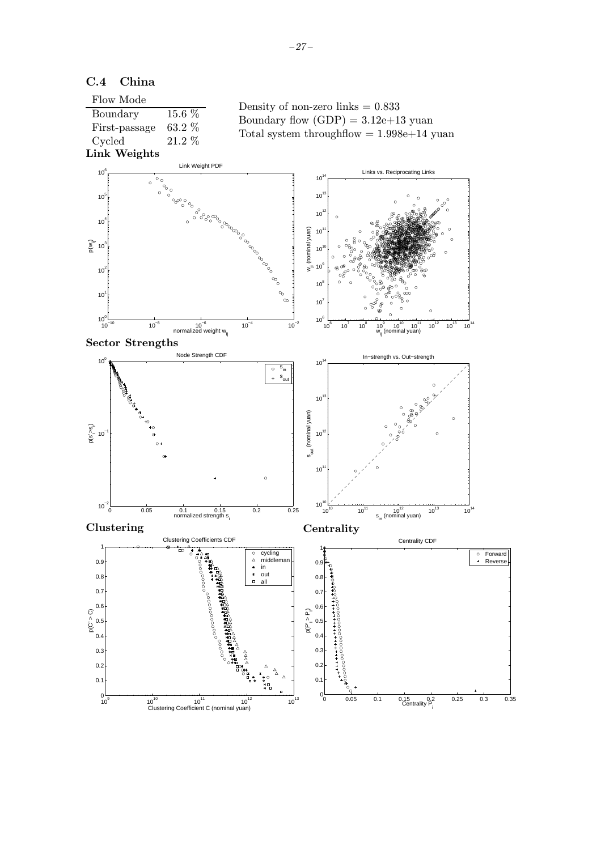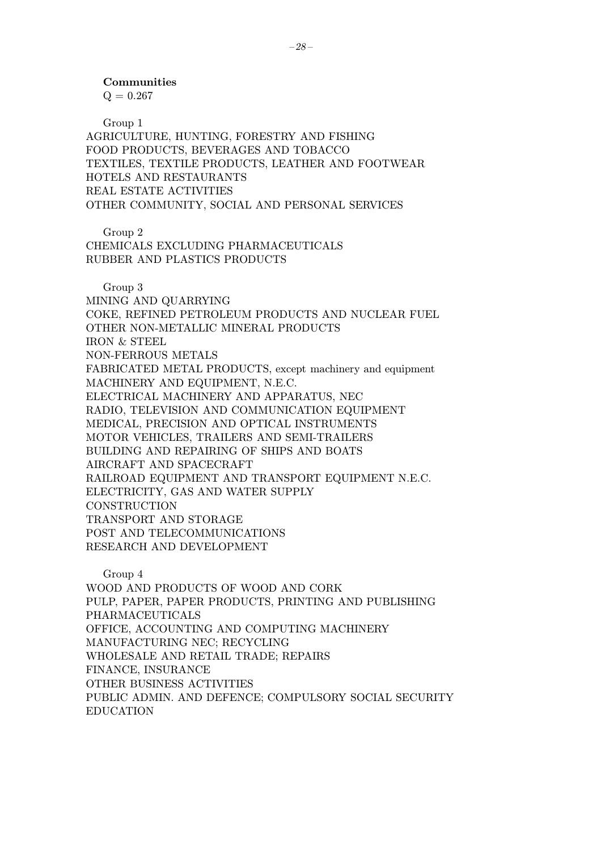Communities

 $Q = 0.267$ 

Group 1 AGRICULTURE, HUNTING, FORESTRY AND FISHING FOOD PRODUCTS, BEVERAGES AND TOBACCO TEXTILES, TEXTILE PRODUCTS, LEATHER AND FOOTWEAR HOTELS AND RESTAURANTS REAL ESTATE ACTIVITIES OTHER COMMUNITY, SOCIAL AND PERSONAL SERVICES

Group 2

CHEMICALS EXCLUDING PHARMACEUTICALS RUBBER AND PLASTICS PRODUCTS

Group 3

MINING AND QUARRYING COKE, REFINED PETROLEUM PRODUCTS AND NUCLEAR FUEL OTHER NON-METALLIC MINERAL PRODUCTS IRON & STEEL NON-FERROUS METALS FABRICATED METAL PRODUCTS, except machinery and equipment MACHINERY AND EQUIPMENT, N.E.C. ELECTRICAL MACHINERY AND APPARATUS, NEC RADIO, TELEVISION AND COMMUNICATION EQUIPMENT MEDICAL, PRECISION AND OPTICAL INSTRUMENTS MOTOR VEHICLES, TRAILERS AND SEMI-TRAILERS BUILDING AND REPAIRING OF SHIPS AND BOATS AIRCRAFT AND SPACECRAFT RAILROAD EQUIPMENT AND TRANSPORT EQUIPMENT N.E.C. ELECTRICITY, GAS AND WATER SUPPLY **CONSTRUCTION** TRANSPORT AND STORAGE POST AND TELECOMMUNICATIONS RESEARCH AND DEVELOPMENT

Group 4 WOOD AND PRODUCTS OF WOOD AND CORK PULP, PAPER, PAPER PRODUCTS, PRINTING AND PUBLISHING PHARMACEUTICALS OFFICE, ACCOUNTING AND COMPUTING MACHINERY MANUFACTURING NEC; RECYCLING WHOLESALE AND RETAIL TRADE; REPAIRS FINANCE, INSURANCE OTHER BUSINESS ACTIVITIES PUBLIC ADMIN. AND DEFENCE; COMPULSORY SOCIAL SECURITY EDUCATION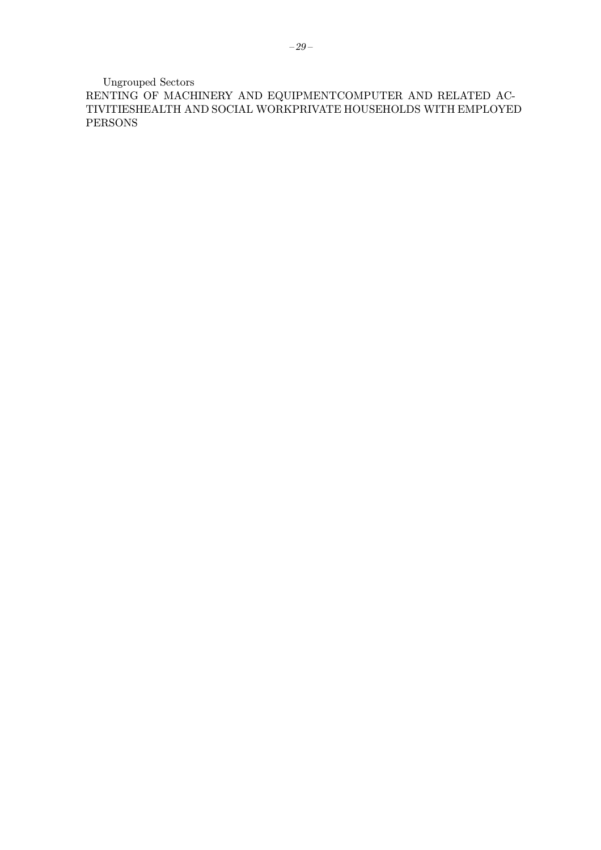Ungrouped Sectors

RENTING OF MACHINERY AND EQUIPMENTCOMPUTER AND RELATED AC-TIVITIESHEALTH AND SOCIAL WORKPRIVATE HOUSEHOLDS WITH EMPLOYED PERSONS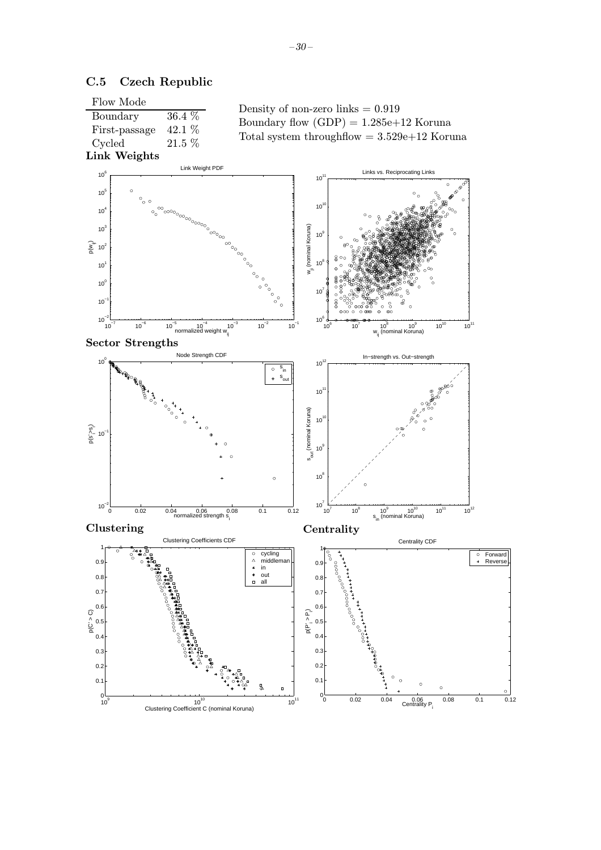

### C.5 Czech Republic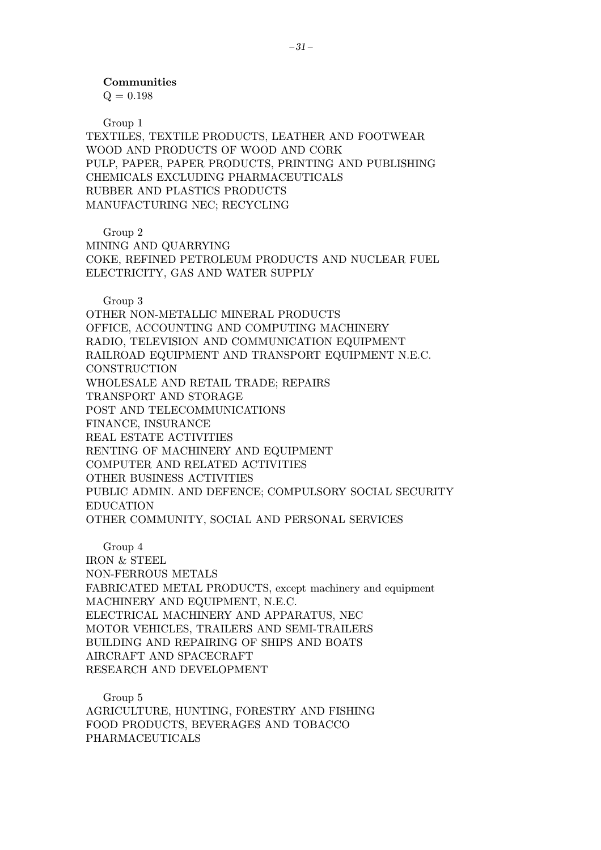#### Communities

 $Q = 0.198$ 

Group 1

TEXTILES, TEXTILE PRODUCTS, LEATHER AND FOOTWEAR WOOD AND PRODUCTS OF WOOD AND CORK PULP, PAPER, PAPER PRODUCTS, PRINTING AND PUBLISHING CHEMICALS EXCLUDING PHARMACEUTICALS RUBBER AND PLASTICS PRODUCTS MANUFACTURING NEC; RECYCLING

Group 2

MINING AND QUARRYING COKE, REFINED PETROLEUM PRODUCTS AND NUCLEAR FUEL ELECTRICITY, GAS AND WATER SUPPLY

Group 3

OTHER NON-METALLIC MINERAL PRODUCTS OFFICE, ACCOUNTING AND COMPUTING MACHINERY RADIO, TELEVISION AND COMMUNICATION EQUIPMENT RAILROAD EQUIPMENT AND TRANSPORT EQUIPMENT N.E.C. **CONSTRUCTION** WHOLESALE AND RETAIL TRADE; REPAIRS TRANSPORT AND STORAGE POST AND TELECOMMUNICATIONS FINANCE, INSURANCE REAL ESTATE ACTIVITIES RENTING OF MACHINERY AND EQUIPMENT COMPUTER AND RELATED ACTIVITIES OTHER BUSINESS ACTIVITIES PUBLIC ADMIN. AND DEFENCE; COMPULSORY SOCIAL SECURITY EDUCATION OTHER COMMUNITY, SOCIAL AND PERSONAL SERVICES

Group 4 IRON & STEEL NON-FERROUS METALS FABRICATED METAL PRODUCTS, except machinery and equipment MACHINERY AND EQUIPMENT, N.E.C. ELECTRICAL MACHINERY AND APPARATUS, NEC MOTOR VEHICLES, TRAILERS AND SEMI-TRAILERS BUILDING AND REPAIRING OF SHIPS AND BOATS AIRCRAFT AND SPACECRAFT RESEARCH AND DEVELOPMENT

Group 5 AGRICULTURE, HUNTING, FORESTRY AND FISHING FOOD PRODUCTS, BEVERAGES AND TOBACCO PHARMACEUTICALS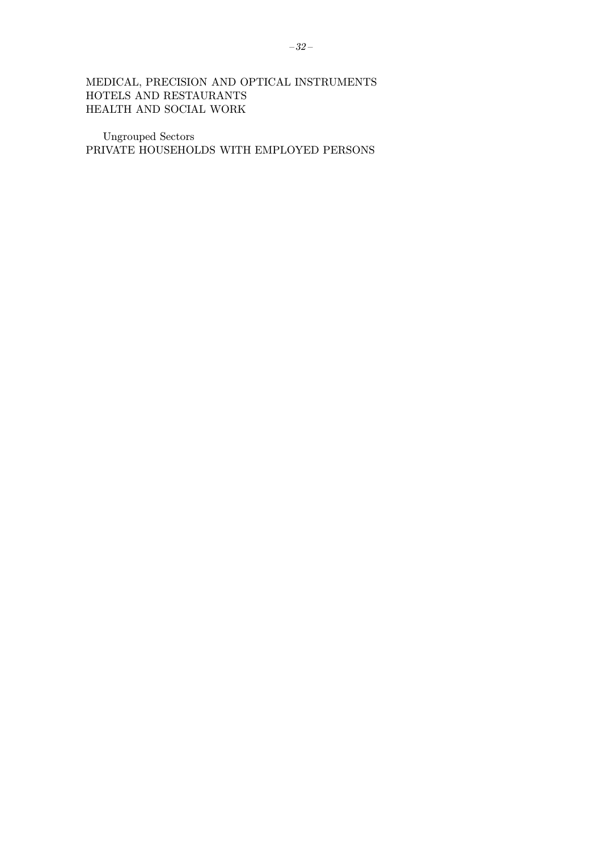# MEDICAL, PRECISION AND OPTICAL INSTRUMENTS HOTELS AND RESTAURANTS HEALTH AND SOCIAL WORK

Ungrouped Sectors PRIVATE HOUSEHOLDS WITH EMPLOYED PERSONS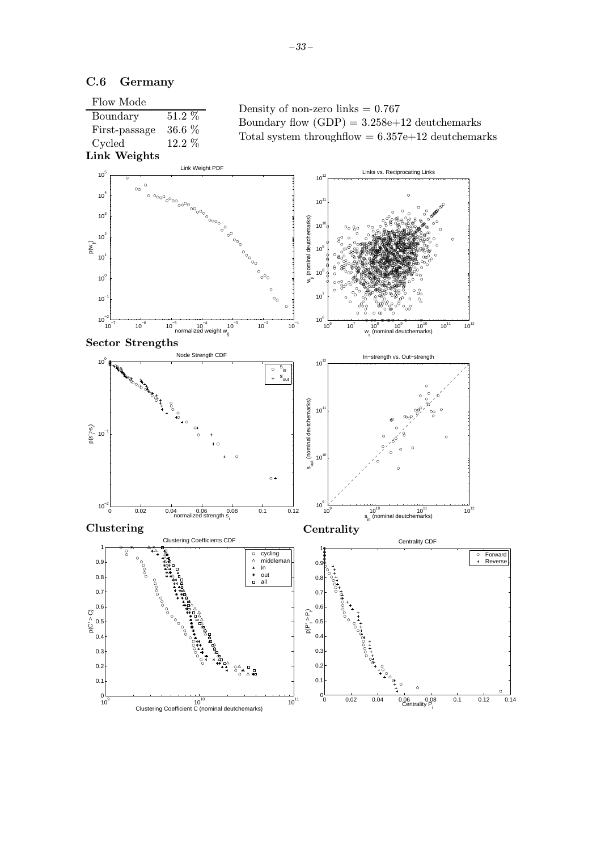

### C.6 Germany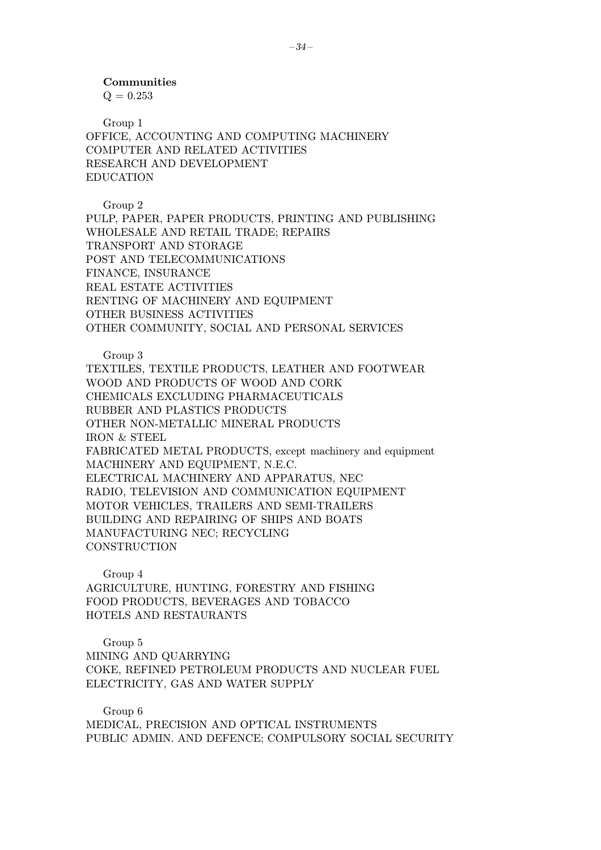$Q = 0.253$ 

Group 1 OFFICE, ACCOUNTING AND COMPUTING MACHINERY COMPUTER AND RELATED ACTIVITIES RESEARCH AND DEVELOPMENT EDUCATION

Group 2

PULP, PAPER, PAPER PRODUCTS, PRINTING AND PUBLISHING WHOLESALE AND RETAIL TRADE; REPAIRS TRANSPORT AND STORAGE POST AND TELECOMMUNICATIONS FINANCE, INSURANCE REAL ESTATE ACTIVITIES RENTING OF MACHINERY AND EQUIPMENT OTHER BUSINESS ACTIVITIES OTHER COMMUNITY, SOCIAL AND PERSONAL SERVICES

Group 3

TEXTILES, TEXTILE PRODUCTS, LEATHER AND FOOTWEAR WOOD AND PRODUCTS OF WOOD AND CORK CHEMICALS EXCLUDING PHARMACEUTICALS RUBBER AND PLASTICS PRODUCTS OTHER NON-METALLIC MINERAL PRODUCTS IRON & STEEL FABRICATED METAL PRODUCTS, except machinery and equipment MACHINERY AND EQUIPMENT, N.E.C. ELECTRICAL MACHINERY AND APPARATUS, NEC RADIO, TELEVISION AND COMMUNICATION EQUIPMENT MOTOR VEHICLES, TRAILERS AND SEMI-TRAILERS BUILDING AND REPAIRING OF SHIPS AND BOATS MANUFACTURING NEC; RECYCLING **CONSTRUCTION** 

Group 4

AGRICULTURE, HUNTING, FORESTRY AND FISHING FOOD PRODUCTS, BEVERAGES AND TOBACCO HOTELS AND RESTAURANTS

Group 5

MINING AND QUARRYING COKE, REFINED PETROLEUM PRODUCTS AND NUCLEAR FUEL ELECTRICITY, GAS AND WATER SUPPLY

Group 6 MEDICAL, PRECISION AND OPTICAL INSTRUMENTS PUBLIC ADMIN. AND DEFENCE; COMPULSORY SOCIAL SECURITY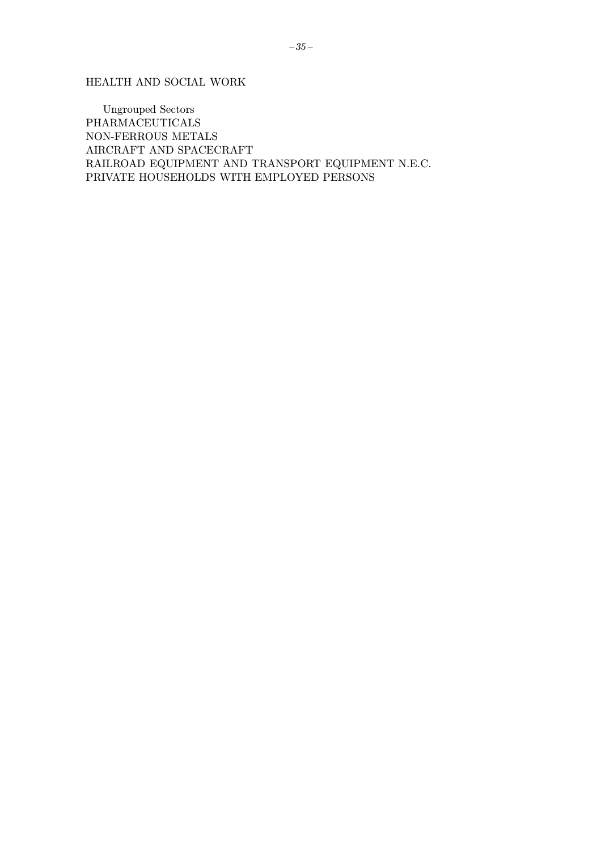HEALTH AND SOCIAL WORK

Ungrouped Sectors PHARMACEUTICALS NON-FERROUS METALS AIRCRAFT AND SPACECRAFT RAILROAD EQUIPMENT AND TRANSPORT EQUIPMENT N.E.C. PRIVATE HOUSEHOLDS WITH EMPLOYED PERSONS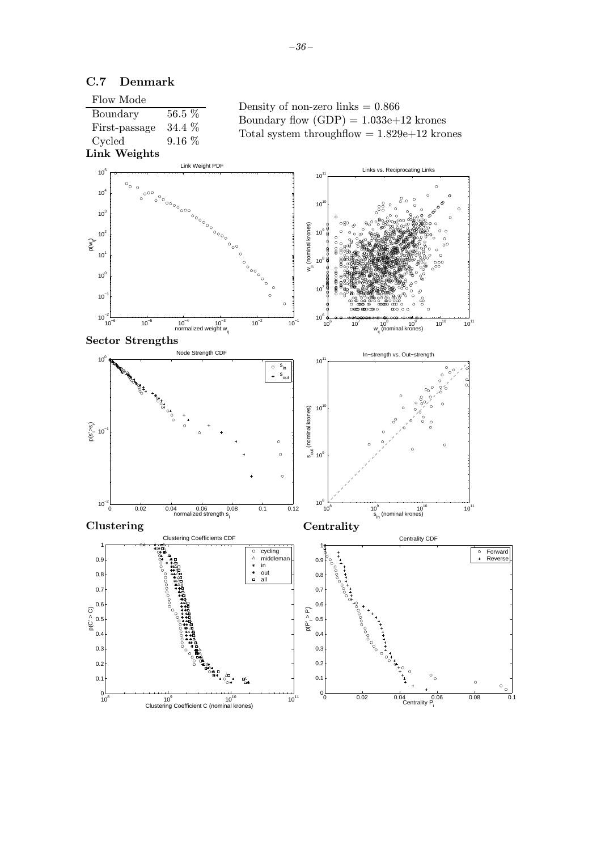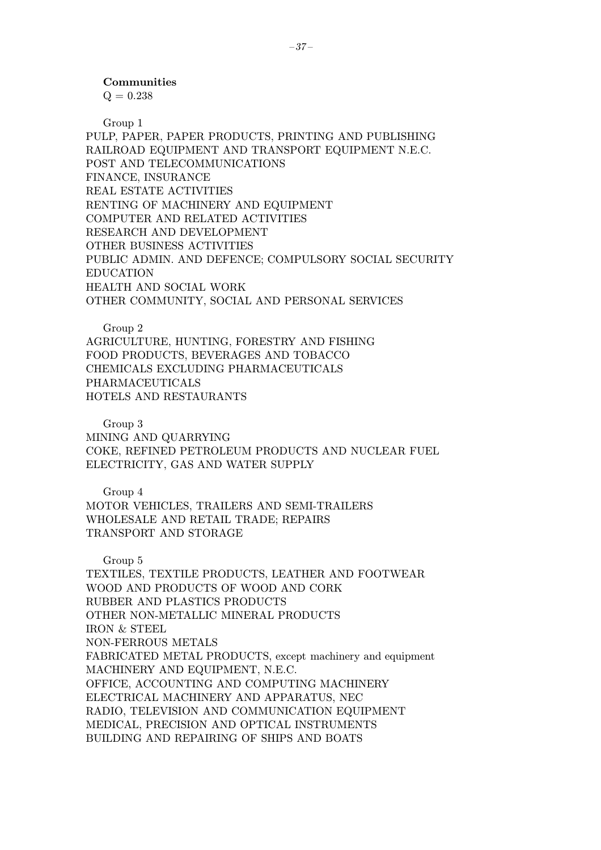$Q = 0.238$ 

Group 1

PULP, PAPER, PAPER PRODUCTS, PRINTING AND PUBLISHING RAILROAD EQUIPMENT AND TRANSPORT EQUIPMENT N.E.C. POST AND TELECOMMUNICATIONS FINANCE, INSURANCE REAL ESTATE ACTIVITIES RENTING OF MACHINERY AND EQUIPMENT COMPUTER AND RELATED ACTIVITIES RESEARCH AND DEVELOPMENT OTHER BUSINESS ACTIVITIES PUBLIC ADMIN. AND DEFENCE; COMPULSORY SOCIAL SECURITY EDUCATION HEALTH AND SOCIAL WORK OTHER COMMUNITY, SOCIAL AND PERSONAL SERVICES

Group 2

AGRICULTURE, HUNTING, FORESTRY AND FISHING FOOD PRODUCTS, BEVERAGES AND TOBACCO CHEMICALS EXCLUDING PHARMACEUTICALS PHARMACEUTICALS HOTELS AND RESTAURANTS

Group 3

MINING AND QUARRYING COKE, REFINED PETROLEUM PRODUCTS AND NUCLEAR FUEL ELECTRICITY, GAS AND WATER SUPPLY

Group 4

MOTOR VEHICLES, TRAILERS AND SEMI-TRAILERS WHOLESALE AND RETAIL TRADE; REPAIRS TRANSPORT AND STORAGE

Group 5 TEXTILES, TEXTILE PRODUCTS, LEATHER AND FOOTWEAR WOOD AND PRODUCTS OF WOOD AND CORK RUBBER AND PLASTICS PRODUCTS OTHER NON-METALLIC MINERAL PRODUCTS IRON & STEEL NON-FERROUS METALS FABRICATED METAL PRODUCTS, except machinery and equipment MACHINERY AND EQUIPMENT, N.E.C. OFFICE, ACCOUNTING AND COMPUTING MACHINERY ELECTRICAL MACHINERY AND APPARATUS, NEC RADIO, TELEVISION AND COMMUNICATION EQUIPMENT MEDICAL, PRECISION AND OPTICAL INSTRUMENTS BUILDING AND REPAIRING OF SHIPS AND BOATS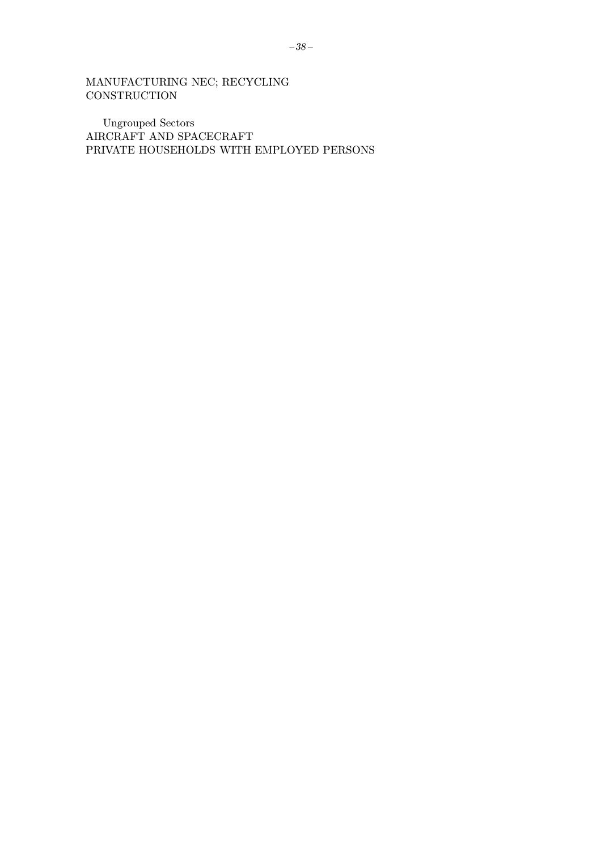MANUFACTURING NEC; RECYCLING  $$ 

**Ungrouped Sectors** AIRCRAFT AND SPACECRAFT PRIVATE HOUSEHOLDS WITH EMPLOYED PERSONS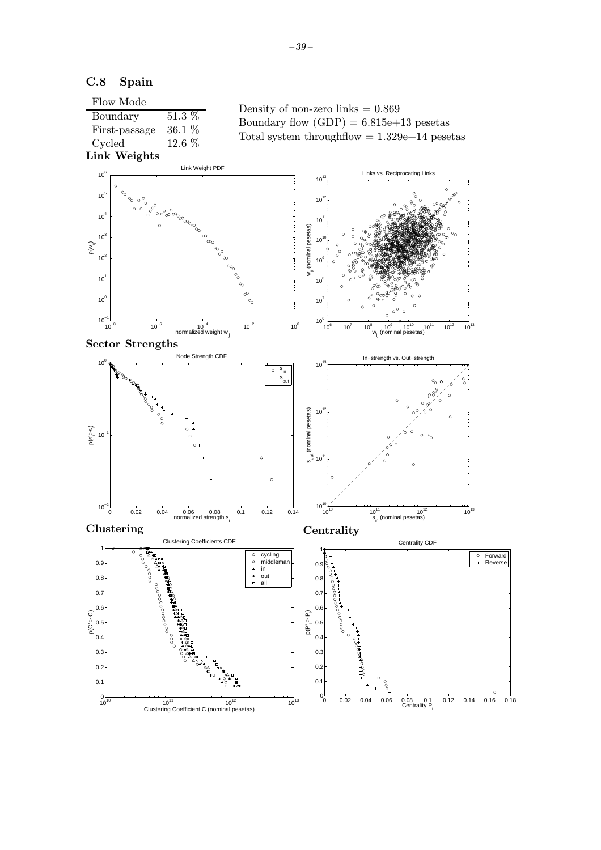

 $\alpha$ .

<sup>0</sup> 0.02 0.04 0.06 0.08 0.1 0.12 0.14 0.16 0.18 <sup>0</sup>

Forward Reverse

 $0.08$  0.1<br>Centrality P

 $10^{10}$ <br>  $10^{11}$ <br>
Clustering Coefficient C (nominal pesetas)<br>
Clustering Coefficient C (nominal pesetas)

0.1

# C.8 Spain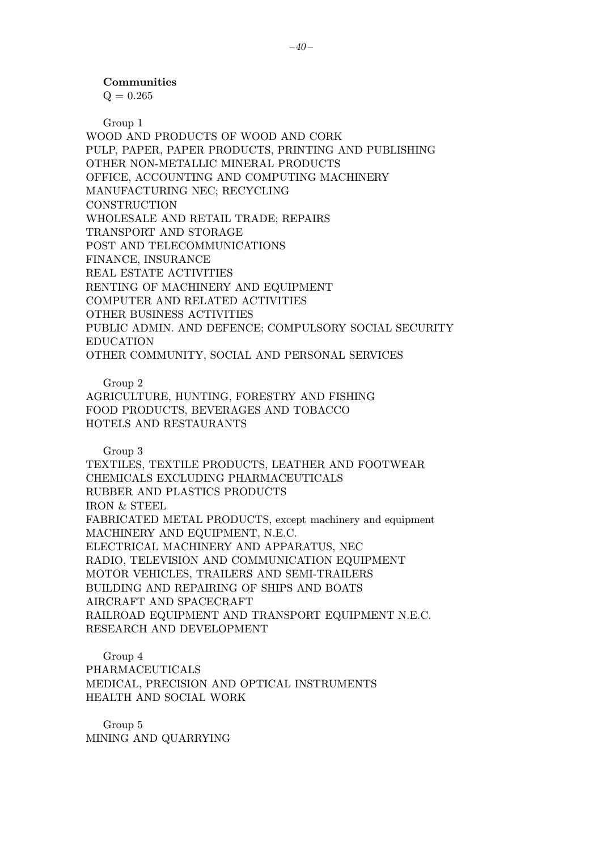$Q = 0.265$ 

Group 1

WOOD AND PRODUCTS OF WOOD AND CORK PULP, PAPER, PAPER PRODUCTS, PRINTING AND PUBLISHING OTHER NON-METALLIC MINERAL PRODUCTS OFFICE, ACCOUNTING AND COMPUTING MACHINERY MANUFACTURING NEC; RECYCLING **CONSTRUCTION** WHOLESALE AND RETAIL TRADE; REPAIRS TRANSPORT AND STORAGE POST AND TELECOMMUNICATIONS FINANCE, INSURANCE REAL ESTATE ACTIVITIES RENTING OF MACHINERY AND EQUIPMENT COMPUTER AND RELATED ACTIVITIES OTHER BUSINESS ACTIVITIES PUBLIC ADMIN. AND DEFENCE; COMPULSORY SOCIAL SECURITY EDUCATION OTHER COMMUNITY, SOCIAL AND PERSONAL SERVICES

Group 2

AGRICULTURE, HUNTING, FORESTRY AND FISHING FOOD PRODUCTS, BEVERAGES AND TOBACCO HOTELS AND RESTAURANTS

Group 3

TEXTILES, TEXTILE PRODUCTS, LEATHER AND FOOTWEAR CHEMICALS EXCLUDING PHARMACEUTICALS RUBBER AND PLASTICS PRODUCTS IRON & STEEL FABRICATED METAL PRODUCTS, except machinery and equipment MACHINERY AND EQUIPMENT, N.E.C. ELECTRICAL MACHINERY AND APPARATUS, NEC RADIO, TELEVISION AND COMMUNICATION EQUIPMENT MOTOR VEHICLES, TRAILERS AND SEMI-TRAILERS BUILDING AND REPAIRING OF SHIPS AND BOATS AIRCRAFT AND SPACECRAFT RAILROAD EQUIPMENT AND TRANSPORT EQUIPMENT N.E.C. RESEARCH AND DEVELOPMENT

Group 4 PHARMACEUTICALS MEDICAL, PRECISION AND OPTICAL INSTRUMENTS HEALTH AND SOCIAL WORK

Group 5 MINING AND QUARRYING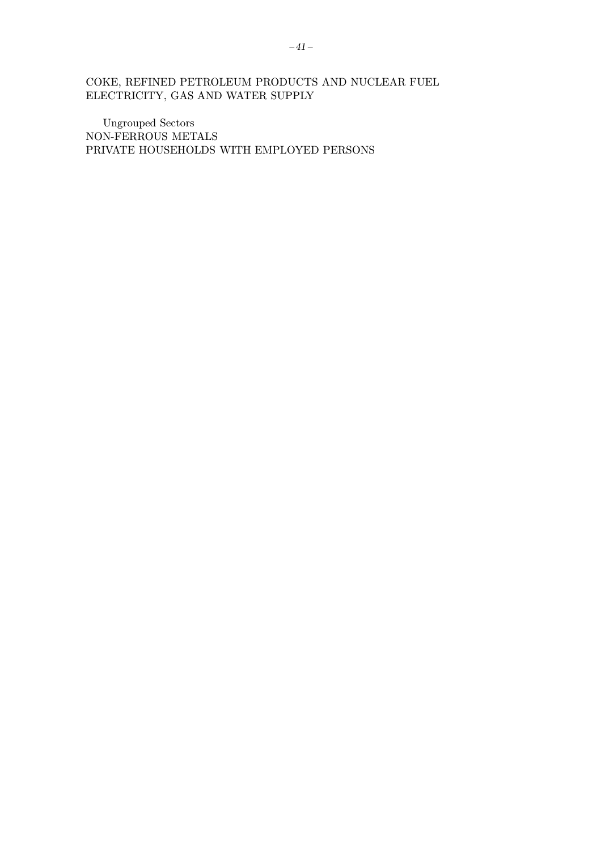COKE, REFINED PETROLEUM PRODUCTS AND NUCLEAR FUEL ELECTRICITY, GAS AND WATER SUPPLY

**Ungrouped Sectors** NON-FERROUS METALS PRIVATE HOUSEHOLDS WITH EMPLOYED PERSONS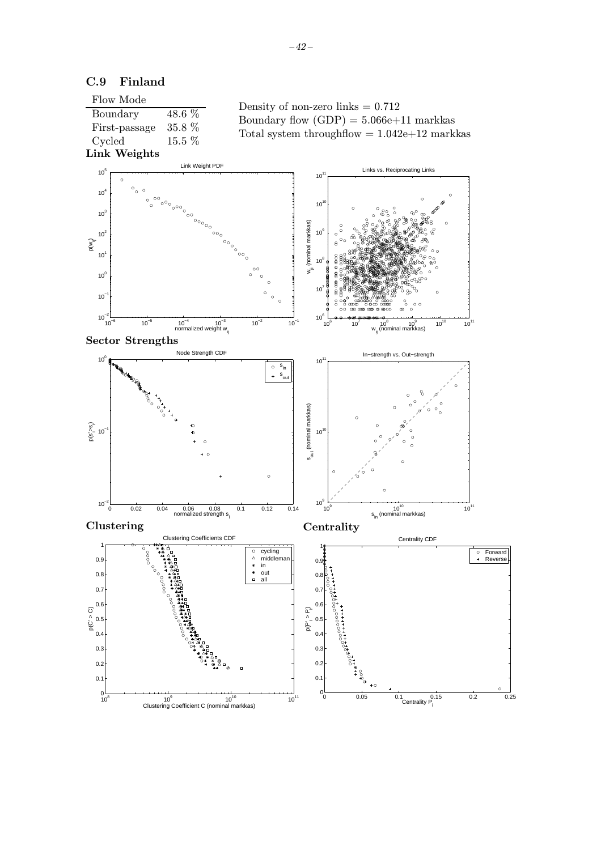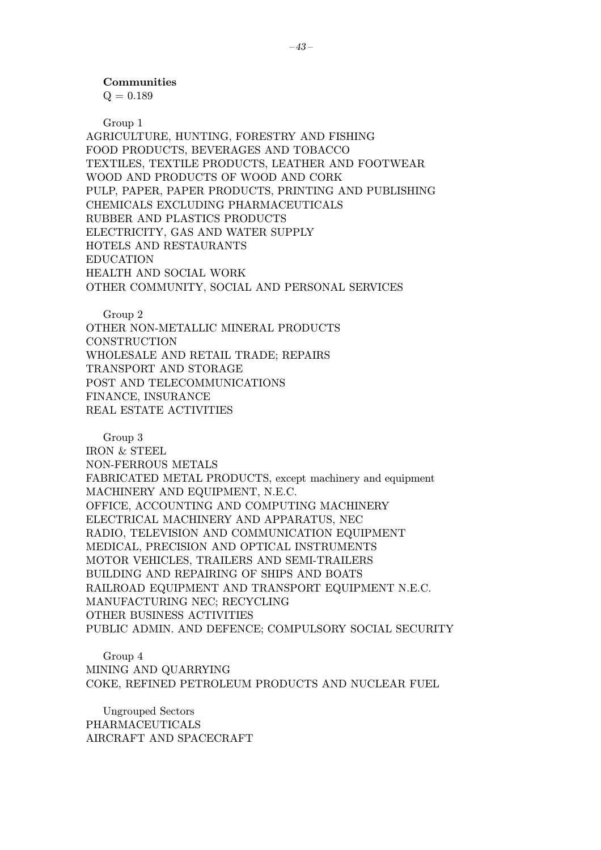$Q = 0.189$ 

Group 1

AGRICULTURE, HUNTING, FORESTRY AND FISHING FOOD PRODUCTS, BEVERAGES AND TOBACCO TEXTILES, TEXTILE PRODUCTS, LEATHER AND FOOTWEAR WOOD AND PRODUCTS OF WOOD AND CORK PULP, PAPER, PAPER PRODUCTS, PRINTING AND PUBLISHING CHEMICALS EXCLUDING PHARMACEUTICALS RUBBER AND PLASTICS PRODUCTS ELECTRICITY, GAS AND WATER SUPPLY HOTELS AND RESTAURANTS EDUCATION HEALTH AND SOCIAL WORK OTHER COMMUNITY, SOCIAL AND PERSONAL SERVICES

Group 2

OTHER NON-METALLIC MINERAL PRODUCTS **CONSTRUCTION** WHOLESALE AND RETAIL TRADE; REPAIRS TRANSPORT AND STORAGE POST AND TELECOMMUNICATIONS FINANCE, INSURANCE REAL ESTATE ACTIVITIES

Group 3 IRON & STEEL NON-FERROUS METALS FABRICATED METAL PRODUCTS, except machinery and equipment MACHINERY AND EQUIPMENT, N.E.C. OFFICE, ACCOUNTING AND COMPUTING MACHINERY ELECTRICAL MACHINERY AND APPARATUS, NEC RADIO, TELEVISION AND COMMUNICATION EQUIPMENT MEDICAL, PRECISION AND OPTICAL INSTRUMENTS MOTOR VEHICLES, TRAILERS AND SEMI-TRAILERS BUILDING AND REPAIRING OF SHIPS AND BOATS RAILROAD EQUIPMENT AND TRANSPORT EQUIPMENT N.E.C. MANUFACTURING NEC; RECYCLING OTHER BUSINESS ACTIVITIES PUBLIC ADMIN. AND DEFENCE; COMPULSORY SOCIAL SECURITY

Group 4 MINING AND QUARRYING COKE, REFINED PETROLEUM PRODUCTS AND NUCLEAR FUEL

Ungrouped Sectors PHARMACEUTICALS AIRCRAFT AND SPACECRAFT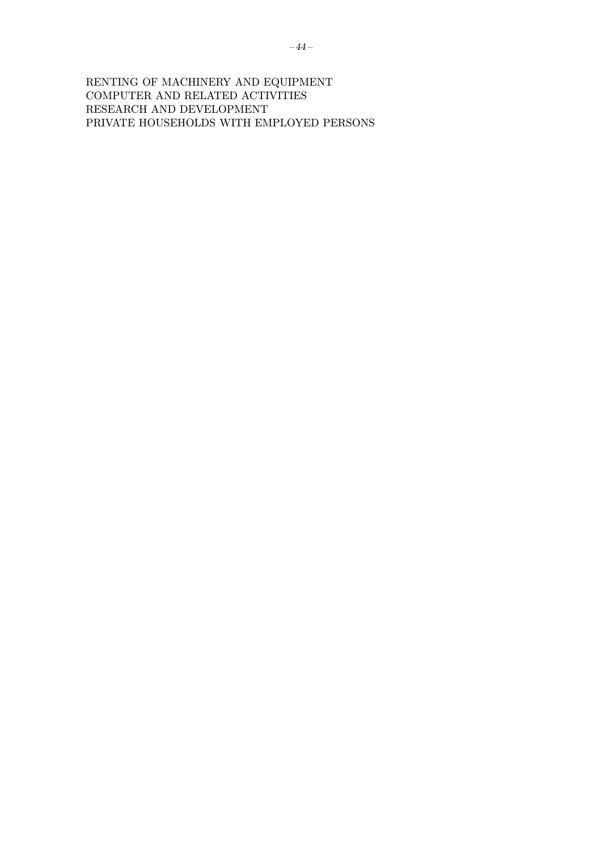RENTING OF MACHINERY AND EQUIPMENT COMPUTER AND RELATED ACTIVITIES RESEARCH AND DEVELOPMENT PRIVATE HOUSEHOLDS WITH EMPLOYED PERSONS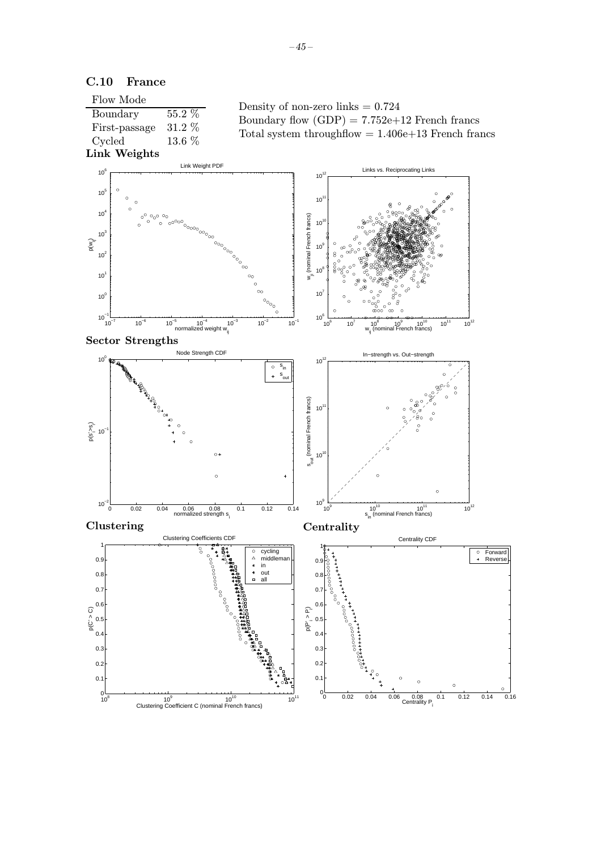

C.10 France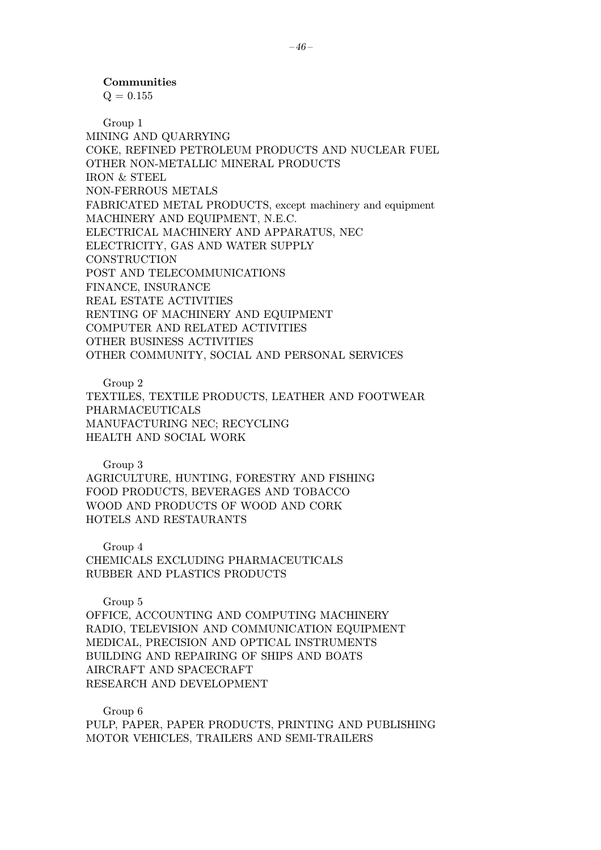$Q = 0.155$ 

Group 1 MINING AND QUARRYING COKE, REFINED PETROLEUM PRODUCTS AND NUCLEAR FUEL OTHER NON-METALLIC MINERAL PRODUCTS IRON & STEEL NON-FERROUS METALS FABRICATED METAL PRODUCTS, except machinery and equipment MACHINERY AND EQUIPMENT, N.E.C. ELECTRICAL MACHINERY AND APPARATUS, NEC ELECTRICITY, GAS AND WATER SUPPLY **CONSTRUCTION** POST AND TELECOMMUNICATIONS FINANCE, INSURANCE REAL ESTATE ACTIVITIES RENTING OF MACHINERY AND EQUIPMENT COMPUTER AND RELATED ACTIVITIES OTHER BUSINESS ACTIVITIES OTHER COMMUNITY, SOCIAL AND PERSONAL SERVICES

Group 2 TEXTILES, TEXTILE PRODUCTS, LEATHER AND FOOTWEAR PHARMACEUTICALS MANUFACTURING NEC; RECYCLING HEALTH AND SOCIAL WORK

Group 3 AGRICULTURE, HUNTING, FORESTRY AND FISHING FOOD PRODUCTS, BEVERAGES AND TOBACCO WOOD AND PRODUCTS OF WOOD AND CORK HOTELS AND RESTAURANTS

Group 4 CHEMICALS EXCLUDING PHARMACEUTICALS RUBBER AND PLASTICS PRODUCTS

Group 5

OFFICE, ACCOUNTING AND COMPUTING MACHINERY RADIO, TELEVISION AND COMMUNICATION EQUIPMENT MEDICAL, PRECISION AND OPTICAL INSTRUMENTS BUILDING AND REPAIRING OF SHIPS AND BOATS AIRCRAFT AND SPACECRAFT RESEARCH AND DEVELOPMENT

Group 6 PULP, PAPER, PAPER PRODUCTS, PRINTING AND PUBLISHING MOTOR VEHICLES, TRAILERS AND SEMI-TRAILERS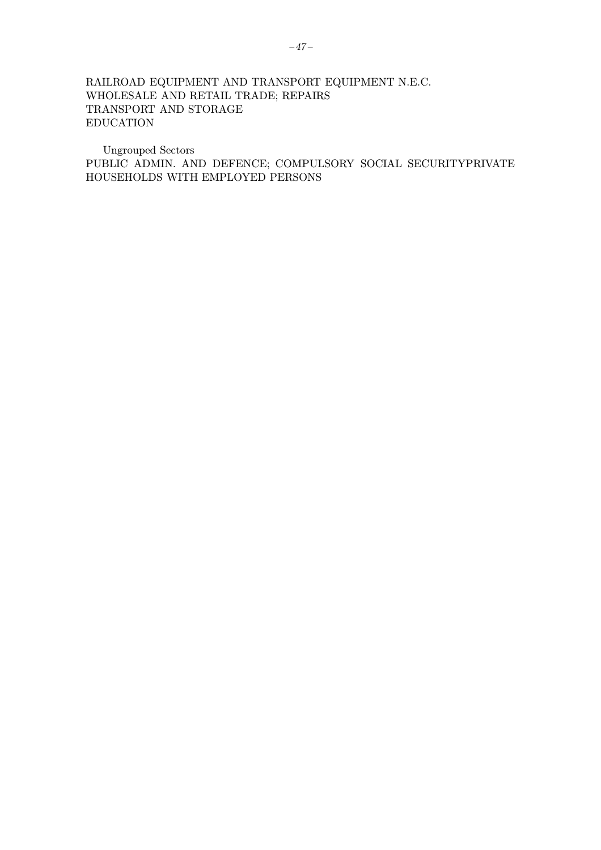# RAILROAD EQUIPMENT AND TRANSPORT EQUIPMENT N.E.C. WHOLESALE AND RETAIL TRADE; REPAIRS TRANSPORT AND STORAGE EDUCATION

Ungrouped Sectors PUBLIC ADMIN. AND DEFENCE; COMPULSORY SOCIAL SECURITYPRIVATE HOUSEHOLDS WITH EMPLOYED PERSONS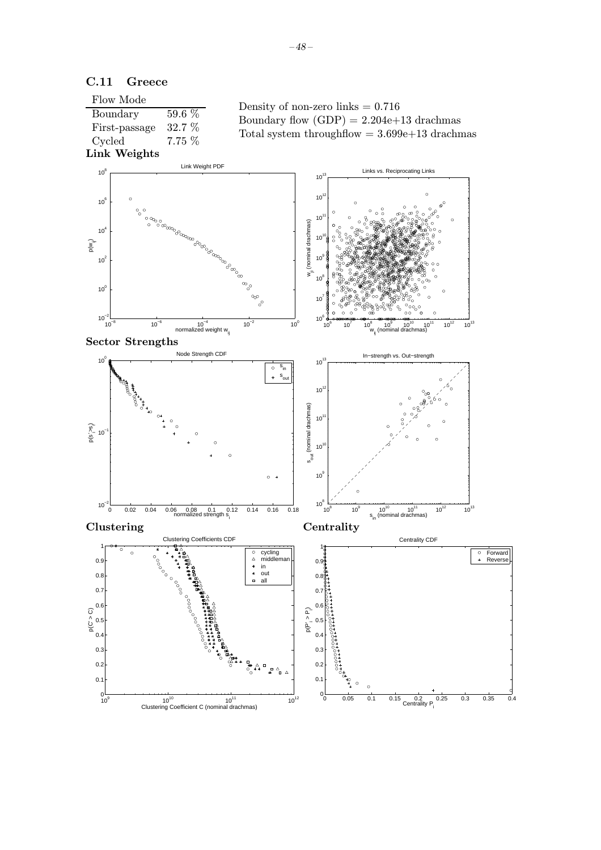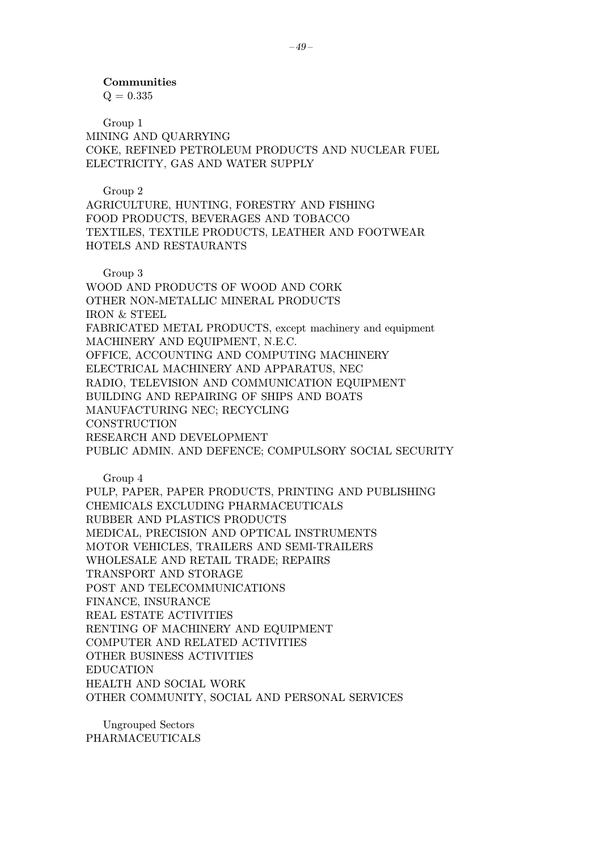$Q = 0.335$ 

Group 1 MINING AND QUARRYING COKE, REFINED PETROLEUM PRODUCTS AND NUCLEAR FUEL ELECTRICITY, GAS AND WATER SUPPLY

Group 2

AGRICULTURE, HUNTING, FORESTRY AND FISHING FOOD PRODUCTS, BEVERAGES AND TOBACCO TEXTILES, TEXTILE PRODUCTS, LEATHER AND FOOTWEAR HOTELS AND RESTAURANTS

Group 3

WOOD AND PRODUCTS OF WOOD AND CORK OTHER NON-METALLIC MINERAL PRODUCTS IRON & STEEL FABRICATED METAL PRODUCTS, except machinery and equipment MACHINERY AND EQUIPMENT, N.E.C. OFFICE, ACCOUNTING AND COMPUTING MACHINERY ELECTRICAL MACHINERY AND APPARATUS, NEC RADIO, TELEVISION AND COMMUNICATION EQUIPMENT BUILDING AND REPAIRING OF SHIPS AND BOATS MANUFACTURING NEC; RECYCLING **CONSTRUCTION** RESEARCH AND DEVELOPMENT PUBLIC ADMIN. AND DEFENCE; COMPULSORY SOCIAL SECURITY

Group 4

PULP, PAPER, PAPER PRODUCTS, PRINTING AND PUBLISHING CHEMICALS EXCLUDING PHARMACEUTICALS RUBBER AND PLASTICS PRODUCTS MEDICAL, PRECISION AND OPTICAL INSTRUMENTS MOTOR VEHICLES, TRAILERS AND SEMI-TRAILERS WHOLESALE AND RETAIL TRADE; REPAIRS TRANSPORT AND STORAGE POST AND TELECOMMUNICATIONS FINANCE, INSURANCE REAL ESTATE ACTIVITIES RENTING OF MACHINERY AND EQUIPMENT COMPUTER AND RELATED ACTIVITIES OTHER BUSINESS ACTIVITIES EDUCATION HEALTH AND SOCIAL WORK OTHER COMMUNITY, SOCIAL AND PERSONAL SERVICES

Ungrouped Sectors PHARMACEUTICALS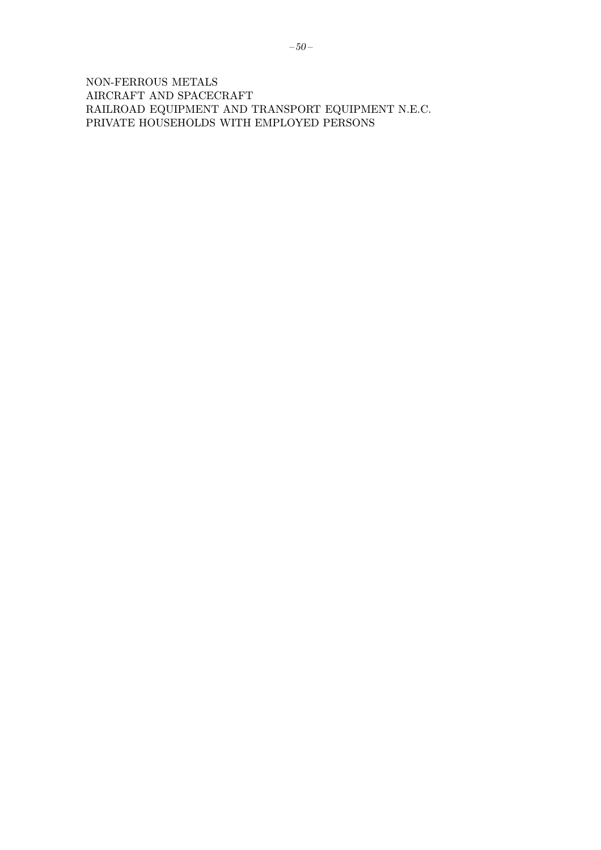NON-FERROUS METALS AIRCRAFT AND SPACECRAFT RAILROAD EQUIPMENT AND TRANSPORT EQUIPMENT N.E.C. PRIVATE HOUSEHOLDS WITH EMPLOYED PERSONS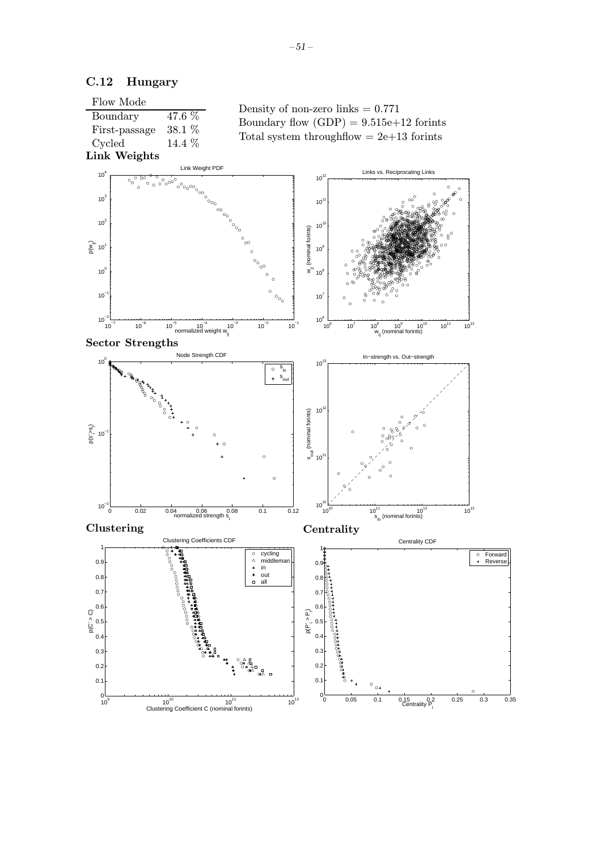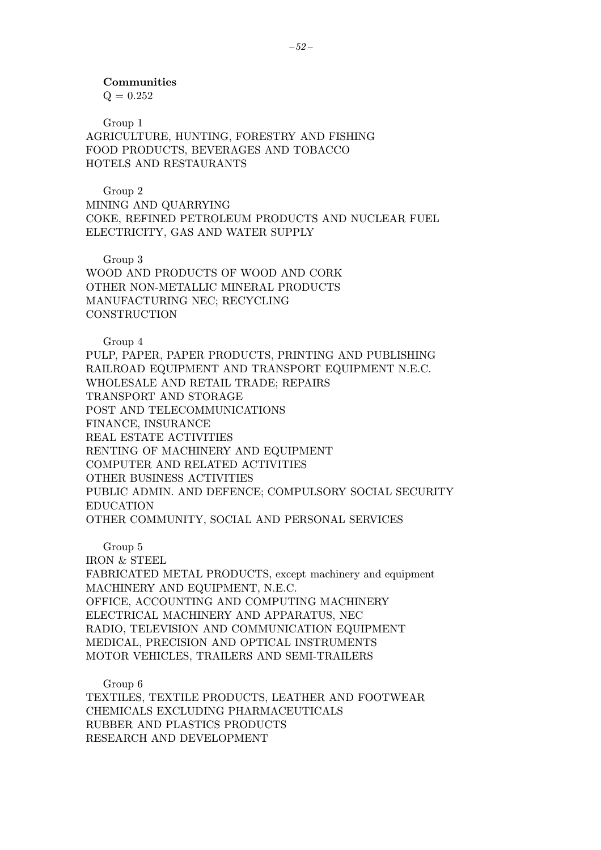$Q = 0.252$ 

Group 1 AGRICULTURE, HUNTING, FORESTRY AND FISHING FOOD PRODUCTS, BEVERAGES AND TOBACCO HOTELS AND RESTAURANTS

Group 2

MINING AND QUARRYING COKE, REFINED PETROLEUM PRODUCTS AND NUCLEAR FUEL ELECTRICITY, GAS AND WATER SUPPLY

Group 3

WOOD AND PRODUCTS OF WOOD AND CORK OTHER NON-METALLIC MINERAL PRODUCTS MANUFACTURING NEC; RECYCLING **CONSTRUCTION** 

Group 4

PULP, PAPER, PAPER PRODUCTS, PRINTING AND PUBLISHING RAILROAD EQUIPMENT AND TRANSPORT EQUIPMENT N.E.C. WHOLESALE AND RETAIL TRADE; REPAIRS TRANSPORT AND STORAGE POST AND TELECOMMUNICATIONS FINANCE, INSURANCE REAL ESTATE ACTIVITIES RENTING OF MACHINERY AND EQUIPMENT COMPUTER AND RELATED ACTIVITIES OTHER BUSINESS ACTIVITIES PUBLIC ADMIN. AND DEFENCE; COMPULSORY SOCIAL SECURITY EDUCATION OTHER COMMUNITY, SOCIAL AND PERSONAL SERVICES

Group 5

IRON & STEEL

FABRICATED METAL PRODUCTS, except machinery and equipment MACHINERY AND EQUIPMENT, N.E.C. OFFICE, ACCOUNTING AND COMPUTING MACHINERY ELECTRICAL MACHINERY AND APPARATUS, NEC RADIO, TELEVISION AND COMMUNICATION EQUIPMENT MEDICAL, PRECISION AND OPTICAL INSTRUMENTS MOTOR VEHICLES, TRAILERS AND SEMI-TRAILERS

Group 6

TEXTILES, TEXTILE PRODUCTS, LEATHER AND FOOTWEAR CHEMICALS EXCLUDING PHARMACEUTICALS RUBBER AND PLASTICS PRODUCTS RESEARCH AND DEVELOPMENT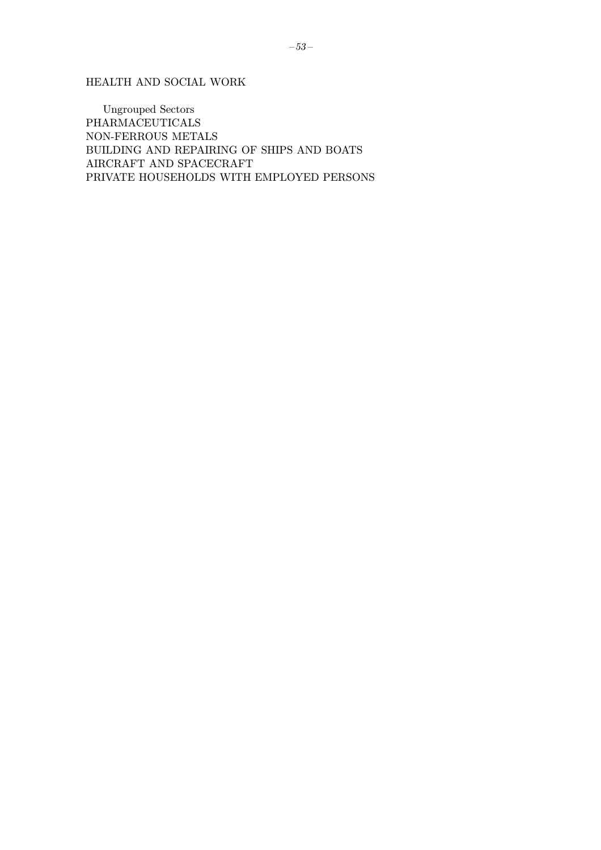HEALTH AND SOCIAL WORK

**Ungrouped Sectors** PHARMACEUTICALS NON-FERROUS METALS BUILDING AND REPAIRING OF SHIPS AND BOATS AIRCRAFT AND SPACECRAFT PRIVATE HOUSEHOLDS WITH EMPLOYED PERSONS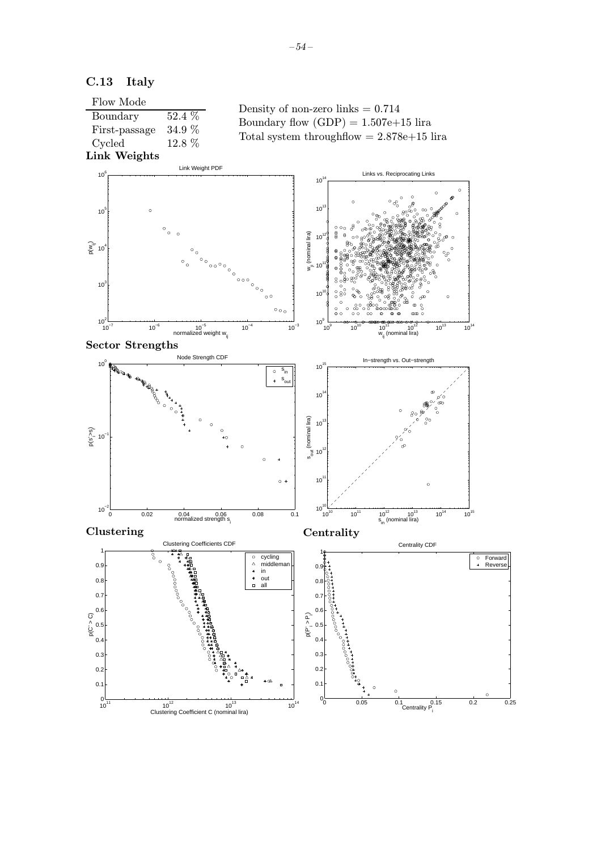

 $10^{11}$   $10^{12}$  Clustering Coefficient C (nominal lira)  $10^{13}$   $10^{14}$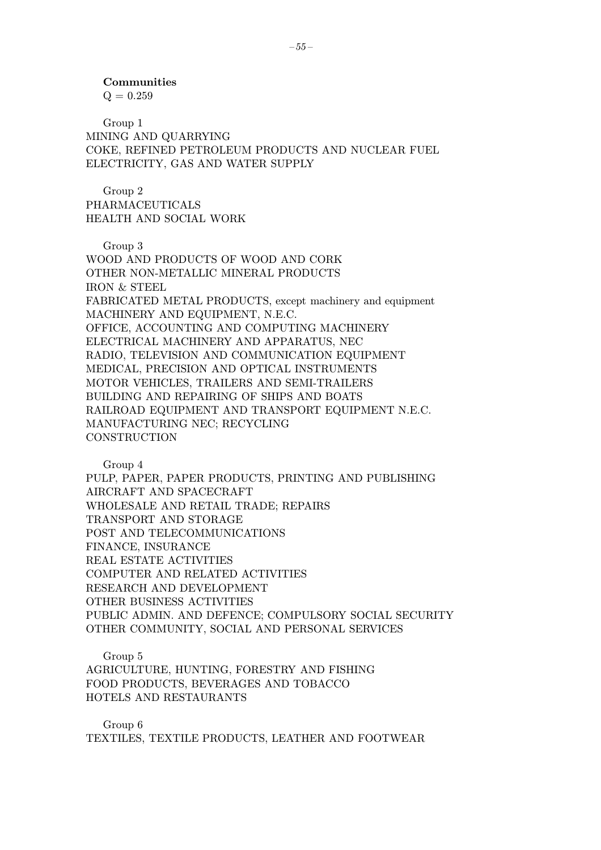Communities  $Q = 0.259$ 

Group 1 MINING AND QUARRYING COKE, REFINED PETROLEUM PRODUCTS AND NUCLEAR FUEL ELECTRICITY, GAS AND WATER SUPPLY

Group 2 PHARMACEUTICALS HEALTH AND SOCIAL WORK

Group 3

WOOD AND PRODUCTS OF WOOD AND CORK OTHER NON-METALLIC MINERAL PRODUCTS IRON & STEEL FABRICATED METAL PRODUCTS, except machinery and equipment MACHINERY AND EQUIPMENT, N.E.C. OFFICE, ACCOUNTING AND COMPUTING MACHINERY ELECTRICAL MACHINERY AND APPARATUS, NEC RADIO, TELEVISION AND COMMUNICATION EQUIPMENT MEDICAL, PRECISION AND OPTICAL INSTRUMENTS MOTOR VEHICLES, TRAILERS AND SEMI-TRAILERS BUILDING AND REPAIRING OF SHIPS AND BOATS RAILROAD EQUIPMENT AND TRANSPORT EQUIPMENT N.E.C. MANUFACTURING NEC; RECYCLING **CONSTRUCTION** 

Group 4

PULP, PAPER, PAPER PRODUCTS, PRINTING AND PUBLISHING AIRCRAFT AND SPACECRAFT WHOLESALE AND RETAIL TRADE; REPAIRS TRANSPORT AND STORAGE POST AND TELECOMMUNICATIONS FINANCE, INSURANCE REAL ESTATE ACTIVITIES COMPUTER AND RELATED ACTIVITIES RESEARCH AND DEVELOPMENT OTHER BUSINESS ACTIVITIES PUBLIC ADMIN. AND DEFENCE; COMPULSORY SOCIAL SECURITY OTHER COMMUNITY, SOCIAL AND PERSONAL SERVICES

Group 5

AGRICULTURE, HUNTING, FORESTRY AND FISHING FOOD PRODUCTS, BEVERAGES AND TOBACCO HOTELS AND RESTAURANTS

Group 6 TEXTILES, TEXTILE PRODUCTS, LEATHER AND FOOTWEAR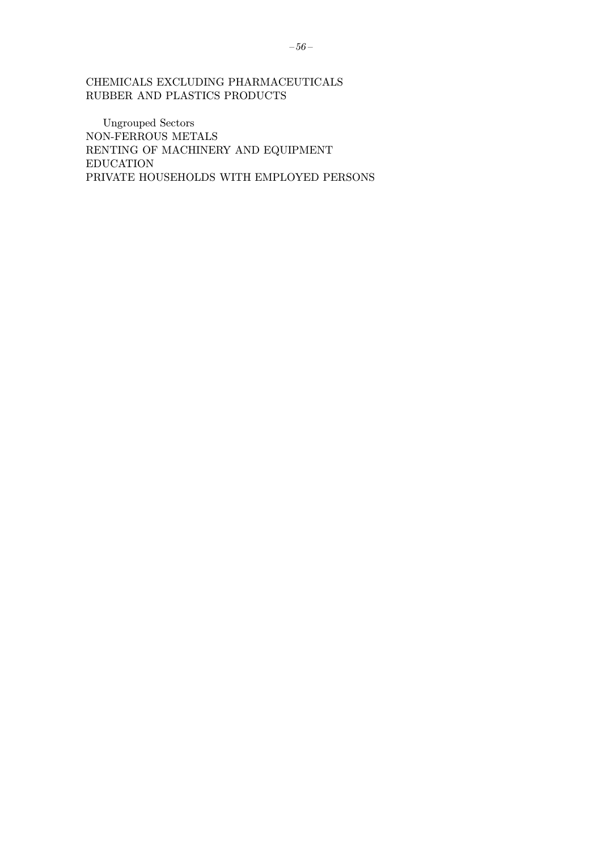### CHEMICALS EXCLUDING PHARMACEUTICALS RUBBER AND PLASTICS PRODUCTS

Ungrouped Sectors NON-FERROUS METALS RENTING OF MACHINERY AND EQUIPMENT EDUCATION PRIVATE HOUSEHOLDS WITH EMPLOYED PERSONS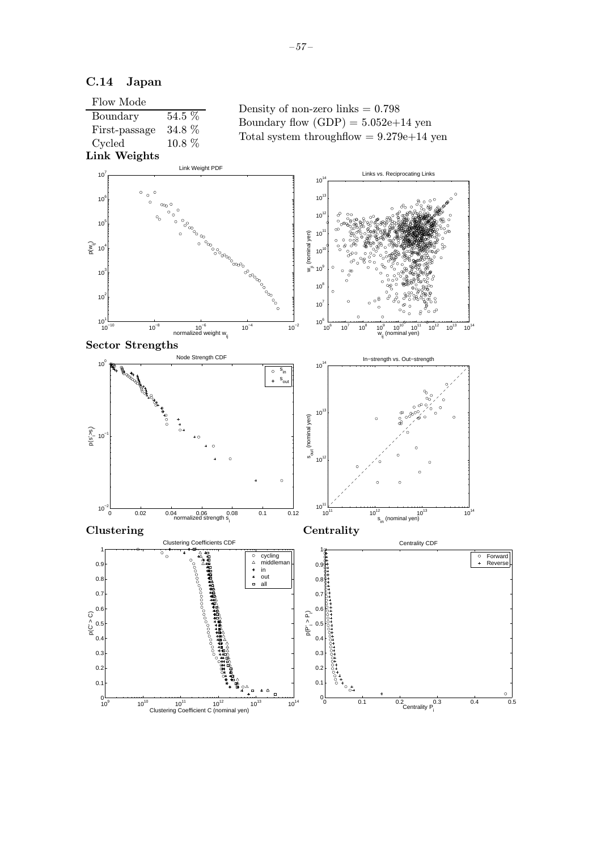### C.14 Japan

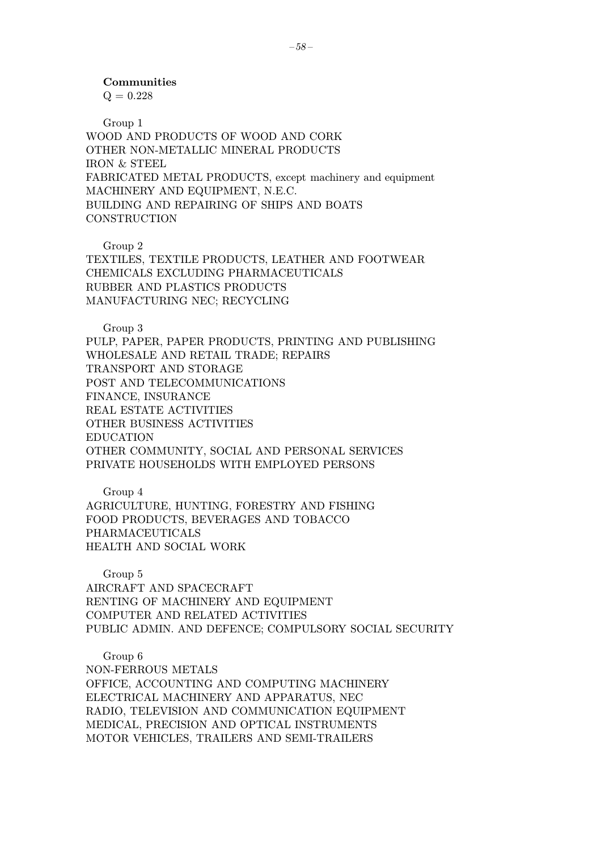$Q = 0.228$ 

Group 1 WOOD AND PRODUCTS OF WOOD AND CORK OTHER NON-METALLIC MINERAL PRODUCTS IRON & STEEL FABRICATED METAL PRODUCTS, except machinery and equipment MACHINERY AND EQUIPMENT, N.E.C. BUILDING AND REPAIRING OF SHIPS AND BOATS **CONSTRUCTION** 

Group 2

TEXTILES, TEXTILE PRODUCTS, LEATHER AND FOOTWEAR CHEMICALS EXCLUDING PHARMACEUTICALS RUBBER AND PLASTICS PRODUCTS MANUFACTURING NEC; RECYCLING

Group 3

PULP, PAPER, PAPER PRODUCTS, PRINTING AND PUBLISHING WHOLESALE AND RETAIL TRADE; REPAIRS TRANSPORT AND STORAGE POST AND TELECOMMUNICATIONS FINANCE, INSURANCE REAL ESTATE ACTIVITIES OTHER BUSINESS ACTIVITIES EDUCATION OTHER COMMUNITY, SOCIAL AND PERSONAL SERVICES PRIVATE HOUSEHOLDS WITH EMPLOYED PERSONS

Group 4 AGRICULTURE, HUNTING, FORESTRY AND FISHING FOOD PRODUCTS, BEVERAGES AND TOBACCO PHARMACEUTICALS HEALTH AND SOCIAL WORK

Group 5 AIRCRAFT AND SPACECRAFT RENTING OF MACHINERY AND EQUIPMENT COMPUTER AND RELATED ACTIVITIES PUBLIC ADMIN. AND DEFENCE; COMPULSORY SOCIAL SECURITY

Group 6 NON-FERROUS METALS OFFICE, ACCOUNTING AND COMPUTING MACHINERY ELECTRICAL MACHINERY AND APPARATUS, NEC RADIO, TELEVISION AND COMMUNICATION EQUIPMENT MEDICAL, PRECISION AND OPTICAL INSTRUMENTS MOTOR VEHICLES, TRAILERS AND SEMI-TRAILERS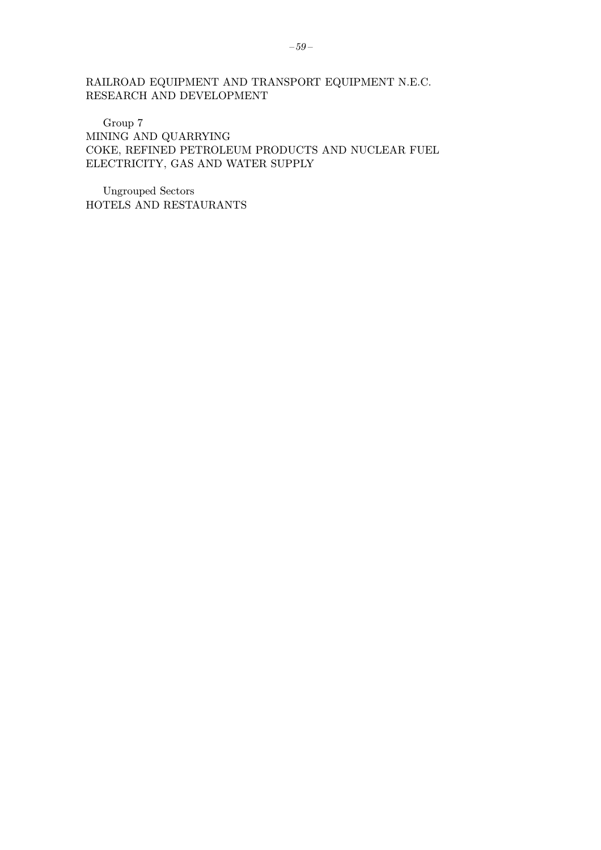RAILROAD EQUIPMENT AND TRANSPORT EQUIPMENT N.E.C. RESEARCH AND DEVELOPMENT

Group 7 MINING AND QUARRYING COKE, REFINED PETROLEUM PRODUCTS AND NUCLEAR FUEL ELECTRICITY, GAS AND WATER SUPPLY

Ungrouped Sectors HOTELS AND RESTAURANTS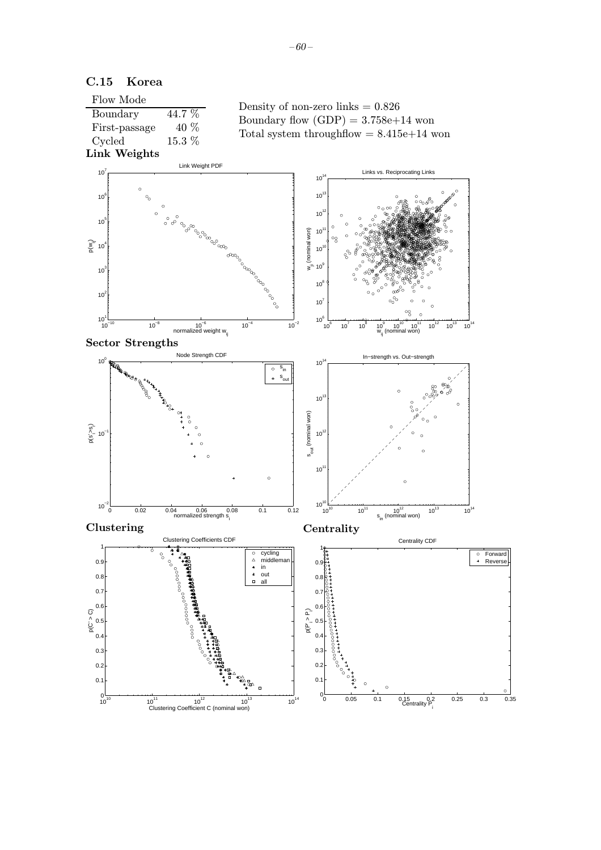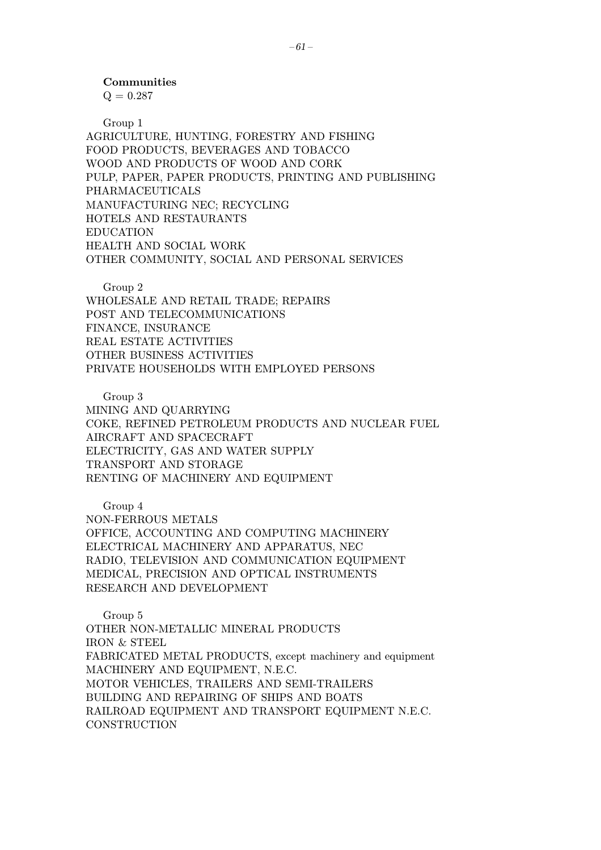$Q = 0.287$ 

Group 1

AGRICULTURE, HUNTING, FORESTRY AND FISHING FOOD PRODUCTS, BEVERAGES AND TOBACCO WOOD AND PRODUCTS OF WOOD AND CORK PULP, PAPER, PAPER PRODUCTS, PRINTING AND PUBLISHING PHARMACEUTICALS MANUFACTURING NEC; RECYCLING HOTELS AND RESTAURANTS EDUCATION HEALTH AND SOCIAL WORK OTHER COMMUNITY, SOCIAL AND PERSONAL SERVICES

Group 2

WHOLESALE AND RETAIL TRADE; REPAIRS POST AND TELECOMMUNICATIONS FINANCE, INSURANCE REAL ESTATE ACTIVITIES OTHER BUSINESS ACTIVITIES PRIVATE HOUSEHOLDS WITH EMPLOYED PERSONS

Group 3 MINING AND QUARRYING COKE, REFINED PETROLEUM PRODUCTS AND NUCLEAR FUEL AIRCRAFT AND SPACECRAFT ELECTRICITY, GAS AND WATER SUPPLY TRANSPORT AND STORAGE RENTING OF MACHINERY AND EQUIPMENT

Group 4 NON-FERROUS METALS OFFICE, ACCOUNTING AND COMPUTING MACHINERY ELECTRICAL MACHINERY AND APPARATUS, NEC RADIO, TELEVISION AND COMMUNICATION EQUIPMENT MEDICAL, PRECISION AND OPTICAL INSTRUMENTS RESEARCH AND DEVELOPMENT

Group 5 OTHER NON-METALLIC MINERAL PRODUCTS IRON & STEEL FABRICATED METAL PRODUCTS, except machinery and equipment MACHINERY AND EQUIPMENT, N.E.C. MOTOR VEHICLES, TRAILERS AND SEMI-TRAILERS BUILDING AND REPAIRING OF SHIPS AND BOATS RAILROAD EQUIPMENT AND TRANSPORT EQUIPMENT N.E.C. **CONSTRUCTION**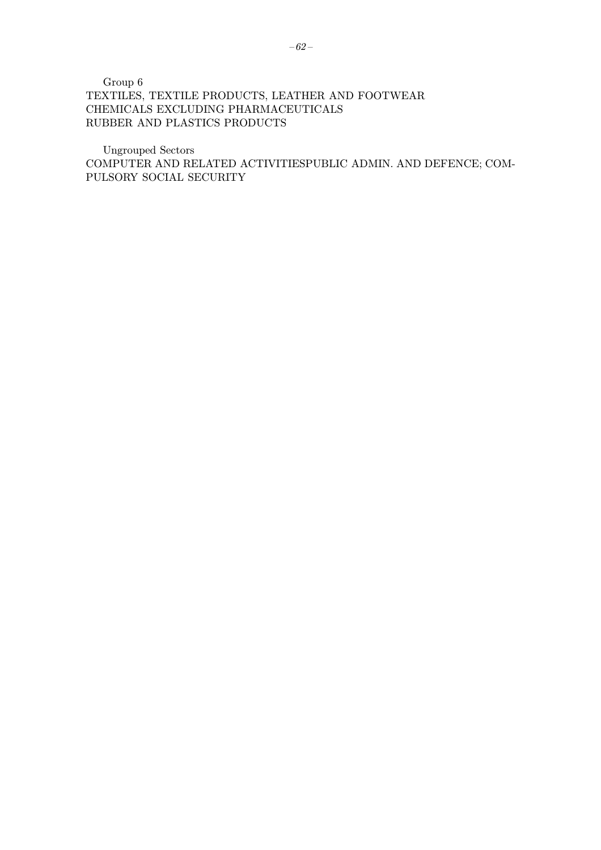Group 6 TEXTILES, TEXTILE PRODUCTS, LEATHER AND FOOTWEAR CHEMICALS EXCLUDING PHARMACEUTICALS RUBBER AND PLASTICS PRODUCTS

Ungrouped Sectors COMPUTER AND RELATED ACTIVITIESPUBLIC ADMIN. AND DEFENCE; COM-PULSORY SOCIAL SECURITY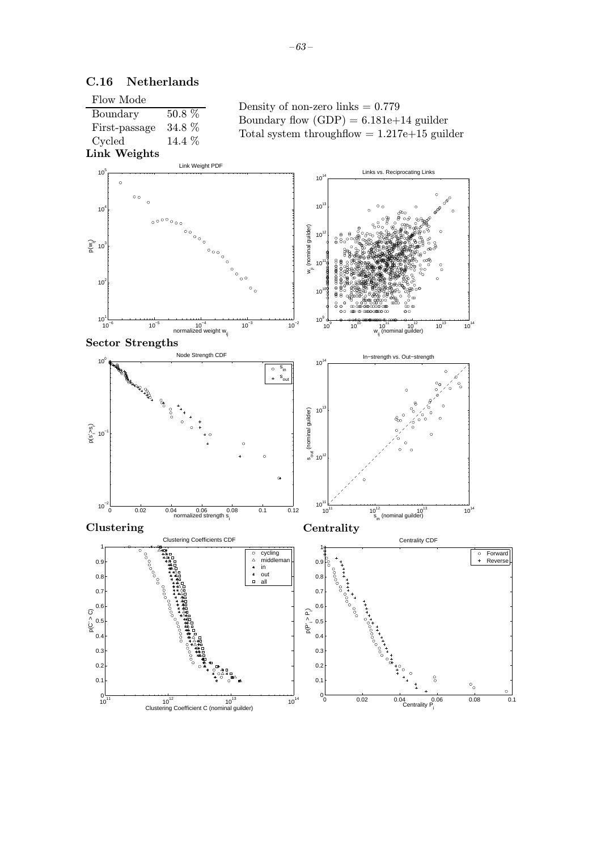

# C.16 Netherlands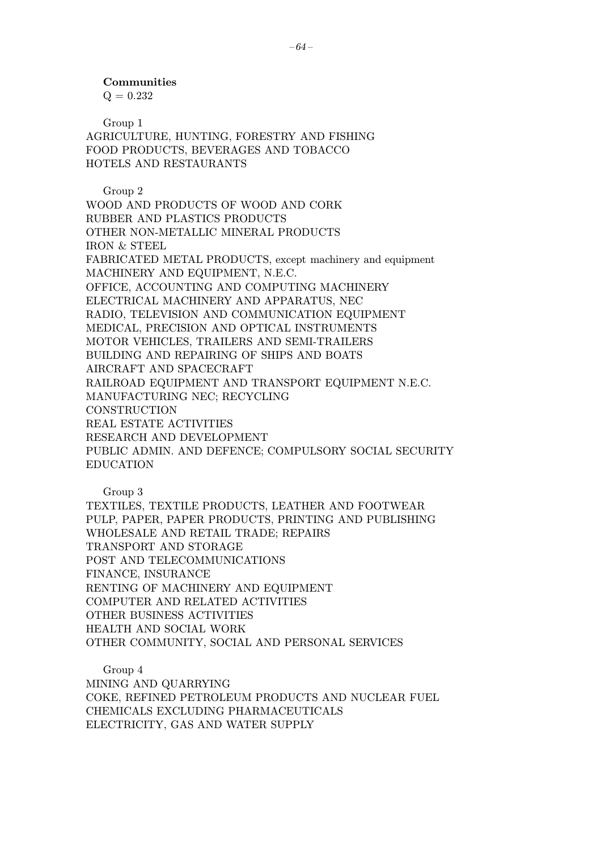$Q = 0.232$ 

Group 1 AGRICULTURE, HUNTING, FORESTRY AND FISHING FOOD PRODUCTS, BEVERAGES AND TOBACCO HOTELS AND RESTAURANTS

Group 2 WOOD AND PRODUCTS OF WOOD AND CORK RUBBER AND PLASTICS PRODUCTS OTHER NON-METALLIC MINERAL PRODUCTS IRON & STEEL FABRICATED METAL PRODUCTS, except machinery and equipment MACHINERY AND EQUIPMENT, N.E.C. OFFICE, ACCOUNTING AND COMPUTING MACHINERY ELECTRICAL MACHINERY AND APPARATUS, NEC RADIO, TELEVISION AND COMMUNICATION EQUIPMENT MEDICAL, PRECISION AND OPTICAL INSTRUMENTS MOTOR VEHICLES, TRAILERS AND SEMI-TRAILERS BUILDING AND REPAIRING OF SHIPS AND BOATS AIRCRAFT AND SPACECRAFT RAILROAD EQUIPMENT AND TRANSPORT EQUIPMENT N.E.C. MANUFACTURING NEC; RECYCLING **CONSTRUCTION** REAL ESTATE ACTIVITIES RESEARCH AND DEVELOPMENT PUBLIC ADMIN. AND DEFENCE; COMPULSORY SOCIAL SECURITY EDUCATION

Group 3

TEXTILES, TEXTILE PRODUCTS, LEATHER AND FOOTWEAR PULP, PAPER, PAPER PRODUCTS, PRINTING AND PUBLISHING WHOLESALE AND RETAIL TRADE; REPAIRS TRANSPORT AND STORAGE POST AND TELECOMMUNICATIONS FINANCE, INSURANCE RENTING OF MACHINERY AND EQUIPMENT COMPUTER AND RELATED ACTIVITIES OTHER BUSINESS ACTIVITIES HEALTH AND SOCIAL WORK OTHER COMMUNITY, SOCIAL AND PERSONAL SERVICES

Group 4 MINING AND QUARRYING

COKE, REFINED PETROLEUM PRODUCTS AND NUCLEAR FUEL CHEMICALS EXCLUDING PHARMACEUTICALS ELECTRICITY, GAS AND WATER SUPPLY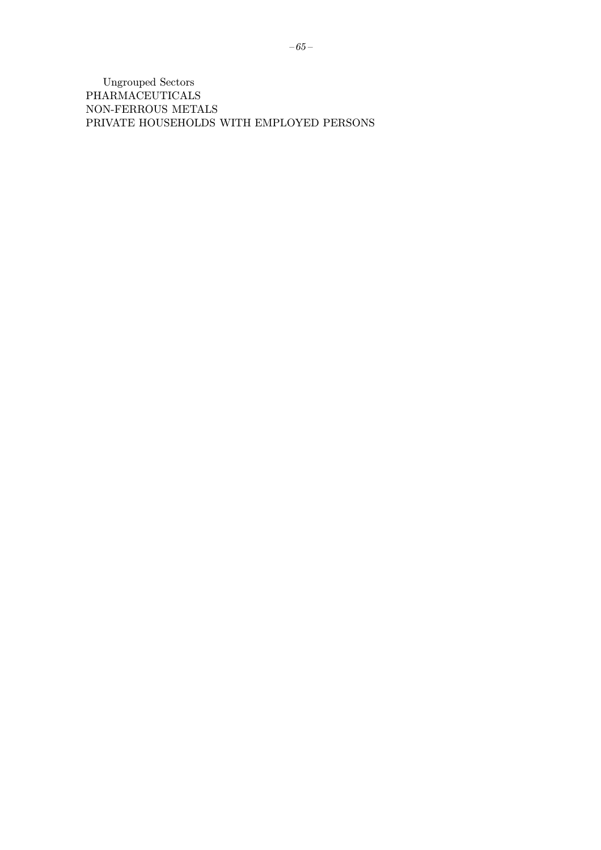**Ungrouped Sectors** PHARMACEUTICALS NON-FERROUS METALS PRIVATE HOUSEHOLDS WITH EMPLOYED PERSONS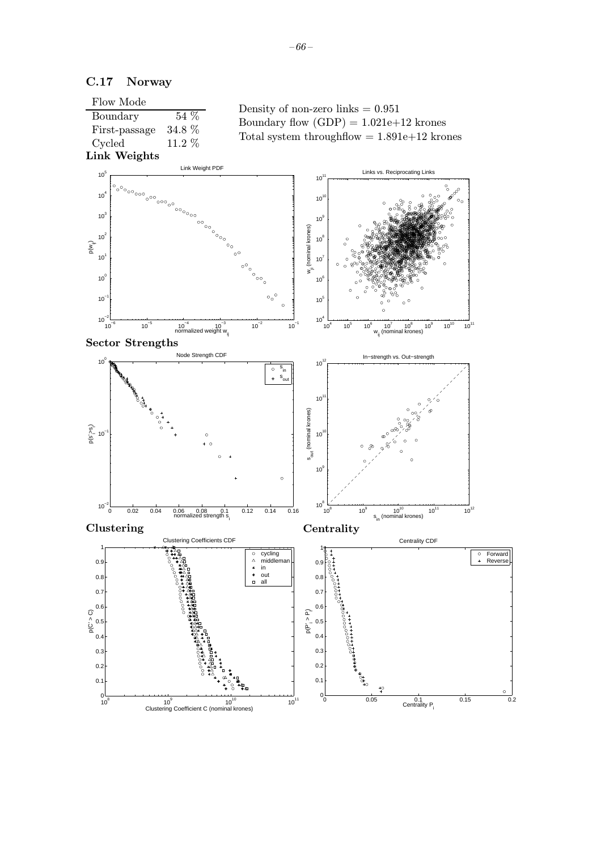

### C.17 Norway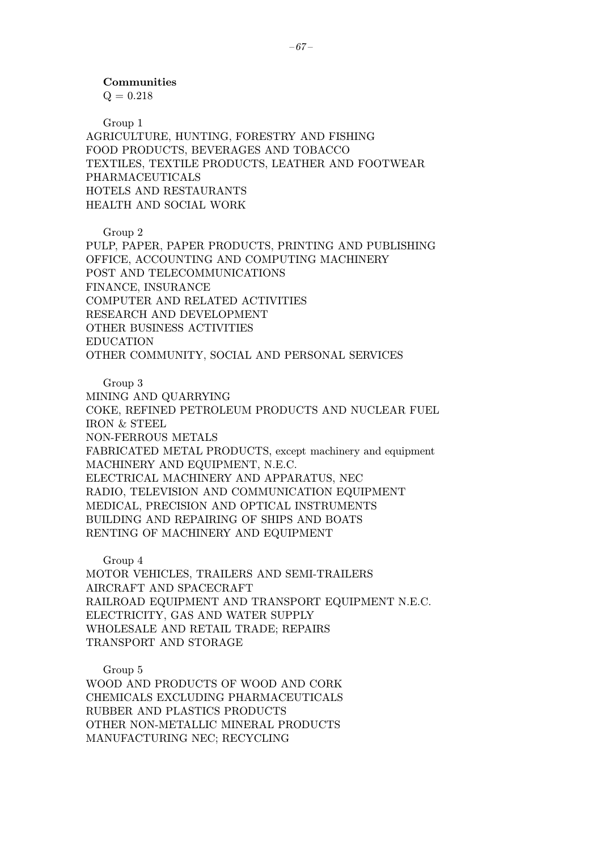$Q = 0.218$ 

Group 1 AGRICULTURE, HUNTING, FORESTRY AND FISHING FOOD PRODUCTS, BEVERAGES AND TOBACCO TEXTILES, TEXTILE PRODUCTS, LEATHER AND FOOTWEAR PHARMACEUTICALS HOTELS AND RESTAURANTS HEALTH AND SOCIAL WORK

Group 2

PULP, PAPER, PAPER PRODUCTS, PRINTING AND PUBLISHING OFFICE, ACCOUNTING AND COMPUTING MACHINERY POST AND TELECOMMUNICATIONS FINANCE, INSURANCE COMPUTER AND RELATED ACTIVITIES RESEARCH AND DEVELOPMENT OTHER BUSINESS ACTIVITIES EDUCATION OTHER COMMUNITY, SOCIAL AND PERSONAL SERVICES

Group 3

MINING AND QUARRYING COKE, REFINED PETROLEUM PRODUCTS AND NUCLEAR FUEL IRON & STEEL NON-FERROUS METALS FABRICATED METAL PRODUCTS, except machinery and equipment MACHINERY AND EQUIPMENT, N.E.C. ELECTRICAL MACHINERY AND APPARATUS, NEC RADIO, TELEVISION AND COMMUNICATION EQUIPMENT MEDICAL, PRECISION AND OPTICAL INSTRUMENTS BUILDING AND REPAIRING OF SHIPS AND BOATS RENTING OF MACHINERY AND EQUIPMENT

Group 4

MOTOR VEHICLES, TRAILERS AND SEMI-TRAILERS AIRCRAFT AND SPACECRAFT RAILROAD EQUIPMENT AND TRANSPORT EQUIPMENT N.E.C. ELECTRICITY, GAS AND WATER SUPPLY WHOLESALE AND RETAIL TRADE; REPAIRS TRANSPORT AND STORAGE

Group 5 WOOD AND PRODUCTS OF WOOD AND CORK CHEMICALS EXCLUDING PHARMACEUTICALS RUBBER AND PLASTICS PRODUCTS OTHER NON-METALLIC MINERAL PRODUCTS MANUFACTURING NEC; RECYCLING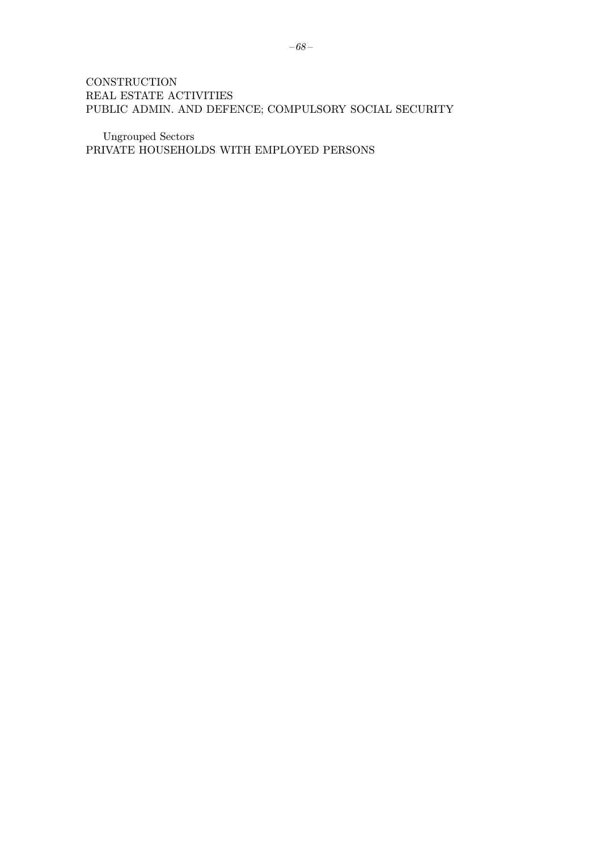# **CONSTRUCTION** REAL ESTATE ACTIVITIES PUBLIC ADMIN. AND DEFENCE; COMPULSORY SOCIAL SECURITY

Ungrouped Sectors PRIVATE HOUSEHOLDS WITH EMPLOYED PERSONS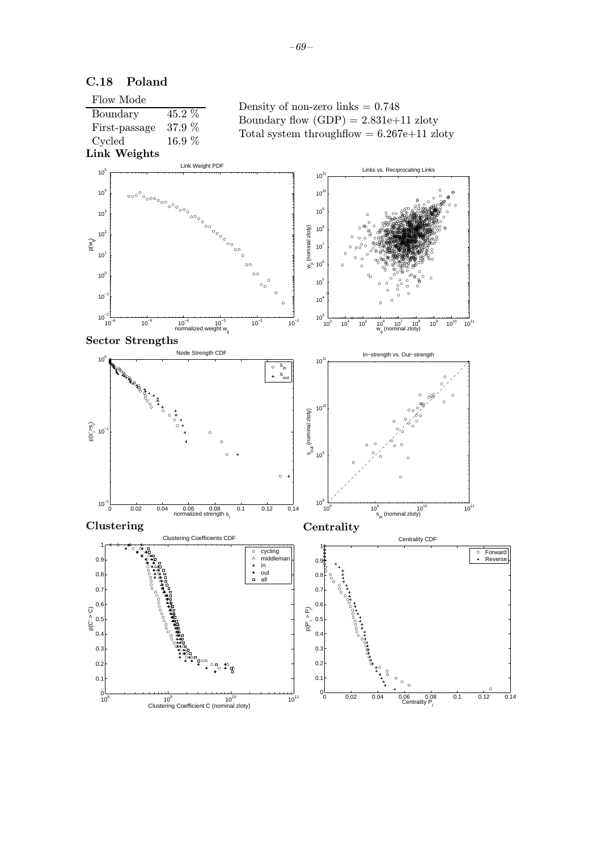

 $-69-$ 

# C.18 Poland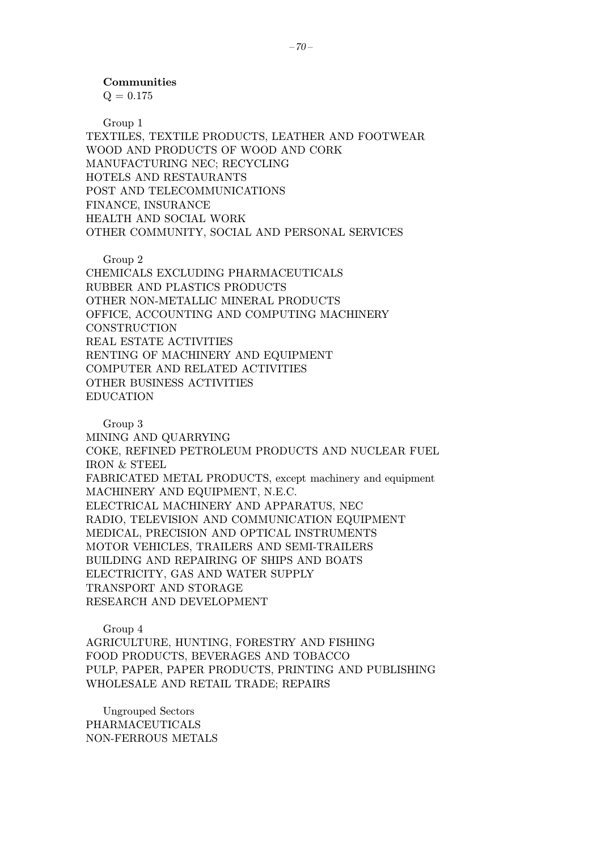### Communities

 $Q = 0.175$ 

Group 1

TEXTILES, TEXTILE PRODUCTS, LEATHER AND FOOTWEAR WOOD AND PRODUCTS OF WOOD AND CORK MANUFACTURING NEC; RECYCLING HOTELS AND RESTAURANTS POST AND TELECOMMUNICATIONS FINANCE, INSURANCE HEALTH AND SOCIAL WORK OTHER COMMUNITY, SOCIAL AND PERSONAL SERVICES

Group 2

CHEMICALS EXCLUDING PHARMACEUTICALS RUBBER AND PLASTICS PRODUCTS OTHER NON-METALLIC MINERAL PRODUCTS OFFICE, ACCOUNTING AND COMPUTING MACHINERY **CONSTRUCTION** REAL ESTATE ACTIVITIES RENTING OF MACHINERY AND EQUIPMENT COMPUTER AND RELATED ACTIVITIES OTHER BUSINESS ACTIVITIES EDUCATION

Group 3

MINING AND QUARRYING COKE, REFINED PETROLEUM PRODUCTS AND NUCLEAR FUEL IRON & STEEL FABRICATED METAL PRODUCTS, except machinery and equipment MACHINERY AND EQUIPMENT, N.E.C. ELECTRICAL MACHINERY AND APPARATUS, NEC RADIO, TELEVISION AND COMMUNICATION EQUIPMENT MEDICAL, PRECISION AND OPTICAL INSTRUMENTS MOTOR VEHICLES, TRAILERS AND SEMI-TRAILERS BUILDING AND REPAIRING OF SHIPS AND BOATS ELECTRICITY, GAS AND WATER SUPPLY TRANSPORT AND STORAGE RESEARCH AND DEVELOPMENT

Group 4 AGRICULTURE, HUNTING, FORESTRY AND FISHING FOOD PRODUCTS, BEVERAGES AND TOBACCO PULP, PAPER, PAPER PRODUCTS, PRINTING AND PUBLISHING WHOLESALE AND RETAIL TRADE; REPAIRS

Ungrouped Sectors PHARMACEUTICALS NON-FERROUS METALS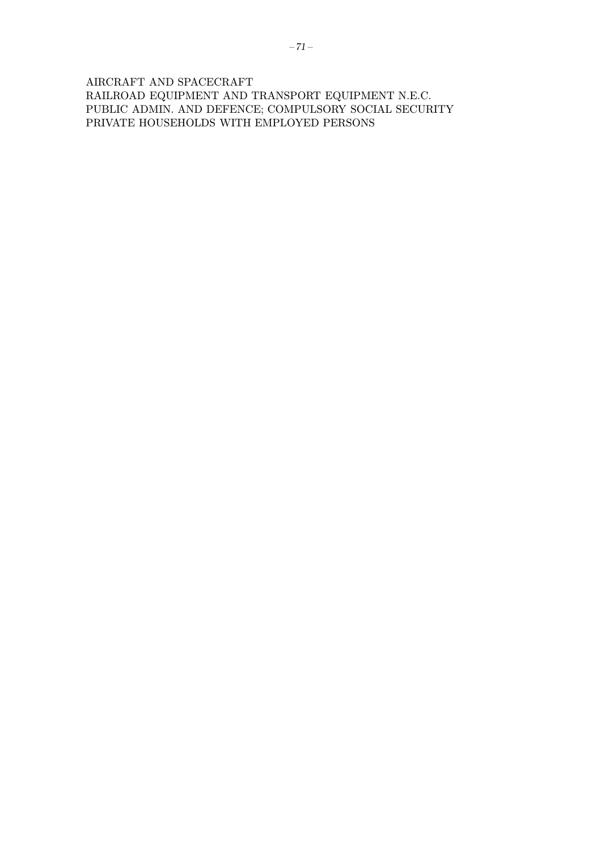AIRCRAFT AND SPACECRAFT RAILROAD EQUIPMENT AND TRANSPORT EQUIPMENT N.E.C.  $\,$ PUBLIC ADMIN. AND DEFENCE; COMPULSORY SOCIAL SECURITY PRIVATE HOUSEHOLDS WITH EMPLOYED PERSONS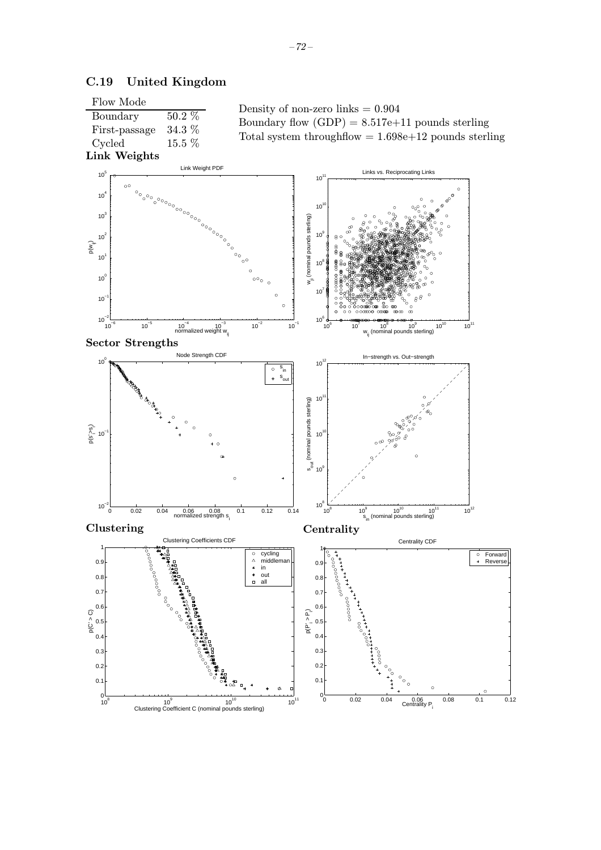

# C.19 United Kingdom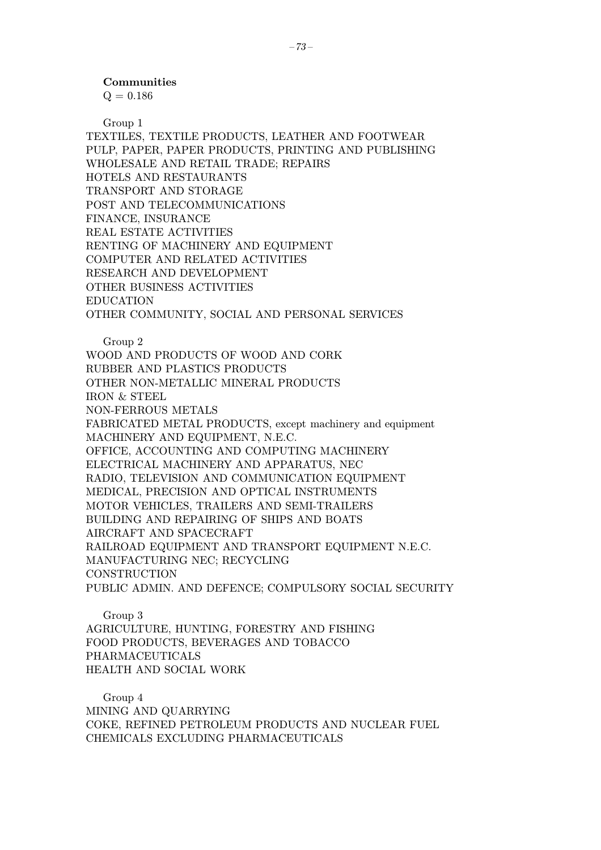### Communities

 $Q = 0.186$ 

Group 1

TEXTILES, TEXTILE PRODUCTS, LEATHER AND FOOTWEAR PULP, PAPER, PAPER PRODUCTS, PRINTING AND PUBLISHING WHOLESALE AND RETAIL TRADE; REPAIRS HOTELS AND RESTAURANTS TRANSPORT AND STORAGE POST AND TELECOMMUNICATIONS FINANCE, INSURANCE REAL ESTATE ACTIVITIES RENTING OF MACHINERY AND EQUIPMENT COMPUTER AND RELATED ACTIVITIES RESEARCH AND DEVELOPMENT OTHER BUSINESS ACTIVITIES EDUCATION OTHER COMMUNITY, SOCIAL AND PERSONAL SERVICES

Group 2 WOOD AND PRODUCTS OF WOOD AND CORK RUBBER AND PLASTICS PRODUCTS OTHER NON-METALLIC MINERAL PRODUCTS IRON & STEEL NON-FERROUS METALS FABRICATED METAL PRODUCTS, except machinery and equipment MACHINERY AND EQUIPMENT, N.E.C. OFFICE, ACCOUNTING AND COMPUTING MACHINERY ELECTRICAL MACHINERY AND APPARATUS, NEC RADIO, TELEVISION AND COMMUNICATION EQUIPMENT MEDICAL, PRECISION AND OPTICAL INSTRUMENTS MOTOR VEHICLES, TRAILERS AND SEMI-TRAILERS BUILDING AND REPAIRING OF SHIPS AND BOATS AIRCRAFT AND SPACECRAFT RAILROAD EQUIPMENT AND TRANSPORT EQUIPMENT N.E.C. MANUFACTURING NEC; RECYCLING **CONSTRUCTION** PUBLIC ADMIN. AND DEFENCE; COMPULSORY SOCIAL SECURITY

Group 3 AGRICULTURE, HUNTING, FORESTRY AND FISHING FOOD PRODUCTS, BEVERAGES AND TOBACCO PHARMACEUTICALS HEALTH AND SOCIAL WORK

Group 4 MINING AND QUARRYING COKE, REFINED PETROLEUM PRODUCTS AND NUCLEAR FUEL CHEMICALS EXCLUDING PHARMACEUTICALS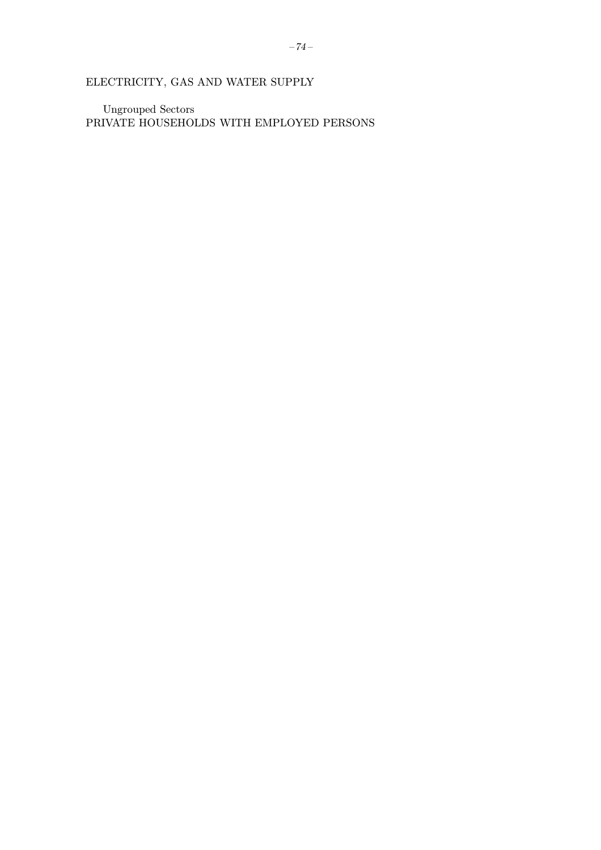**Ungrouped Sectors** PRIVATE HOUSEHOLDS WITH EMPLOYED PERSONS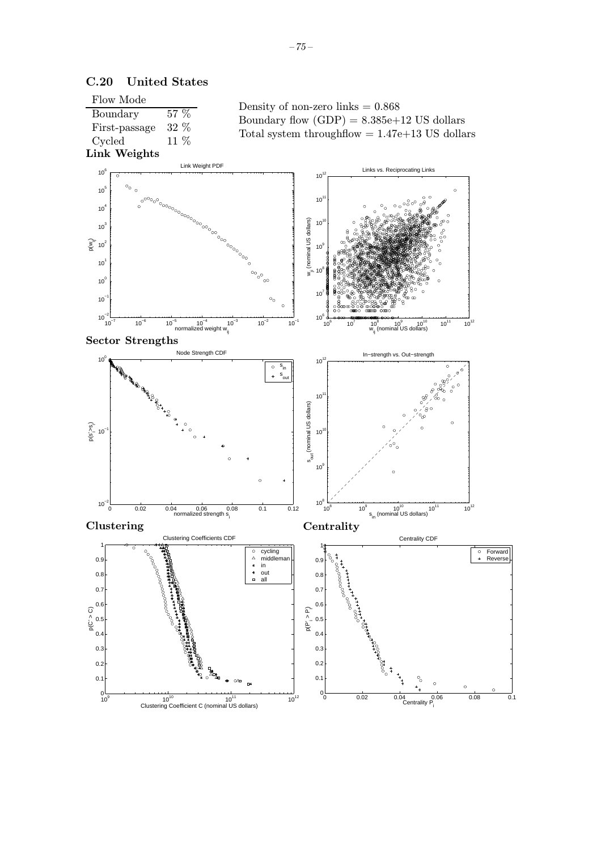

# C.20 United States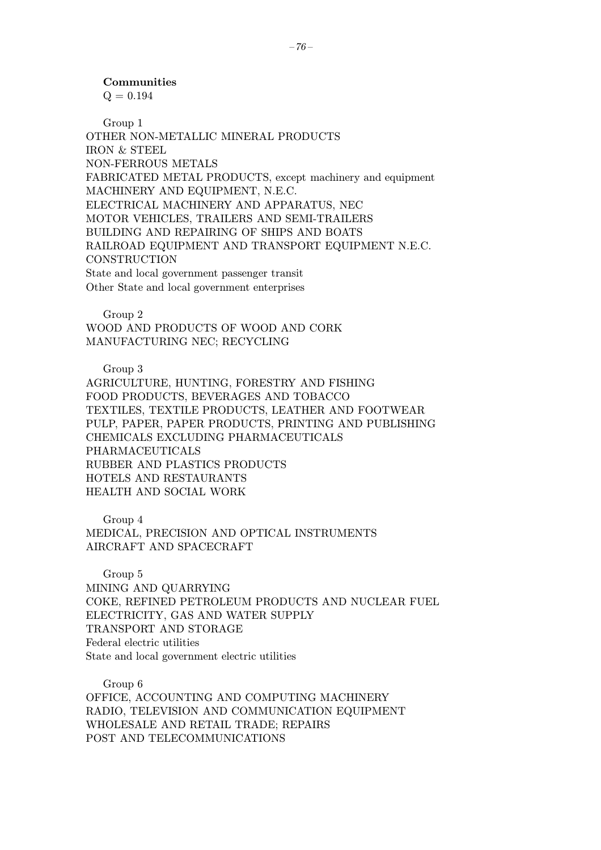## Communities

 $Q = 0.194$ 

Group 1 OTHER NON-METALLIC MINERAL PRODUCTS IRON & STEEL NON-FERROUS METALS FABRICATED METAL PRODUCTS, except machinery and equipment MACHINERY AND EQUIPMENT, N.E.C. ELECTRICAL MACHINERY AND APPARATUS, NEC MOTOR VEHICLES, TRAILERS AND SEMI-TRAILERS BUILDING AND REPAIRING OF SHIPS AND BOATS RAILROAD EQUIPMENT AND TRANSPORT EQUIPMENT N.E.C. **CONSTRUCTION** State and local government passenger transit Other State and local government enterprises

Group 2 WOOD AND PRODUCTS OF WOOD AND CORK MANUFACTURING NEC; RECYCLING

Group 3

AGRICULTURE, HUNTING, FORESTRY AND FISHING FOOD PRODUCTS, BEVERAGES AND TOBACCO TEXTILES, TEXTILE PRODUCTS, LEATHER AND FOOTWEAR PULP, PAPER, PAPER PRODUCTS, PRINTING AND PUBLISHING CHEMICALS EXCLUDING PHARMACEUTICALS PHARMACEUTICALS RUBBER AND PLASTICS PRODUCTS HOTELS AND RESTAURANTS HEALTH AND SOCIAL WORK

Group 4 MEDICAL, PRECISION AND OPTICAL INSTRUMENTS AIRCRAFT AND SPACECRAFT

Group 5 MINING AND QUARRYING COKE, REFINED PETROLEUM PRODUCTS AND NUCLEAR FUEL ELECTRICITY, GAS AND WATER SUPPLY TRANSPORT AND STORAGE Federal electric utilities State and local government electric utilities

Group 6 OFFICE, ACCOUNTING AND COMPUTING MACHINERY RADIO, TELEVISION AND COMMUNICATION EQUIPMENT WHOLESALE AND RETAIL TRADE; REPAIRS POST AND TELECOMMUNICATIONS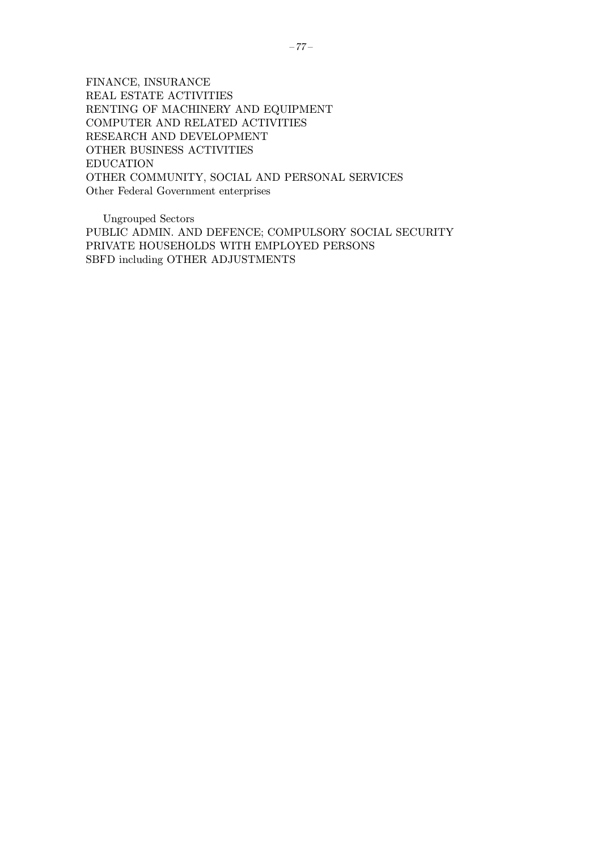FINANCE, INSURANCE REAL ESTATE ACTIVITIES RENTING OF MACHINERY AND EQUIPMENT COMPUTER AND RELATED ACTIVITIES RESEARCH AND DEVELOPMENT OTHER BUSINESS ACTIVITIES EDUCATION OTHER COMMUNITY, SOCIAL AND PERSONAL SERVICES Other Federal Government enterprises

Ungrouped Sectors PUBLIC ADMIN. AND DEFENCE; COMPULSORY SOCIAL SECURITY PRIVATE HOUSEHOLDS WITH EMPLOYED PERSONS SBFD including OTHER ADJUSTMENTS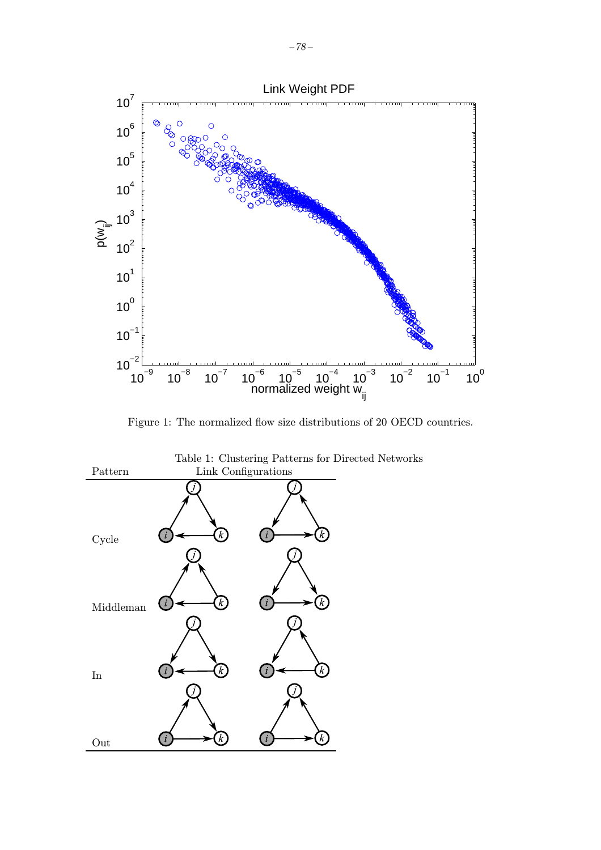

Figure 1: The normalized flow size distributions of 20 OECD countries.



Table 1: Clustering Patterns for Directed Networks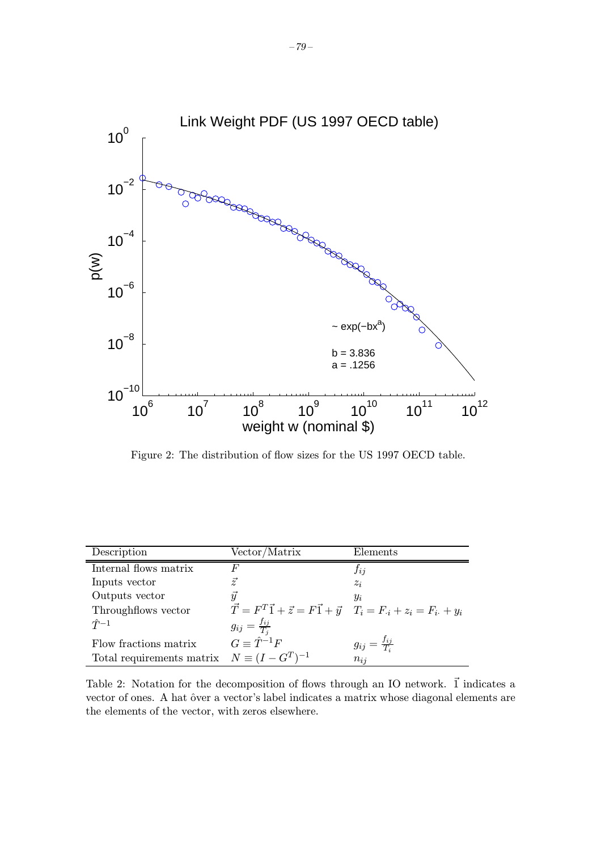

Figure 2: The distribution of flow sizes for the US 1997 OECD table.

| Description                                         | Vector/Matrix                                                                             | Elements                      |
|-----------------------------------------------------|-------------------------------------------------------------------------------------------|-------------------------------|
| Internal flows matrix                               | F                                                                                         | $f_{ij}$                      |
| Inputs vector                                       | $\vec{z}$                                                                                 | $z_i$                         |
| Outputs vector                                      | $\vec{y}$                                                                                 | $y_i$                         |
| Throughflows vector                                 | $\vec{T} = F^T \vec{1} + \vec{z} = F \vec{1} + \vec{y}$ $T_i = F_{i} + z_i = F_{i} + y_i$ |                               |
| $\hat{T}^{-1}$                                      | $g_{ij} = \frac{f_{ij}}{T_j}$                                                             |                               |
| Flow fractions matrix                               | $G \equiv \hat{T}^{-1}F$                                                                  | $g_{ij} = \frac{f_{ij}}{T_i}$ |
| Total requirements matrix $N \equiv (I - G^T)^{-1}$ |                                                                                           | $n_{ii}$                      |

Table 2: Notation for the decomposition of flows through an IO network.  $\vec{1}$  indicates a vector of ones. A hat ôver a vector's label indicates a matrix whose diagonal elements are the elements of the vector, with zeros elsewhere.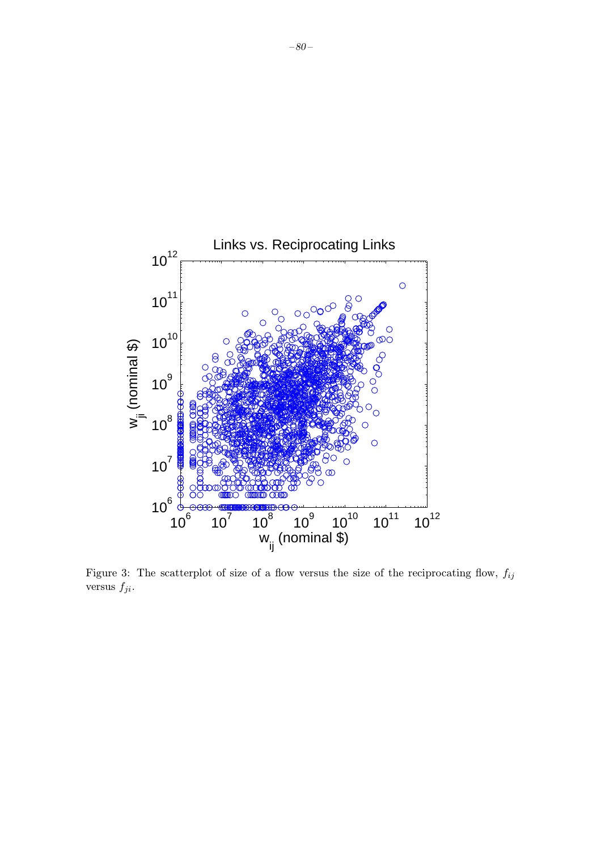

Figure 3: The scatterplot of size of a flow versus the size of the reciprocating flow,  $f_{ij}$ versus  $f_{ji}.$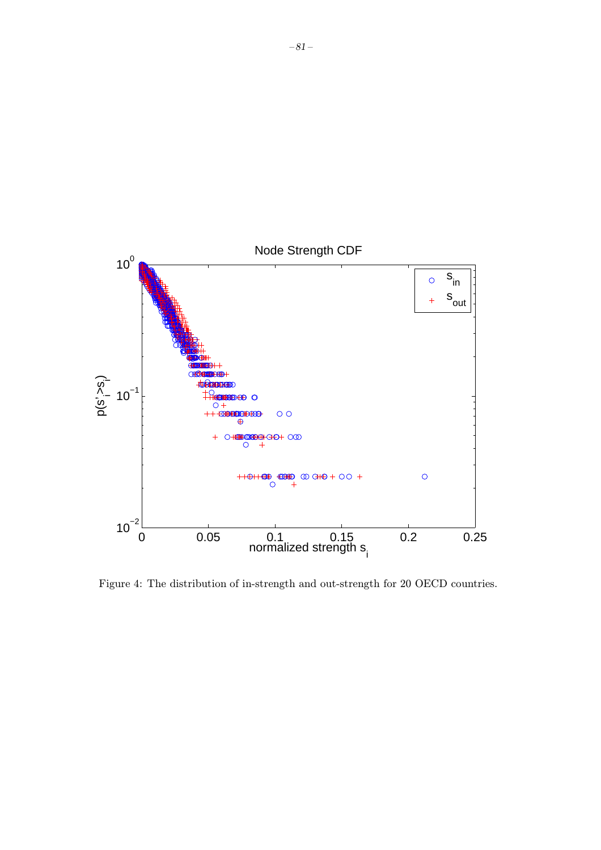

Figure 4: The distribution of in-strength and out-strength for 20 OECD countries.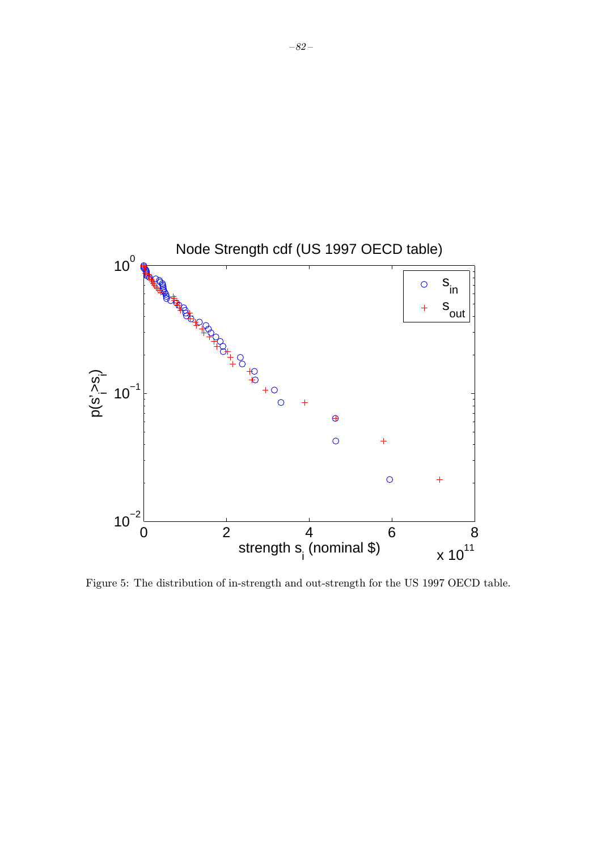

Figure 5: The distribution of in-strength and out-strength for the US 1997 OECD table.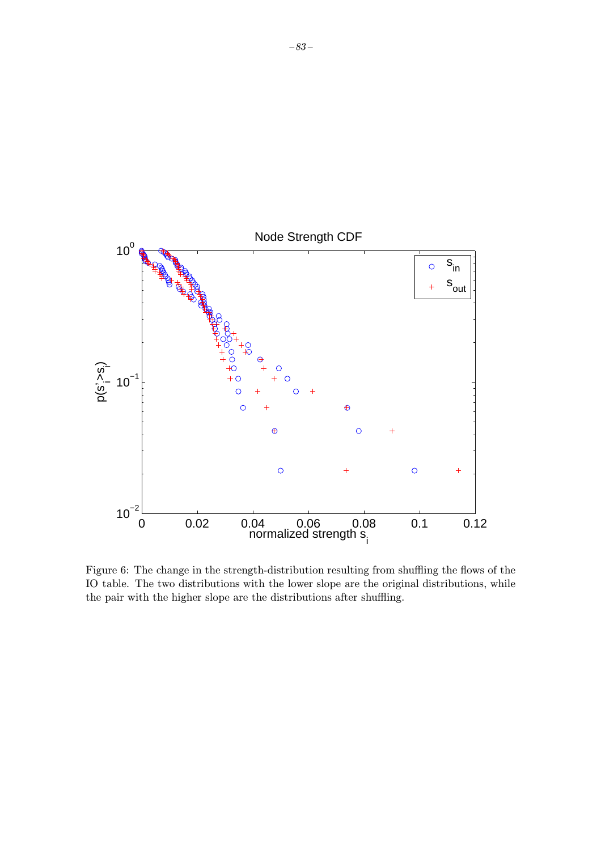

Figure 6: The change in the strength-distribution resulting from shuffling the flows of the IO table. The two distributions with the lower slope are the original distributions, while the pair with the higher slope are the distributions after shuffling.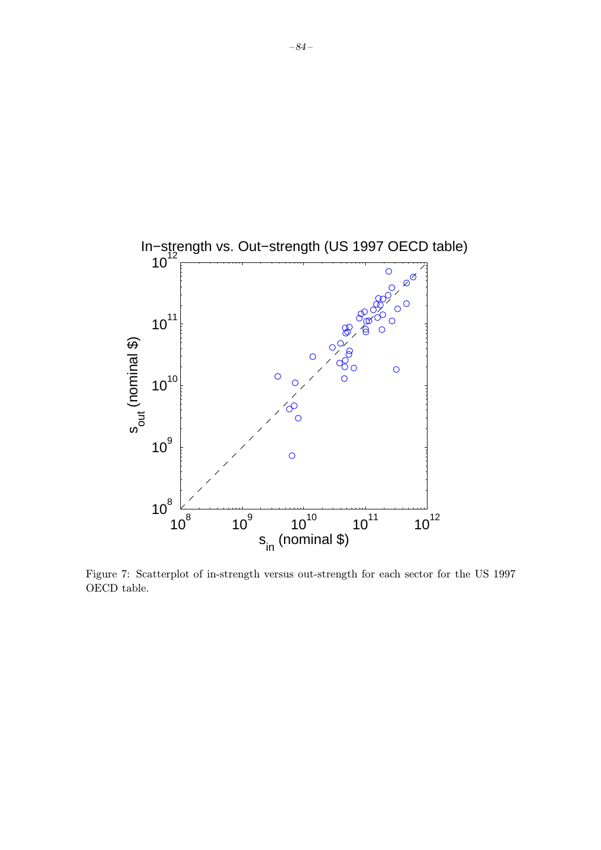

Figure 7: Scatterplot of in-strength versus out-strength for each sector for the US 1997 OECD table.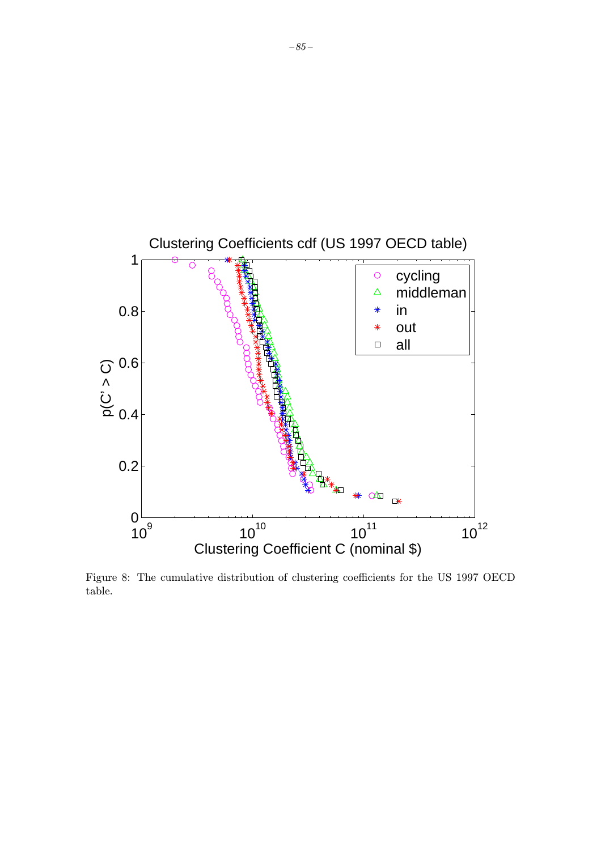

Figure 8: The cumulative distribution of clustering coefficients for the US 1997 OECD table.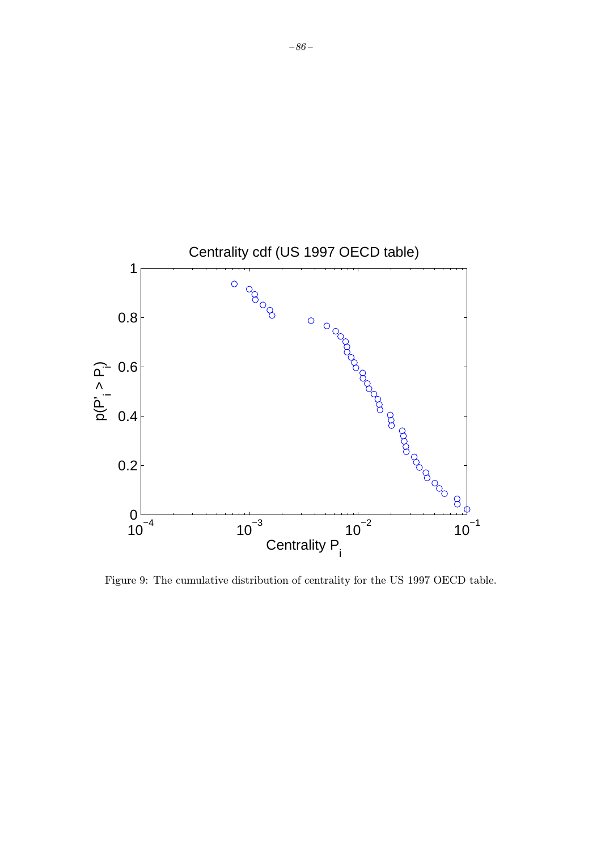

Figure 9: The cumulative distribution of centrality for the US 1997 OECD table.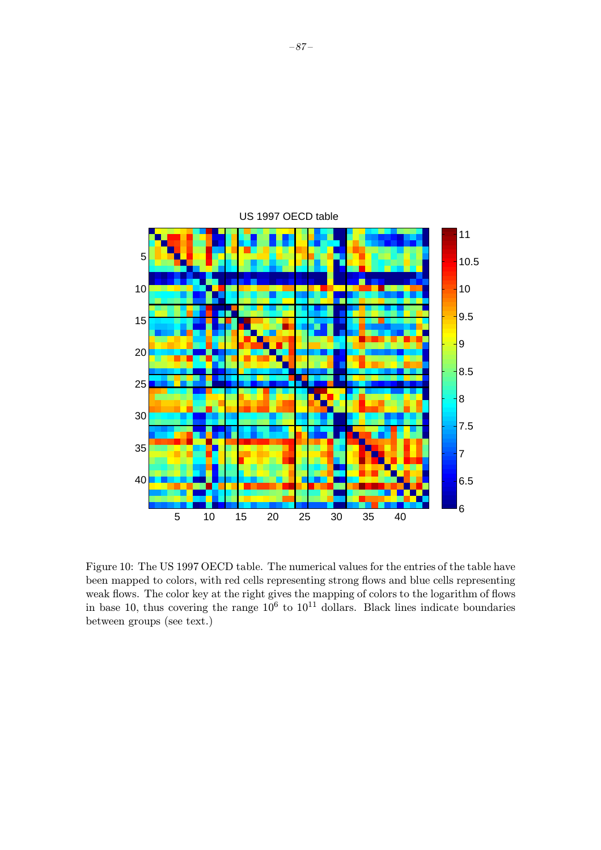

Figure 10: The US 1997 OECD table. The numerical values for the entries of the table have been mapped to colors, with red cells representing strong flows and blue cells representing weak flows. The color key at the right gives the mapping of colors to the logarithm of flows in base 10, thus covering the range  $10^6$  to  $10^{11}$  dollars. Black lines indicate boundaries between groups (see text.)